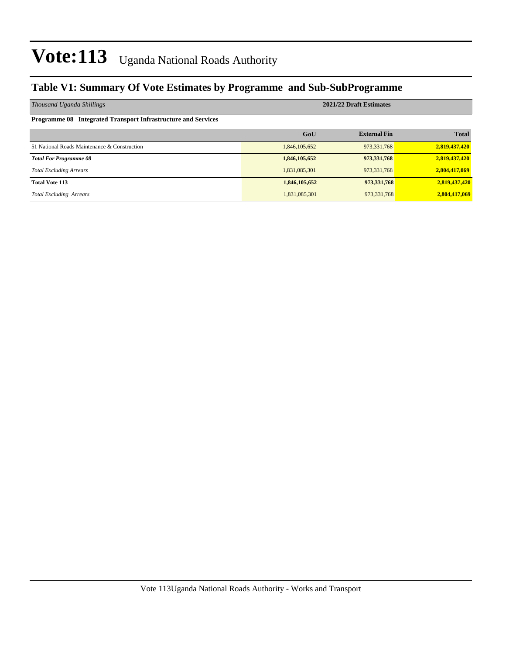### **Table V1: Summary Of Vote Estimates by Programme and Sub-SubProgramme**

| Thousand Uganda Shillings                                            | 2021/22 Draft Estimates |                     |               |  |  |  |  |
|----------------------------------------------------------------------|-------------------------|---------------------|---------------|--|--|--|--|
| <b>Programme 08 Integrated Transport Infrastructure and Services</b> |                         |                     |               |  |  |  |  |
|                                                                      | GoU                     | <b>External Fin</b> | <b>Total</b>  |  |  |  |  |
| 51 National Roads Maintenance & Construction                         | 1,846,105,652           | 973, 331, 768       | 2,819,437,420 |  |  |  |  |
| <b>Total For Programme 08</b>                                        | 1,846,105,652           | 973,331,768         | 2,819,437,420 |  |  |  |  |
| <b>Total Excluding Arrears</b>                                       | 1,831,085,301           | 973,331,768         | 2,804,417,069 |  |  |  |  |
| <b>Total Vote 113</b>                                                | 1,846,105,652           | 973,331,768         | 2,819,437,420 |  |  |  |  |
| <b>Total Excluding Arrears</b>                                       | 1,831,085,301           | 973, 331, 768       | 2,804,417,069 |  |  |  |  |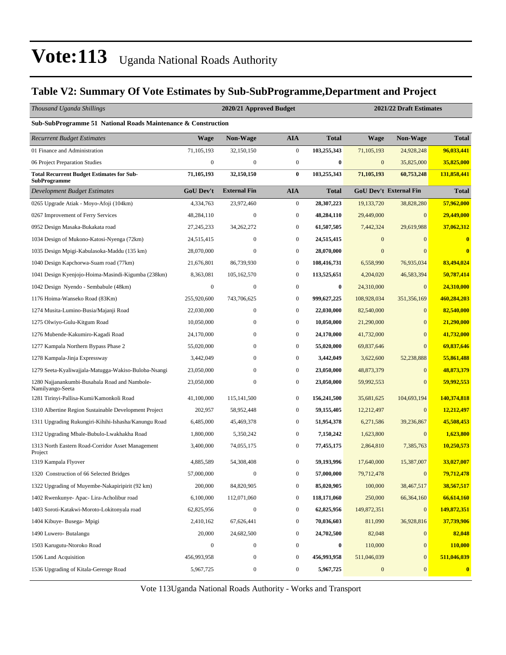### **Table V2: Summary Of Vote Estimates by Sub-SubProgramme,Department and Project**

| Thousand Uganda Shillings                                               |                  | 2020/21 Approved Budget |                  |                  | 2021/22 Draft Estimates |                               |                         |  |
|-------------------------------------------------------------------------|------------------|-------------------------|------------------|------------------|-------------------------|-------------------------------|-------------------------|--|
| Sub-SubProgramme 51 National Roads Maintenance & Construction           |                  |                         |                  |                  |                         |                               |                         |  |
| <b>Recurrent Budget Estimates</b>                                       | <b>Wage</b>      | <b>Non-Wage</b>         | <b>AIA</b>       | <b>Total</b>     | <b>Wage</b>             | <b>Non-Wage</b>               | <b>Total</b>            |  |
| 01 Finance and Administration                                           | 71,105,193       | 32,150,150              | $\boldsymbol{0}$ | 103,255,343      | 71, 105, 193            | 24,928,248                    | 96,033,441              |  |
| 06 Project Preparation Studies                                          | $\boldsymbol{0}$ | $\boldsymbol{0}$        | $\mathbf{0}$     | $\bf{0}$         | $\mathbf{0}$            | 35,825,000                    | 35,825,000              |  |
| <b>Total Recurrent Budget Estimates for Sub-</b><br><b>SubProgramme</b> | 71,105,193       | 32,150,150              | $\bf{0}$         | 103,255,343      | 71,105,193              | 60,753,248                    | 131,858,441             |  |
| Development Budget Estimates                                            | GoU Dev't        | <b>External Fin</b>     | <b>AIA</b>       | <b>Total</b>     |                         | <b>GoU Dev't External Fin</b> | <b>Total</b>            |  |
| 0265 Upgrade Atiak - Moyo-Afoji (104km)                                 | 4,334,763        | 23,972,460              | $\boldsymbol{0}$ | 28,307,223       | 19,133,720              | 38,828,280                    | 57,962,000              |  |
| 0267 Improvement of Ferry Services                                      | 48,284,110       | $\boldsymbol{0}$        | $\boldsymbol{0}$ | 48,284,110       | 29,449,000              | $\mathbf{0}$                  | 29,449,000              |  |
| 0952 Design Masaka-Bukakata road                                        | 27, 245, 233     | 34,262,272              | $\boldsymbol{0}$ | 61,507,505       | 7,442,324               | 29,619,988                    | 37,062,312              |  |
| 1034 Design of Mukono-Katosi-Nyenga (72km)                              | 24,515,415       | $\boldsymbol{0}$        | $\mathbf{0}$     | 24,515,415       | $\mathbf{0}$            | $\mathbf{0}$                  | $\overline{\mathbf{0}}$ |  |
| 1035 Design Mpigi-Kabulasoka-Maddu (135 km)                             | 28,070,000       | $\boldsymbol{0}$        | $\boldsymbol{0}$ | 28,070,000       | $\mathbf{0}$            | $\Omega$                      | $\bf{0}$                |  |
| 1040 Design Kapchorwa-Suam road (77km)                                  | 21,676,801       | 86,739,930              | $\boldsymbol{0}$ | 108,416,731      | 6,558,990               | 76,935,034                    | 83,494,024              |  |
| 1041 Design Kyenjojo-Hoima-Masindi-Kigumba (238km)                      | 8,363,081        | 105,162,570             | $\boldsymbol{0}$ | 113,525,651      | 4,204,020               | 46,583,394                    | 50,787,414              |  |
| 1042 Design Nyendo - Sembabule (48km)                                   | $\boldsymbol{0}$ | $\boldsymbol{0}$        | $\mathbf{0}$     | $\bf{0}$         | 24,310,000              | $\mathbf{0}$                  | 24,310,000              |  |
| 1176 Hoima-Wanseko Road (83Km)                                          | 255,920,600      | 743,706,625             | $\boldsymbol{0}$ | 999,627,225      | 108,928,034             | 351,356,169                   | 460,284,203             |  |
| 1274 Musita-Lumino-Busia/Majanji Road                                   | 22,030,000       | $\boldsymbol{0}$        | $\boldsymbol{0}$ | 22,030,000       | 82,540,000              | $\mathbf{0}$                  | 82,540,000              |  |
| 1275 Olwiyo-Gulu-Kitgum Road                                            | 10,050,000       | 0                       | $\boldsymbol{0}$ | 10,050,000       | 21,290,000              | $\mathbf{0}$                  | 21,290,000              |  |
| 1276 Mubende-Kakumiro-Kagadi Road                                       | 24,170,000       | $\boldsymbol{0}$        | $\boldsymbol{0}$ | 24,170,000       | 41,732,000              | $\mathbf{0}$                  | 41,732,000              |  |
| 1277 Kampala Northern Bypass Phase 2                                    | 55,020,000       | $\mathbf{0}$            | $\boldsymbol{0}$ | 55,020,000       | 69,837,646              | $\mathbf{0}$                  | 69,837,646              |  |
| 1278 Kampala-Jinja Expressway                                           | 3,442,049        | $\boldsymbol{0}$        | $\boldsymbol{0}$ | 3,442,049        | 3,622,600               | 52,238,888                    | 55,861,488              |  |
| 1279 Seeta-Kyaliwajjala-Matugga-Wakiso-Buloba-Nsangi                    | 23,050,000       | $\boldsymbol{0}$        | $\boldsymbol{0}$ | 23,050,000       | 48,873,379              | $\overline{0}$                | 48,873,379              |  |
| 1280 Najjanankumbi-Busabala Road and Nambole-<br>Namilyango-Seeta       | 23,050,000       | $\boldsymbol{0}$        | $\boldsymbol{0}$ | 23,050,000       | 59,992,553              | $\mathbf{0}$                  | 59,992,553              |  |
| 1281 Tirinyi-Pallisa-Kumi/Kamonkoli Road                                | 41,100,000       | 115, 141, 500           | $\boldsymbol{0}$ | 156,241,500      | 35,681,625              | 104,693,194                   | 140,374,818             |  |
| 1310 Albertine Region Sustainable Development Project                   | 202,957          | 58,952,448              | $\boldsymbol{0}$ | 59,155,405       | 12,212,497              | $\mathbf{0}$                  | 12,212,497              |  |
| 1311 Upgrading Rukungiri-Kihihi-Ishasha/Kanungu Road                    | 6,485,000        | 45,469,378              | $\mathbf{0}$     | 51,954,378       | 6,271,586               | 39,236,867                    | 45,508,453              |  |
| 1312 Upgrading Mbale-Bubulo-Lwakhakha Road                              | 1,800,000        | 5,350,242               | $\mathbf{0}$     | 7,150,242        | 1,623,800               | $\mathbf{0}$                  | 1,623,800               |  |
| 1313 North Eastern Road-Corridor Asset Management<br>Project            | 3,400,000        | 74,055,175              | $\mathbf{0}$     | 77,455,175       | 2,864,810               | 7,385,763                     | 10,250,573              |  |
| 1319 Kampala Flyover                                                    | 4,885,589        | 54,308,408              | $\mathbf{0}$     | 59,193,996       | 17,640,000              | 15,387,007                    | 33,027,007              |  |
| 1320 Construction of 66 Selected Bridges                                | 57,000,000       | $\boldsymbol{0}$        | 0                | 57,000,000       | 79,712,478              | $\mathbf{0}$                  | <u>79,712,478</u>       |  |
| 1322 Upgrading of Muyembe-Nakapiripirit (92 km)                         | 200,000          | 84,820,905              | $\boldsymbol{0}$ | 85,020,905       | 100,000                 | 38,467,517                    | 38,567,517              |  |
| 1402 Rwenkunye- Apac- Lira-Acholibur road                               | 6,100,000        | 112,071,060             | $\boldsymbol{0}$ | 118,171,060      | 250,000                 | 66,364,160                    | 66,614,160              |  |
| 1403 Soroti-Katakwi-Moroto-Lokitonyala road                             | 62,825,956       | $\boldsymbol{0}$        | $\boldsymbol{0}$ | 62,825,956       | 149,872,351             | $\mathbf{0}$                  | 149,872,351             |  |
| 1404 Kibuye- Busega- Mpigi                                              | 2,410,162        | 67,626,441              | $\boldsymbol{0}$ | 70,036,603       | 811,090                 | 36,928,816                    | 37,739,906              |  |
| 1490 Luwero- Butalangu                                                  | 20,000           | 24,682,500              | $\mathbf{0}$     | 24,702,500       | 82,048                  | $\mathbf{0}$                  | 82,048                  |  |
| 1503 Karugutu-Ntoroko Road                                              | $\boldsymbol{0}$ | $\boldsymbol{0}$        | $\boldsymbol{0}$ | $\boldsymbol{0}$ | 110,000                 | $\mathbf{0}$                  | 110,000                 |  |
| 1506 Land Acquisition                                                   | 456,993,958      | $\boldsymbol{0}$        | $\mathbf{0}$     | 456,993,958      | 511,046,039             | $\mathbf{0}$                  | 511,046,039             |  |
| 1536 Upgrading of Kitala-Gerenge Road                                   | 5,967,725        | 0                       | $\mathbf{0}$     | 5,967,725        | $\boldsymbol{0}$        | $\mathbf{0}$                  | $\bf{0}$                |  |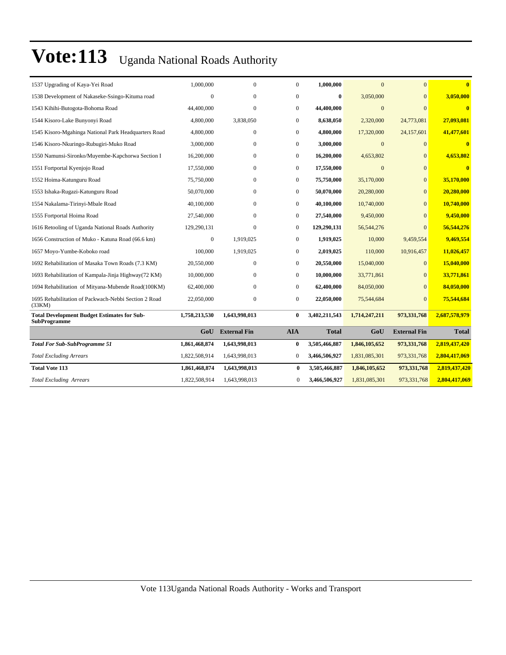| 1537 Upgrading of Kaya-Yei Road                                    | 1,000,000     | $\mathbf{0}$        | $\mathbf{0}$ | 1,000,000     | $\Omega$      | $\Omega$            | $\mathbf{0}$            |
|--------------------------------------------------------------------|---------------|---------------------|--------------|---------------|---------------|---------------------|-------------------------|
| 1538 Development of Nakaseke-Ssingo-Kituma road                    | $\mathbf{0}$  | $\mathbf{0}$        | $\mathbf{0}$ | $\bf{0}$      | 3,050,000     | $\mathbf{0}$        | 3,050,000               |
| 1543 Kihihi-Butogota-Bohoma Road                                   | 44,400,000    | $\mathbf{0}$        | $\mathbf{0}$ | 44,400,000    | $\Omega$      | $\Omega$            | $\mathbf{0}$            |
| 1544 Kisoro-Lake Bunyonyi Road                                     | 4,800,000     | 3,838,050           | $\mathbf{0}$ | 8,638,050     | 2,320,000     | 24,773,081          | 27,093,081              |
| 1545 Kisoro-Mgahinga National Park Headquarters Road               | 4,800,000     | $\Omega$            | $\Omega$     | 4,800,000     | 17,320,000    | 24,157,601          | 41,477,601              |
| 1546 Kisoro-Nkuringo-Rubugiri-Muko Road                            | 3,000,000     | $\mathbf{0}$        | $\mathbf{0}$ | 3,000,000     | $\mathbf{0}$  | $\Omega$            | $\bf{0}$                |
| 1550 Namunsi-Sironko/Muyembe-Kapchorwa Section I                   | 16,200,000    | $\mathbf{0}$        | $\mathbf{0}$ | 16,200,000    | 4,653,802     | $\Omega$            | 4,653,802               |
| 1551 Fortportal Kyenjojo Road                                      | 17,550,000    | $\boldsymbol{0}$    | $\mathbf{0}$ | 17,550,000    | $\mathbf{0}$  | $\Omega$            | $\overline{\mathbf{0}}$ |
| 1552 Hoima-Katunguru Road                                          | 75,750,000    | $\mathbf{0}$        | $\mathbf{0}$ | 75,750,000    | 35,170,000    | $\overline{0}$      | 35,170,000              |
| 1553 Ishaka-Rugazi-Katunguru Road                                  | 50,070,000    | $\mathbf{0}$        | $\mathbf{0}$ | 50,070,000    | 20,280,000    | $\Omega$            | 20,280,000              |
| 1554 Nakalama-Tirinyi-Mbale Road                                   | 40,100,000    | $\mathbf{0}$        | $\mathbf{0}$ | 40,100,000    | 10,740,000    | $\Omega$            | 10,740,000              |
| 1555 Fortportal Hoima Road                                         | 27,540,000    | $\Omega$            | $\mathbf{0}$ | 27,540,000    | 9,450,000     | $\Omega$            | 9,450,000               |
| 1616 Retooling of Uganda National Roads Authority                  | 129,290,131   | $\mathbf{0}$        | $\mathbf{0}$ | 129,290,131   | 56, 544, 276  | $\Omega$            | 56,544,276              |
| 1656 Construction of Muko - Katuna Road (66.6 km)                  | $\mathbf{0}$  | 1,919,025           | $\mathbf{0}$ | 1,919,025     | 10,000        | 9,459,554           | 9,469,554               |
| 1657 Moyo-Yumbe-Koboko road                                        | 100,000       | 1,919,025           | $\mathbf{0}$ | 2,019,025     | 110,000       | 10,916,457          | 11,026,457              |
| 1692 Rehabilitation of Masaka Town Roads (7.3 KM)                  | 20,550,000    | $\mathbf{0}$        | $\mathbf{0}$ | 20,550,000    | 15,040,000    | $\Omega$            | 15,040,000              |
| 1693 Rehabilitation of Kampala-Jinja Highway(72 KM)                | 10,000,000    | $\mathbf{0}$        | $\mathbf{0}$ | 10,000,000    | 33,771,861    | $\mathbf{0}$        | 33,771,861              |
| 1694 Rehabilitation of Mityana-Mubende Road(100KM)                 | 62,400,000    | $\Omega$            | $\mathbf{0}$ | 62,400,000    | 84,050,000    | $\Omega$            | 84,050,000              |
| 1695 Rehabilitation of Packwach-Nebbi Section 2 Road<br>(33KM)     | 22,050,000    | $\mathbf{0}$        | $\mathbf{0}$ | 22,050,000    | 75,544,684    | $\Omega$            | 75,544,684              |
| <b>Total Development Budget Estimates for Sub-</b><br>SubProgramme | 1,758,213,530 | 1,643,998,013       | $\bf{0}$     | 3,402,211,543 | 1,714,247,211 | 973,331,768         | 2,687,578,979           |
|                                                                    | GoU           | <b>External Fin</b> | <b>AIA</b>   | <b>Total</b>  | GoU           | <b>External Fin</b> | <b>Total</b>            |
| <b>Total For Sub-SubProgramme 51</b>                               | 1,861,468,874 | 1,643,998,013       | 0            | 3,505,466,887 | 1,846,105,652 | 973,331,768         | 2,819,437,420           |
| <b>Total Excluding Arrears</b>                                     | 1,822,508,914 | 1,643,998,013       | $\mathbf{0}$ | 3,466,506,927 | 1,831,085,301 | 973, 331, 768       | 2,804,417,069           |
| <b>Total Vote 113</b>                                              | 1,861,468,874 | 1,643,998,013       | $\bf{0}$     | 3,505,466,887 | 1,846,105,652 | 973,331,768         | 2,819,437,420           |
| <b>Total Excluding Arrears</b>                                     | 1,822,508,914 | 1,643,998,013       | $\Omega$     | 3,466,506,927 | 1,831,085,301 | 973,331,768         | 2,804,417,069           |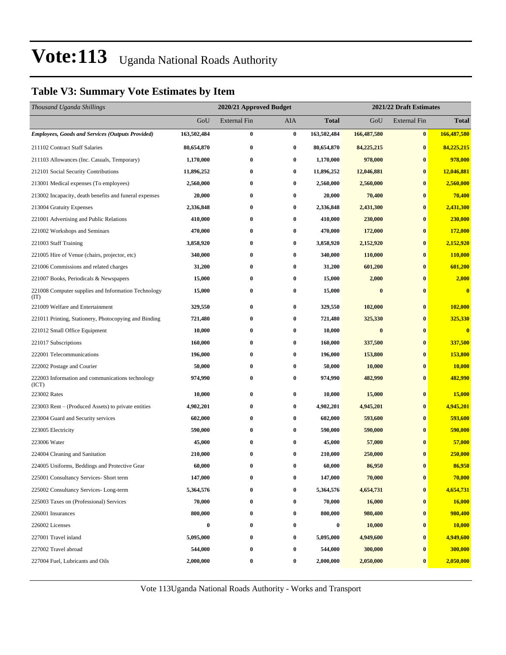### **Table V3: Summary Vote Estimates by Item**

| Thousand Uganda Shillings                                   |             | 2020/21 Approved Budget |          | 2021/22 Draft Estimates |              |                     |               |  |
|-------------------------------------------------------------|-------------|-------------------------|----------|-------------------------|--------------|---------------------|---------------|--|
|                                                             | GoU         | <b>External Fin</b>     | AIA      | <b>Total</b>            | GoU          | <b>External Fin</b> | <b>Total</b>  |  |
| <b>Employees, Goods and Services (Outputs Provided)</b>     | 163,502,484 | $\bf{0}$                | $\bf{0}$ | 163,502,484             | 166,487,580  | $\bf{0}$            | 166,487,580   |  |
| 211102 Contract Staff Salaries                              | 80,654,870  | $\bf{0}$                | 0        | 80,654,870              | 84, 225, 215 | $\bf{0}$            | 84,225,215    |  |
| 211103 Allowances (Inc. Casuals, Temporary)                 | 1,170,000   | $\bf{0}$                | 0        | 1,170,000               | 978,000      | $\bf{0}$            | 978,000       |  |
| 212101 Social Security Contributions                        | 11,896,252  | $\bf{0}$                | 0        | 11,896,252              | 12,046,881   | $\bf{0}$            | 12,046,881    |  |
| 213001 Medical expenses (To employees)                      | 2,560,000   | 0                       | 0        | 2,560,000               | 2,560,000    | $\bf{0}$            | 2,560,000     |  |
| 213002 Incapacity, death benefits and funeral expenses      | 20,000      | $\bf{0}$                | 0        | 20,000                  | 70,400       | $\bf{0}$            | 70,400        |  |
| 213004 Gratuity Expenses                                    | 2,336,848   | $\bf{0}$                | 0        | 2,336,848               | 2,431,300    | $\bf{0}$            | 2,431,300     |  |
| 221001 Advertising and Public Relations                     | 410,000     | $\bf{0}$                | $\bf{0}$ | 410,000                 | 230,000      | $\bf{0}$            | 230,000       |  |
| 221002 Workshops and Seminars                               | 470,000     | $\bf{0}$                | 0        | 470,000                 | 172,000      | $\bf{0}$            | 172,000       |  |
| 221003 Staff Training                                       | 3,858,920   | 0                       | 0        | 3,858,920               | 2,152,920    | $\bf{0}$            | 2,152,920     |  |
| 221005 Hire of Venue (chairs, projector, etc)               | 340,000     | $\bf{0}$                | 0        | 340,000                 | 110,000      | $\bf{0}$            | 110,000       |  |
| 221006 Commissions and related charges                      | 31,200      | $\bf{0}$                | 0        | 31,200                  | 601,200      | $\bf{0}$            | 601,200       |  |
| 221007 Books, Periodicals & Newspapers                      | 15,000      | $\bf{0}$                | 0        | 15,000                  | 2,000        | $\bf{0}$            | 2,000         |  |
| 221008 Computer supplies and Information Technology<br>(TT) | 15,000      | $\bf{0}$                | 0        | 15,000                  | $\bf{0}$     | $\bf{0}$            | $\bf{0}$      |  |
| 221009 Welfare and Entertainment                            | 329,550     | $\bf{0}$                | 0        | 329,550                 | 102,000      | $\bf{0}$            | 102,000       |  |
| 221011 Printing, Stationery, Photocopying and Binding       | 721,480     | $\bf{0}$                | $\bf{0}$ | 721,480                 | 325,330      | $\bf{0}$            | 325,330       |  |
| 221012 Small Office Equipment                               | 10,000      | $\bf{0}$                | 0        | 10,000                  | $\bf{0}$     | $\bf{0}$            | $\bf{0}$      |  |
| 221017 Subscriptions                                        | 160,000     | $\bf{0}$                | 0        | 160,000                 | 337,500      | $\bf{0}$            | 337,500       |  |
| 222001 Telecommunications                                   | 196,000     | $\bf{0}$                | 0        | 196,000                 | 153,800      | $\bf{0}$            | 153,800       |  |
| 222002 Postage and Courier                                  | 50,000      | $\bf{0}$                | 0        | 50,000                  | 10,000       | $\bf{0}$            | <b>10,000</b> |  |
| 222003 Information and communications technology<br>(ICT)   | 974,990     | $\bf{0}$                | 0        | 974,990                 | 482,990      | $\bf{0}$            | 482,990       |  |
| 223002 Rates                                                | 10,000      | $\bf{0}$                | 0        | 10,000                  | 15,000       | $\bf{0}$            | 15,000        |  |
| 223003 Rent – (Produced Assets) to private entities         | 4,902,201   | $\bf{0}$                | 0        | 4,902,201               | 4,945,201    | $\bf{0}$            | 4,945,201     |  |
| 223004 Guard and Security services                          | 602,000     | $\bf{0}$                | 0        | 602,000                 | 593,600      | $\bf{0}$            | 593,600       |  |
| 223005 Electricity                                          | 590,000     | $\bf{0}$                | 0        | 590,000                 | 590,000      | $\bf{0}$            | 590,000       |  |
| 223006 Water                                                | 45,000      | $\bf{0}$                | 0        | 45,000                  | 57,000       | $\bf{0}$            | 57,000        |  |
| 224004 Cleaning and Sanitation                              | 210,000     | 0                       | 0        | 210,000                 | 250,000      | $\bf{0}$            | 250,000       |  |
| 224005 Uniforms, Beddings and Protective Gear               | 60,000      | $\bf{0}$                | 0        | 60,000                  | 86,950       | $\bf{0}$            | 86,950        |  |
| 225001 Consultancy Services- Short term                     | 147,000     | $\bf{0}$                | 0        | 147,000                 | 70,000       | $\bf{0}$            | 70,000        |  |
| 225002 Consultancy Services-Long-term                       | 5,364,576   | $\bf{0}$                | 0        | 5,364,576               | 4,654,731    | $\bf{0}$            | 4,654,731     |  |
| 225003 Taxes on (Professional) Services                     | 70,000      | $\boldsymbol{0}$        | $\bf{0}$ | 70,000                  | 16,000       | $\bf{0}$            | 16,000        |  |
| 226001 Insurances                                           | 800,000     | $\bf{0}$                | 0        | 800,000                 | 980,400      | $\bf{0}$            | 980,400       |  |
| 226002 Licenses                                             | $\bf{0}$    | $\bf{0}$                | 0        | $\boldsymbol{0}$        | 10,000       | $\bf{0}$            | 10,000        |  |
| 227001 Travel inland                                        | 5,095,000   | $\bf{0}$                | 0        | 5,095,000               | 4,949,600    | $\bf{0}$            | 4,949,600     |  |
| 227002 Travel abroad                                        | 544,000     | $\bf{0}$                | 0        | 544,000                 | 300,000      | $\bf{0}$            | 300,000       |  |
| 227004 Fuel, Lubricants and Oils                            | 2,000,000   | $\boldsymbol{0}$        | 0        | 2,000,000               | 2,050,000    | $\bf{0}$            | 2,050,000     |  |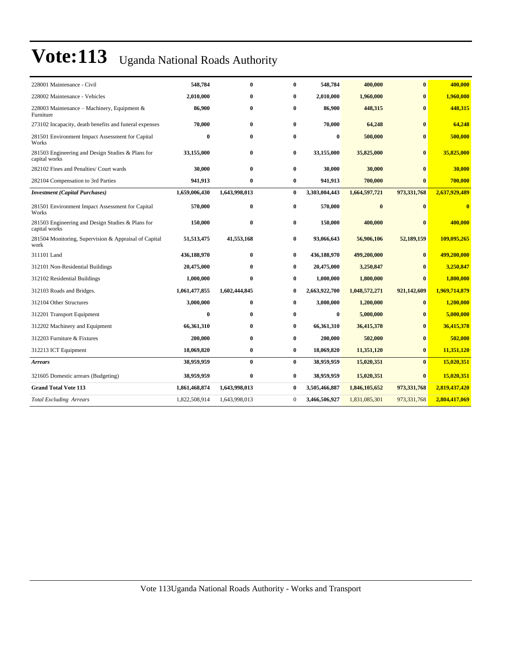| 228001 Maintenance - Civil                                         | 548,784       | $\bf{0}$      | 0            | 548,784       | 400,000       | $\bf{0}$     | 400,000       |
|--------------------------------------------------------------------|---------------|---------------|--------------|---------------|---------------|--------------|---------------|
| 228002 Maintenance - Vehicles                                      | 2,010,000     | $\bf{0}$      | $\bf{0}$     | 2,010,000     | 1,960,000     | $\mathbf{0}$ | 1,960,000     |
| 228003 Maintenance – Machinery, Equipment &<br>Furniture           | 86,900        | $\bf{0}$      | $\bf{0}$     | 86,900        | 448,315       | $\mathbf{0}$ | 448,315       |
| 273102 Incapacity, death benefits and funeral expenses             | 70,000        | $\bf{0}$      | $\bf{0}$     | 70,000        | 64,248        | $\bf{0}$     | 64,248        |
| 281501 Environment Impact Assessment for Capital<br>Works          | $\bf{0}$      | $\mathbf{0}$  | 0            | $\bf{0}$      | 500,000       | $\mathbf{0}$ | 500,000       |
| 281503 Engineering and Design Studies & Plans for<br>capital works | 33,155,000    | $\bf{0}$      | 0            | 33,155,000    | 35,825,000    | $\bf{0}$     | 35,825,000    |
| 282102 Fines and Penalties/ Court wards                            | 30,000        | $\bf{0}$      | 0            | 30,000        | 30,000        | $\mathbf{0}$ | 30,000        |
| 282104 Compensation to 3rd Parties                                 | 941,913       | $\bf{0}$      | 0            | 941,913       | 700,000       | $\mathbf{0}$ | 700,000       |
| <b>Investment</b> (Capital Purchases)                              | 1,659,006,430 | 1,643,998,013 | $\bf{0}$     | 3,303,004,443 | 1,664,597,721 | 973,331,768  | 2,637,929,489 |
| 281501 Environment Impact Assessment for Capital<br>Works          | 570,000       | $\bf{0}$      | $\bf{0}$     | 570,000       | $\bf{0}$      | $\mathbf{0}$ | $\bf{0}$      |
| 281503 Engineering and Design Studies & Plans for<br>capital works | 150,000       | $\bf{0}$      | 0            | 150,000       | 400,000       | $\mathbf{0}$ | 400,000       |
| 281504 Monitoring, Supervision & Appraisal of Capital<br>work      | 51,513,475    | 41,553,168    | 0            | 93,066,643    | 56,906,106    | 52,189,159   | 109,095,265   |
| 311101 Land                                                        | 436,188,970   | $\bf{0}$      | $\bf{0}$     | 436,188,970   | 499,200,000   | $\bf{0}$     | 499,200,000   |
| 312101 Non-Residential Buildings                                   | 20,475,000    | $\bf{0}$      | $\bf{0}$     | 20,475,000    | 3,250,847     | $\mathbf{0}$ | 3,250,847     |
| 312102 Residential Buildings                                       | 1,000,000     | $\bf{0}$      | $\bf{0}$     | 1,000,000     | 1,800,000     | $\bf{0}$     | 1,800,000     |
| 312103 Roads and Bridges.                                          | 1,061,477,855 | 1,602,444,845 | $\bf{0}$     | 2,663,922,700 | 1,048,572,271 | 921,142,609  | 1,969,714,879 |
| 312104 Other Structures                                            | 3,000,000     | $\bf{0}$      | $\bf{0}$     | 3,000,000     | 1,200,000     | $\mathbf{0}$ | 1,200,000     |
| 312201 Transport Equipment                                         | $\bf{0}$      | $\bf{0}$      | $\bf{0}$     | $\bf{0}$      | 5,000,000     | $\bf{0}$     | 5,000,000     |
| 312202 Machinery and Equipment                                     | 66,361,310    | $\mathbf{0}$  | $\bf{0}$     | 66,361,310    | 36,415,378    | $\mathbf{0}$ | 36,415,378    |
| 312203 Furniture & Fixtures                                        | 200,000       | $\mathbf{0}$  | $\bf{0}$     | 200,000       | 502,000       | $\mathbf{0}$ | 502,000       |
| 312213 ICT Equipment                                               | 18,069,820    | $\bf{0}$      | $\bf{0}$     | 18,069,820    | 11,351,120    | $\bf{0}$     | 11,351,120    |
| <b>Arrears</b>                                                     | 38,959,959    | $\bf{0}$      | $\bf{0}$     | 38,959,959    | 15,020,351    | $\bf{0}$     | 15,020,351    |
| 321605 Domestic arrears (Budgeting)                                | 38,959,959    | $\bf{0}$      | $\bf{0}$     | 38,959,959    | 15,020,351    | $\bf{0}$     | 15,020,351    |
| <b>Grand Total Vote 113</b>                                        | 1,861,468,874 | 1,643,998,013 | $\bf{0}$     | 3,505,466,887 | 1,846,105,652 | 973,331,768  | 2,819,437,420 |
| <b>Total Excluding Arrears</b>                                     | 1,822,508,914 | 1,643,998,013 | $\mathbf{0}$ | 3,466,506,927 | 1,831,085,301 | 973,331,768  | 2,804,417,069 |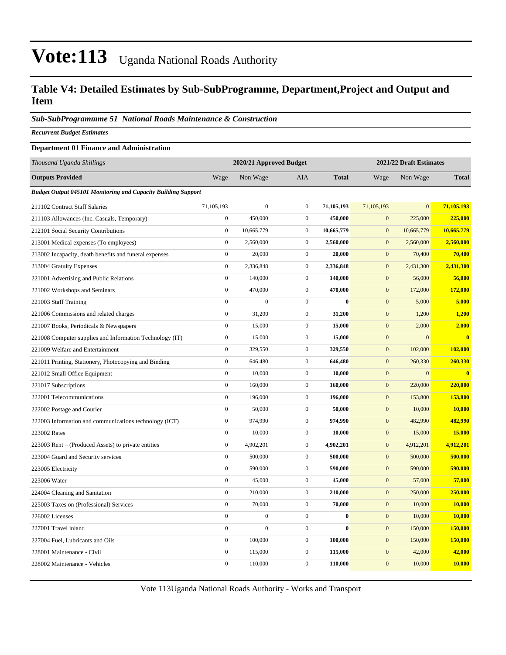### **Table V4: Detailed Estimates by Sub-SubProgramme, Department,Project and Output and Item**

#### *Sub-SubProgrammme 51 National Roads Maintenance & Construction*

*Recurrent Budget Estimates*

#### **Department 01 Finance and Administration**

| Thousand Uganda Shillings                                            |                  | 2020/21 Approved Budget |                  |              |                  | 2021/22 Draft Estimates |              |
|----------------------------------------------------------------------|------------------|-------------------------|------------------|--------------|------------------|-------------------------|--------------|
| <b>Outputs Provided</b>                                              | Wage             | Non Wage                | <b>AIA</b>       | <b>Total</b> | Wage             | Non Wage                | <b>Total</b> |
| <b>Budget Output 045101 Monitoring and Capacity Building Support</b> |                  |                         |                  |              |                  |                         |              |
| 211102 Contract Staff Salaries                                       | 71,105,193       | $\overline{0}$          | $\mathbf{0}$     | 71,105,193   | 71,105,193       | $\overline{0}$          | 71,105,193   |
| 211103 Allowances (Inc. Casuals, Temporary)                          | $\mathbf{0}$     | 450,000                 | $\mathbf{0}$     | 450,000      | $\overline{0}$   | 225,000                 | 225,000      |
| 212101 Social Security Contributions                                 | $\boldsymbol{0}$ | 10,665,779              | $\mathbf{0}$     | 10,665,779   | $\boldsymbol{0}$ | 10,665,779              | 10,665,779   |
| 213001 Medical expenses (To employees)                               | $\boldsymbol{0}$ | 2,560,000               | $\mathbf{0}$     | 2,560,000    | $\mathbf{0}$     | 2,560,000               | 2,560,000    |
| 213002 Incapacity, death benefits and funeral expenses               | $\boldsymbol{0}$ | 20,000                  | $\boldsymbol{0}$ | 20,000       | $\mathbf{0}$     | 70,400                  | 70,400       |
| 213004 Gratuity Expenses                                             | $\boldsymbol{0}$ | 2,336,848               | $\boldsymbol{0}$ | 2,336,848    | $\boldsymbol{0}$ | 2,431,300               | 2,431,300    |
| 221001 Advertising and Public Relations                              | $\boldsymbol{0}$ | 140,000                 | $\boldsymbol{0}$ | 140,000      | $\mathbf{0}$     | 56,000                  | 56,000       |
| 221002 Workshops and Seminars                                        | $\mathbf{0}$     | 470,000                 | $\boldsymbol{0}$ | 470,000      | $\mathbf{0}$     | 172,000                 | 172,000      |
| 221003 Staff Training                                                | $\mathbf{0}$     | $\overline{0}$          | $\mathbf{0}$     | $\bf{0}$     | $\boldsymbol{0}$ | 5,000                   | 5,000        |
| 221006 Commissions and related charges                               | $\boldsymbol{0}$ | 31,200                  | $\boldsymbol{0}$ | 31,200       | $\mathbf{0}$     | 1,200                   | 1,200        |
| 221007 Books, Periodicals & Newspapers                               | $\boldsymbol{0}$ | 15,000                  | $\boldsymbol{0}$ | 15,000       | $\mathbf{0}$     | 2,000                   | 2,000        |
| 221008 Computer supplies and Information Technology (IT)             | $\boldsymbol{0}$ | 15,000                  | $\boldsymbol{0}$ | 15,000       | $\mathbf{0}$     | $\overline{0}$          | $\bf{0}$     |
| 221009 Welfare and Entertainment                                     | $\boldsymbol{0}$ | 329,550                 | $\boldsymbol{0}$ | 329,550      | $\boldsymbol{0}$ | 102,000                 | 102,000      |
| 221011 Printing, Stationery, Photocopying and Binding                | $\boldsymbol{0}$ | 646,480                 | $\boldsymbol{0}$ | 646,480      | $\boldsymbol{0}$ | 260,330                 | 260,330      |
| 221012 Small Office Equipment                                        | $\mathbf{0}$     | 10,000                  | $\boldsymbol{0}$ | 10,000       | $\mathbf{0}$     | $\overline{0}$          | $\mathbf{0}$ |
| 221017 Subscriptions                                                 | $\boldsymbol{0}$ | 160,000                 | $\boldsymbol{0}$ | 160,000      | $\boldsymbol{0}$ | 220,000                 | 220,000      |
| 222001 Telecommunications                                            | $\boldsymbol{0}$ | 196,000                 | $\boldsymbol{0}$ | 196,000      | $\mathbf{0}$     | 153,800                 | 153,800      |
| 222002 Postage and Courier                                           | $\boldsymbol{0}$ | 50,000                  | $\boldsymbol{0}$ | 50,000       | $\mathbf{0}$     | 10,000                  | 10,000       |
| 222003 Information and communications technology (ICT)               | $\mathbf{0}$     | 974,990                 | $\boldsymbol{0}$ | 974,990      | $\overline{0}$   | 482,990                 | 482,990      |
| 223002 Rates                                                         | $\boldsymbol{0}$ | 10,000                  | $\boldsymbol{0}$ | 10,000       | $\boldsymbol{0}$ | 15,000                  | 15,000       |
| 223003 Rent – (Produced Assets) to private entities                  | $\boldsymbol{0}$ | 4,902,201               | $\boldsymbol{0}$ | 4,902,201    | $\boldsymbol{0}$ | 4,912,201               | 4,912,201    |
| 223004 Guard and Security services                                   | $\mathbf{0}$     | 500,000                 | $\boldsymbol{0}$ | 500,000      | $\mathbf{0}$     | 500,000                 | 500,000      |
| 223005 Electricity                                                   | $\boldsymbol{0}$ | 590,000                 | $\boldsymbol{0}$ | 590,000      | $\boldsymbol{0}$ | 590,000                 | 590,000      |
| 223006 Water                                                         | $\boldsymbol{0}$ | 45,000                  | $\boldsymbol{0}$ | 45,000       | $\mathbf{0}$     | 57,000                  | 57,000       |
| 224004 Cleaning and Sanitation                                       | $\boldsymbol{0}$ | 210,000                 | $\boldsymbol{0}$ | 210,000      | $\mathbf{0}$     | 250,000                 | 250,000      |
| 225003 Taxes on (Professional) Services                              | $\mathbf{0}$     | 70,000                  | $\boldsymbol{0}$ | 70,000       | $\boldsymbol{0}$ | 10,000                  | 10,000       |
| 226002 Licenses                                                      | $\mathbf{0}$     | $\boldsymbol{0}$        | $\boldsymbol{0}$ | $\bf{0}$     | $\boldsymbol{0}$ | 10,000                  | 10,000       |
| 227001 Travel inland                                                 | $\boldsymbol{0}$ | $\overline{0}$          | $\boldsymbol{0}$ | $\bf{0}$     | $\mathbf{0}$     | 150,000                 | 150,000      |
| 227004 Fuel, Lubricants and Oils                                     | $\mathbf{0}$     | 100,000                 | $\mathbf{0}$     | 100,000      | $\mathbf{0}$     | 150,000                 | 150,000      |
| 228001 Maintenance - Civil                                           | $\boldsymbol{0}$ | 115,000                 | $\boldsymbol{0}$ | 115,000      | $\boldsymbol{0}$ | 42,000                  | 42,000       |
| 228002 Maintenance - Vehicles                                        | $\boldsymbol{0}$ | 110,000                 | $\boldsymbol{0}$ | 110,000      | $\mathbf{0}$     | 10,000                  | 10,000       |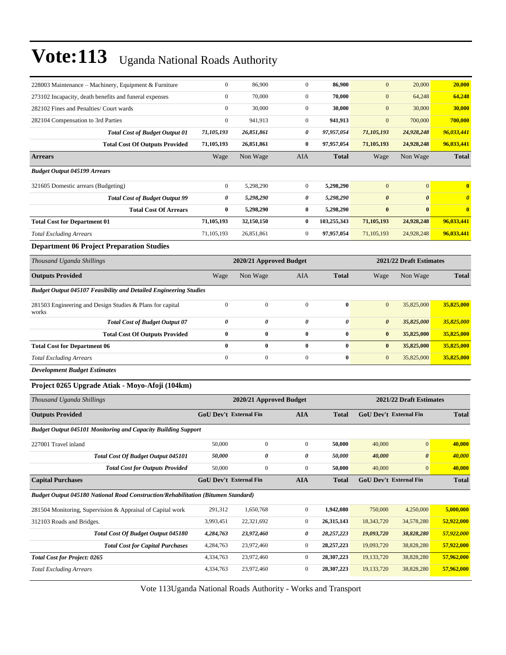| 228003 Maintenance – Machinery, Equipment & Furniture                             | $\boldsymbol{0}$ | 86,900                        | $\boldsymbol{0}$ | 86,900       | $\mathbf{0}$          | 20,000                        | 20,000                |
|-----------------------------------------------------------------------------------|------------------|-------------------------------|------------------|--------------|-----------------------|-------------------------------|-----------------------|
| 273102 Incapacity, death benefits and funeral expenses                            | $\boldsymbol{0}$ | 70,000                        | $\boldsymbol{0}$ | 70,000       | $\mathbf{0}$          | 64,248                        | 64,248                |
| 282102 Fines and Penalties/ Court wards                                           | $\boldsymbol{0}$ | 30,000                        | $\boldsymbol{0}$ | 30,000       | $\mathbf{0}$          | 30,000                        | 30,000                |
| 282104 Compensation to 3rd Parties                                                | $\mathbf{0}$     | 941,913                       | $\boldsymbol{0}$ | 941,913      | $\mathbf{0}$          | 700,000                       | 700,000               |
| <b>Total Cost of Budget Output 01</b>                                             | 71,105,193       | 26,851,861                    | 0                | 97,957,054   | 71,105,193            | 24,928,248                    | 96,033,441            |
| <b>Total Cost Of Outputs Provided</b>                                             | 71,105,193       | 26,851,861                    | 0                | 97,957,054   | 71,105,193            | 24,928,248                    | 96,033,441            |
| <b>Arrears</b>                                                                    | Wage             | Non Wage                      | AIA              | <b>Total</b> | Wage                  | Non Wage                      | <b>Total</b>          |
| <b>Budget Output 045199 Arrears</b>                                               |                  |                               |                  |              |                       |                               |                       |
| 321605 Domestic arrears (Budgeting)                                               | $\boldsymbol{0}$ | 5,298,290                     | $\boldsymbol{0}$ | 5,298,290    | $\mathbf{0}$          | $\mathbf{0}$                  | $\bf{0}$              |
| <b>Total Cost of Budget Output 99</b>                                             | 0                | 5,298,290                     | 0                | 5,298,290    | $\boldsymbol{\theta}$ | $\boldsymbol{\theta}$         | $\boldsymbol{\theta}$ |
| <b>Total Cost Of Arrears</b>                                                      | $\bf{0}$         | 5,298,290                     | 0                | 5,298,290    | $\bf{0}$              | $\bf{0}$                      | $\bf{0}$              |
| <b>Total Cost for Department 01</b>                                               | 71,105,193       | 32,150,150                    | 0                | 103,255,343  | 71,105,193            | 24,928,248                    | 96,033,441            |
| <b>Total Excluding Arrears</b>                                                    | 71,105,193       | 26,851,861                    | 0                | 97,957,054   | 71, 105, 193          | 24,928,248                    | 96,033,441            |
| <b>Department 06 Project Preparation Studies</b>                                  |                  |                               |                  |              |                       |                               |                       |
| Thousand Uganda Shillings                                                         |                  | 2020/21 Approved Budget       |                  |              |                       | 2021/22 Draft Estimates       |                       |
| <b>Outputs Provided</b>                                                           | Wage             | Non Wage                      | AIA              | <b>Total</b> | Wage                  | Non Wage                      | <b>Total</b>          |
| <b>Budget Output 045107 Feasibility and Detailed Engineering Studies</b>          |                  |                               |                  |              |                       |                               |                       |
| 281503 Engineering and Design Studies & Plans for capital<br>works                | $\boldsymbol{0}$ | $\boldsymbol{0}$              | $\mathbf{0}$     | $\bf{0}$     | $\mathbf{0}$          | 35,825,000                    | 35,825,000            |
| <b>Total Cost of Budget Output 07</b>                                             | 0                | 0                             | 0                | 0            | $\boldsymbol{\theta}$ | 35,825,000                    | 35,825,000            |
| <b>Total Cost Of Outputs Provided</b>                                             | $\bf{0}$         | $\bf{0}$                      | $\bf{0}$         | $\bf{0}$     | $\bf{0}$              | 35,825,000                    | 35,825,000            |
| <b>Total Cost for Department 06</b>                                               | $\bf{0}$         | $\bf{0}$                      | $\bf{0}$         | $\bf{0}$     | $\bf{0}$              | 35,825,000                    | 35,825,000            |
| <b>Total Excluding Arrears</b>                                                    | $\boldsymbol{0}$ | $\boldsymbol{0}$              | $\overline{0}$   | $\bf{0}$     | $\mathbf{0}$          | 35,825,000                    | 35,825,000            |
| <b>Development Budget Estimates</b>                                               |                  |                               |                  |              |                       |                               |                       |
| Project 0265 Upgrade Atiak - Moyo-Afoji (104km)                                   |                  |                               |                  |              |                       |                               |                       |
| Thousand Uganda Shillings                                                         |                  | 2020/21 Approved Budget       |                  |              |                       | 2021/22 Draft Estimates       |                       |
| <b>Outputs Provided</b>                                                           |                  | <b>GoU Dev't External Fin</b> | <b>AIA</b>       | Total        |                       | <b>GoU Dev't External Fin</b> | <b>Total</b>          |
| <b>Budget Output 045101 Monitoring and Capacity Building Support</b>              |                  |                               |                  |              |                       |                               |                       |
| 227001 Travel inland                                                              | 50,000           | $\boldsymbol{0}$              | $\boldsymbol{0}$ | 50,000       | 40,000                | $\mathbf{0}$                  | 40,000                |
| Total Cost Of Budget Output 045101                                                | 50,000           | 0                             | 0                | 50,000       | 40,000                | $\pmb{\theta}$                | 40,000                |
| <b>Total Cost for Outputs Provided</b>                                            | 50,000           | $\boldsymbol{0}$              | $\boldsymbol{0}$ | 50,000       | 40,000                | $\mathbf{0}$                  | 40,000                |
| <b>Capital Purchases</b>                                                          |                  | <b>GoU Dev't External Fin</b> | <b>AIA</b>       | <b>Total</b> |                       | <b>GoU Dev't External Fin</b> | <b>Total</b>          |
| Budget Output 045180 National Road Construction/Rehabilitation (Bitumen Standard) |                  |                               |                  |              |                       |                               |                       |
| 281504 Monitoring, Supervision & Appraisal of Capital work                        | 291,312          | 1,650,768                     | $\boldsymbol{0}$ | 1,942,080    | 750,000               | 4,250,000                     | 5,000,000             |
| 312103 Roads and Bridges.                                                         | 3,993,451        | 22,321,692                    | $\boldsymbol{0}$ | 26,315,143   | 18,343,720            | 34,578,280                    | 52,922,000            |
| Total Cost Of Budget Output 045180                                                | 4,284,763        | 23,972,460                    | 0                | 28,257,223   | 19,093,720            | 38,828,280                    | 57,922,000            |
| <b>Total Cost for Capital Purchases</b>                                           | 4,284,763        | 23,972,460                    | $\boldsymbol{0}$ | 28, 257, 223 | 19,093,720            | 38,828,280                    | 57,922,000            |
| <b>Total Cost for Project: 0265</b>                                               | 4,334,763        | 23,972,460                    | $\boldsymbol{0}$ | 28,307,223   | 19, 133, 720          | 38,828,280                    | 57,962,000            |
| <b>Total Excluding Arrears</b>                                                    | 4,334,763        | 23,972,460                    | $\boldsymbol{0}$ | 28,307,223   | 19,133,720            | 38,828,280                    | 57,962,000            |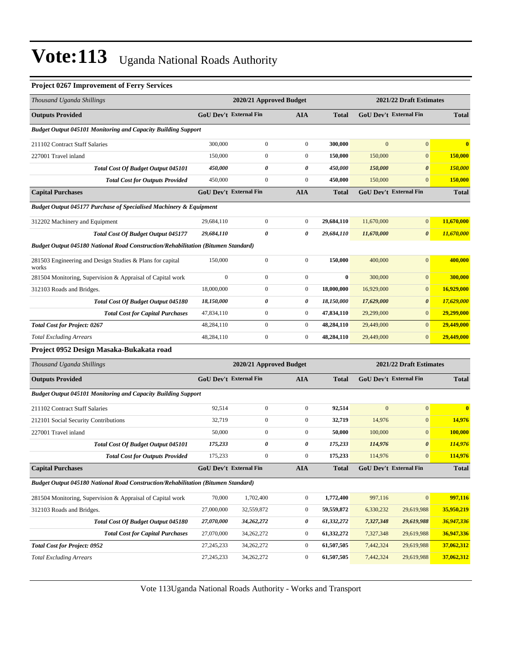#### **Project 0267 Improvement of Ferry Services**

| Thousand Uganda Shillings                                                         |                               | 2020/21 Approved Budget |                  |                         |              | 2021/22 Draft Estimates       |                |
|-----------------------------------------------------------------------------------|-------------------------------|-------------------------|------------------|-------------------------|--------------|-------------------------------|----------------|
| <b>Outputs Provided</b>                                                           | <b>GoU Dev't External Fin</b> |                         | AIA              | <b>Total</b>            |              | GoU Dev't External Fin        | <b>Total</b>   |
| <b>Budget Output 045101 Monitoring and Capacity Building Support</b>              |                               |                         |                  |                         |              |                               |                |
| 211102 Contract Staff Salaries                                                    | 300,000                       | $\overline{0}$          | $\boldsymbol{0}$ | 300,000                 | $\mathbf{0}$ | $\mathbf{0}$                  | $\bf{0}$       |
| 227001 Travel inland                                                              | 150,000                       | $\boldsymbol{0}$        | $\boldsymbol{0}$ | 150,000                 | 150,000      | $\mathbf{0}$                  | 150,000        |
| <b>Total Cost Of Budget Output 045101</b>                                         | 450,000                       | 0                       | 0                | 450,000                 | 150,000      | $\boldsymbol{\theta}$         | <b>150,000</b> |
| <b>Total Cost for Outputs Provided</b>                                            | 450,000                       | $\boldsymbol{0}$        | $\boldsymbol{0}$ | 450,000                 | 150,000      | $\mathbf{0}$                  | <b>150,000</b> |
| <b>Capital Purchases</b>                                                          | GoU Dev't External Fin        |                         | <b>AIA</b>       | <b>Total</b>            |              | <b>GoU Dev't External Fin</b> | <b>Total</b>   |
| <b>Budget Output 045177 Purchase of Specialised Machinery &amp; Equipment</b>     |                               |                         |                  |                         |              |                               |                |
| 312202 Machinery and Equipment                                                    | 29,684,110                    | $\boldsymbol{0}$        | $\boldsymbol{0}$ | 29,684,110              | 11,670,000   | $\boldsymbol{0}$              | 11,670,000     |
| <b>Total Cost Of Budget Output 045177</b>                                         | 29,684,110                    | 0                       | 0                | 29,684,110              | 11,670,000   | $\boldsymbol{\theta}$         | 11,670,000     |
| Budget Output 045180 National Road Construction/Rehabilitation (Bitumen Standard) |                               |                         |                  |                         |              |                               |                |
| 281503 Engineering and Design Studies & Plans for capital<br>works                | 150,000                       | $\boldsymbol{0}$        | $\boldsymbol{0}$ | 150,000                 | 400,000      | $\mathbf{0}$                  | 400,000        |
| 281504 Monitoring, Supervision & Appraisal of Capital work                        | $\boldsymbol{0}$              | $\boldsymbol{0}$        | $\boldsymbol{0}$ | $\boldsymbol{0}$        | 300,000      | $\boldsymbol{0}$              | 300,000        |
| 312103 Roads and Bridges.                                                         | 18,000,000                    | $\boldsymbol{0}$        | $\boldsymbol{0}$ | 18,000,000              | 16,929,000   | $\boldsymbol{0}$              | 16,929,000     |
| Total Cost Of Budget Output 045180                                                | 18,150,000                    | 0                       | 0                | 18,150,000              | 17,629,000   | $\boldsymbol{\theta}$         | 17,629,000     |
| <b>Total Cost for Capital Purchases</b>                                           | 47,834,110                    | $\boldsymbol{0}$        | $\boldsymbol{0}$ | 47,834,110              | 29,299,000   | $\mathbf{0}$                  | 29,299,000     |
| <b>Total Cost for Project: 0267</b>                                               | 48,284,110                    | $\mathbf{0}$            | $\boldsymbol{0}$ | 48,284,110              | 29,449,000   | $\mathbf{0}$                  | 29,449,000     |
| <b>Total Excluding Arrears</b>                                                    | 48,284,110                    | $\boldsymbol{0}$        | $\boldsymbol{0}$ | 48,284,110              | 29,449,000   | $\boldsymbol{0}$              | 29,449,000     |
| Project 0952 Design Masaka-Bukakata road                                          |                               |                         |                  |                         |              |                               |                |
| Thousand Uganda Shillings                                                         |                               | 2020/21 Approved Budget |                  | 2021/22 Draft Estimates |              |                               |                |
| <b>Outputs Provided</b>                                                           | <b>GoU Dev't External Fin</b> |                         | <b>AIA</b>       | <b>Total</b>            |              | <b>GoU Dev't External Fin</b> | <b>Total</b>   |
| <b>Budget Output 045101 Monitoring and Capacity Building Support</b>              |                               |                         |                  |                         |              |                               |                |
| 211102 Contract Staff Salaries                                                    | 92,514                        | $\boldsymbol{0}$        | $\mathbf{0}$     | 92,514                  | $\mathbf{0}$ | $\boldsymbol{0}$              | $\bf{0}$       |
| 212101 Social Security Contributions                                              | 32,719                        | $\boldsymbol{0}$        | $\boldsymbol{0}$ | 32,719                  | 14,976       | $\boldsymbol{0}$              | 14,976         |
| 227001 Travel inland                                                              | 50,000                        | $\boldsymbol{0}$        | $\boldsymbol{0}$ | 50,000                  | 100,000      | $\mathbf{0}$                  | 100,000        |
| <b>Total Cost Of Budget Output 045101</b>                                         | 175,233                       | 0                       | 0                | 175,233                 | 114,976      | $\boldsymbol{\theta}$         | 114,976        |
| <b>Total Cost for Outputs Provided</b>                                            | 175,233                       | $\boldsymbol{0}$        | $\boldsymbol{0}$ | 175,233                 | 114,976      | $\boldsymbol{0}$              | 114,976        |
| <b>Capital Purchases</b>                                                          | GoU Dev't External Fin        |                         | <b>AIA</b>       | <b>Total</b>            |              | GoU Dev't External Fin        | <b>Total</b>   |
| Budget Output 045180 National Road Construction/Rehabilitation (Bitumen Standard) |                               |                         |                  |                         |              |                               |                |
| 281504 Monitoring, Supervision & Appraisal of Capital work                        | 70,000                        | 1,702,400               | $\boldsymbol{0}$ | 1,772,400               | 997,116      | $\mathbf{0}$                  | 997,116        |
| 312103 Roads and Bridges.                                                         | 27,000,000                    | 32,559,872              | $\boldsymbol{0}$ | 59,559,872              | 6,330,232    | 29,619,988                    | 35,950,219     |
| Total Cost Of Budget Output 045180                                                | 27,070,000                    | 34,262,272              | 0                | 61,332,272              | 7,327,348    | 29,619,988                    | 36,947,336     |
| <b>Total Cost for Capital Purchases</b>                                           | 27,070,000                    | 34,262,272              | $\boldsymbol{0}$ | 61,332,272              | 7,327,348    | 29,619,988                    | 36,947,336     |
| <b>Total Cost for Project: 0952</b>                                               | 27, 245, 233                  | 34,262,272              | $\boldsymbol{0}$ | 61,507,505              | 7,442,324    | 29,619,988                    | 37,062,312     |
| <b>Total Excluding Arrears</b>                                                    | 27, 245, 233                  | 34,262,272              | $\boldsymbol{0}$ | 61,507,505              | 7,442,324    | 29,619,988                    | 37,062,312     |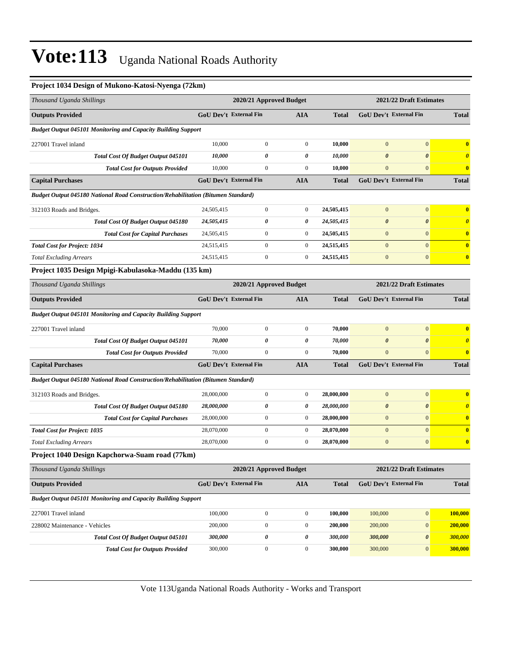| Project 1034 Design of Mukono-Katosi-Nyenga (72km)                                |                        |                         |                  |              |                        |                         |                       |
|-----------------------------------------------------------------------------------|------------------------|-------------------------|------------------|--------------|------------------------|-------------------------|-----------------------|
| Thousand Uganda Shillings                                                         |                        | 2020/21 Approved Budget |                  |              |                        | 2021/22 Draft Estimates |                       |
| <b>Outputs Provided</b>                                                           | GoU Dev't External Fin |                         | AIA              | <b>Total</b> | GoU Dev't External Fin |                         | <b>Total</b>          |
| <b>Budget Output 045101 Monitoring and Capacity Building Support</b>              |                        |                         |                  |              |                        |                         |                       |
| 227001 Travel inland                                                              | 10,000                 | $\overline{0}$          | $\mathbf{0}$     | 10,000       | $\mathbf{0}$           | $\mathbf{0}$            | $\bf{0}$              |
| <b>Total Cost Of Budget Output 045101</b>                                         | 10,000                 | $\boldsymbol{\theta}$   | 0                | 10,000       | $\boldsymbol{\theta}$  | $\boldsymbol{\theta}$   | $\boldsymbol{\theta}$ |
| <b>Total Cost for Outputs Provided</b>                                            | 10,000                 | $\boldsymbol{0}$        | $\boldsymbol{0}$ | 10,000       | $\mathbf{0}$           | $\mathbf{0}$            | $\bf{0}$              |
| <b>Capital Purchases</b>                                                          | GoU Dev't External Fin |                         | <b>AIA</b>       | <b>Total</b> | GoU Dev't External Fin |                         | <b>Total</b>          |
| Budget Output 045180 National Road Construction/Rehabilitation (Bitumen Standard) |                        |                         |                  |              |                        |                         |                       |
| 312103 Roads and Bridges.                                                         | 24,505,415             | $\boldsymbol{0}$        | $\boldsymbol{0}$ | 24,505,415   | $\boldsymbol{0}$       | $\mathbf{0}$            | $\bf{0}$              |
| Total Cost Of Budget Output 045180                                                | 24,505,415             | 0                       | 0                | 24,505,415   | $\boldsymbol{\theta}$  | $\boldsymbol{\theta}$   | $\boldsymbol{\theta}$ |
| <b>Total Cost for Capital Purchases</b>                                           | 24,505,415             | $\boldsymbol{0}$        | $\boldsymbol{0}$ | 24,505,415   | $\boldsymbol{0}$       | $\mathbf{0}$            | $\bf{0}$              |
| <b>Total Cost for Project: 1034</b>                                               | 24,515,415             | $\overline{0}$          | $\boldsymbol{0}$ | 24,515,415   | $\mathbf{0}$           | $\mathbf{0}$            | $\bf{0}$              |
| <b>Total Excluding Arrears</b>                                                    | 24,515,415             | $\boldsymbol{0}$        | $\boldsymbol{0}$ | 24,515,415   | $\boldsymbol{0}$       | $\mathbf{0}$            | $\bf{0}$              |
| Project 1035 Design Mpigi-Kabulasoka-Maddu (135 km)                               |                        |                         |                  |              |                        |                         |                       |
| Thousand Uganda Shillings                                                         |                        | 2020/21 Approved Budget |                  |              |                        | 2021/22 Draft Estimates |                       |
| <b>Outputs Provided</b>                                                           | GoU Dev't External Fin |                         | <b>AIA</b>       | <b>Total</b> | GoU Dev't External Fin |                         | <b>Total</b>          |
| <b>Budget Output 045101 Monitoring and Capacity Building Support</b>              |                        |                         |                  |              |                        |                         |                       |
| 227001 Travel inland                                                              | 70,000                 | $\boldsymbol{0}$        | $\mathbf{0}$     | 70,000       | $\mathbf{0}$           | $\mathbf{0}$            | $\bf{0}$              |
| Total Cost Of Budget Output 045101                                                | 70,000                 | 0                       | 0                | 70,000       | $\boldsymbol{\theta}$  | $\boldsymbol{\theta}$   | $\boldsymbol{\theta}$ |
| <b>Total Cost for Outputs Provided</b>                                            | 70,000                 | $\overline{0}$          | $\overline{0}$   | 70,000       | $\overline{0}$         | $\mathbf{0}$            | $\bf{0}$              |
| <b>Capital Purchases</b>                                                          | GoU Dev't External Fin |                         | <b>AIA</b>       | <b>Total</b> | GoU Dev't External Fin |                         | <b>Total</b>          |
| Budget Output 045180 National Road Construction/Rehabilitation (Bitumen Standard) |                        |                         |                  |              |                        |                         |                       |
| 312103 Roads and Bridges.                                                         | 28,000,000             | $\overline{0}$          | $\boldsymbol{0}$ | 28,000,000   | $\mathbf{0}$           | $\mathbf{0}$            | $\bf{0}$              |
| Total Cost Of Budget Output 045180                                                | 28,000,000             | 0                       | 0                | 28,000,000   | $\boldsymbol{\theta}$  | $\boldsymbol{\theta}$   | $\boldsymbol{\theta}$ |
| <b>Total Cost for Capital Purchases</b>                                           | 28,000,000             | $\boldsymbol{0}$        | $\boldsymbol{0}$ | 28,000,000   | $\boldsymbol{0}$       | $\mathbf{0}$            | $\bf{0}$              |
| <b>Total Cost for Project: 1035</b>                                               | 28,070,000             | $\boldsymbol{0}$        | $\boldsymbol{0}$ | 28,070,000   | $\boldsymbol{0}$       | $\mathbf{0}$            | $\bf{0}$              |
| <b>Total Excluding Arrears</b>                                                    | 28,070,000             | $\mathbf{0}$            | $\boldsymbol{0}$ | 28,070,000   | $\boldsymbol{0}$       | $\mathbf{0}$            | $\bf{0}$              |
| Project 1040 Design Kapchorwa-Suam road (77km)                                    |                        |                         |                  |              |                        |                         |                       |
| Thousand Uganda Shillings                                                         |                        | 2020/21 Approved Budget |                  |              |                        | 2021/22 Draft Estimates |                       |
| <b>Outputs Provided</b>                                                           | GoU Dev't External Fin |                         | <b>AIA</b>       | <b>Total</b> | GoU Dev't External Fin |                         | <b>Total</b>          |
| <b>Budget Output 045101 Monitoring and Capacity Building Support</b>              |                        |                         |                  |              |                        |                         |                       |
| 227001 Travel inland                                                              | 100,000                | $\boldsymbol{0}$        | $\boldsymbol{0}$ | 100,000      | 100,000                | $\boldsymbol{0}$        | 100,000               |
| 228002 Maintenance - Vehicles                                                     | 200,000                | $\boldsymbol{0}$        | $\boldsymbol{0}$ | 200,000      | 200,000                | $\boldsymbol{0}$        | 200,000               |
| <b>Total Cost Of Budget Output 045101</b>                                         | 300,000                | 0                       | 0                | 300,000      | 300,000                | $\boldsymbol{\theta}$   | 300,000               |
| <b>Total Cost for Outputs Provided</b>                                            | 300,000                | $\boldsymbol{0}$        | $\boldsymbol{0}$ | 300,000      | 300,000                | $\boldsymbol{0}$        | 300,000               |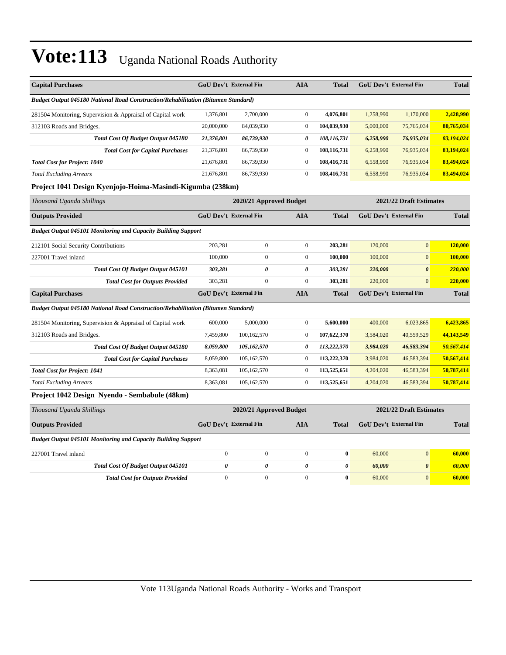| <b>Capital Purchases</b>                                                          | <b>GoU Dev't External Fin</b> |                         | <b>AIA</b>            | <b>Total</b>          |           | <b>GoU Dev't External Fin</b> | <b>Total</b> |
|-----------------------------------------------------------------------------------|-------------------------------|-------------------------|-----------------------|-----------------------|-----------|-------------------------------|--------------|
| Budget Output 045180 National Road Construction/Rehabilitation (Bitumen Standard) |                               |                         |                       |                       |           |                               |              |
| 281504 Monitoring, Supervision & Appraisal of Capital work                        | 1,376,801                     | 2,700,000               | $\mathbf{0}$          | 4,076,801             | 1,258,990 | 1,170,000                     | 2,428,990    |
| 312103 Roads and Bridges.                                                         | 20,000,000                    | 84,039,930              | $\boldsymbol{0}$      | 104,039,930           | 5,000,000 | 75,765,034                    | 80,765,034   |
| Total Cost Of Budget Output 045180                                                | 21,376,801                    | 86,739,930              | 0                     | 108,116,731           | 6,258,990 | 76,935,034                    | 83,194,024   |
| <b>Total Cost for Capital Purchases</b>                                           | 21,376,801                    | 86,739,930              | $\boldsymbol{0}$      | 108,116,731           | 6,258,990 | 76,935,034                    | 83,194,024   |
| <b>Total Cost for Project: 1040</b>                                               | 21,676,801                    | 86,739,930              | $\boldsymbol{0}$      | 108,416,731           | 6,558,990 | 76,935,034                    | 83,494,024   |
| <b>Total Excluding Arrears</b>                                                    | 21,676,801                    | 86,739,930              | $\boldsymbol{0}$      | 108,416,731           | 6,558,990 | 76,935,034                    | 83,494,024   |
| Project 1041 Design Kyenjojo-Hoima-Masindi-Kigumba (238km)                        |                               |                         |                       |                       |           |                               |              |
| Thousand Uganda Shillings                                                         |                               | 2020/21 Approved Budget |                       |                       |           | 2021/22 Draft Estimates       |              |
| <b>Outputs Provided</b>                                                           | GoU Dev't External Fin        |                         | <b>AIA</b>            | <b>Total</b>          |           | GoU Dev't External Fin        | <b>Total</b> |
| <b>Budget Output 045101 Monitoring and Capacity Building Support</b>              |                               |                         |                       |                       |           |                               |              |
| 212101 Social Security Contributions                                              | 203,281                       | $\boldsymbol{0}$        | $\boldsymbol{0}$      | 203,281               | 120,000   | $\overline{0}$                | 120,000      |
| 227001 Travel inland                                                              | 100,000                       | $\overline{0}$          | $\boldsymbol{0}$      | 100,000               | 100,000   | $\overline{0}$                | 100,000      |
| Total Cost Of Budget Output 045101                                                | 303,281                       | 0                       | 0                     | 303,281               | 220,000   | $\boldsymbol{\theta}$         | 220,000      |
| <b>Total Cost for Outputs Provided</b>                                            | 303,281                       | $\overline{0}$          | $\mathbf{0}$          | 303,281               | 220,000   | $\mathbf{0}$                  | 220,000      |
| <b>Capital Purchases</b>                                                          | <b>GoU Dev't External Fin</b> |                         | <b>AIA</b>            | <b>Total</b>          |           | <b>GoU Dev't External Fin</b> | <b>Total</b> |
| Budget Output 045180 National Road Construction/Rehabilitation (Bitumen Standard) |                               |                         |                       |                       |           |                               |              |
| 281504 Monitoring, Supervision & Appraisal of Capital work                        | 600,000                       | 5,000,000               | $\boldsymbol{0}$      | 5,600,000             | 400,000   | 6,023,865                     | 6,423,865    |
| 312103 Roads and Bridges.                                                         | 7,459,800                     | 100,162,570             | $\mathbf{0}$          | 107,622,370           | 3,584,020 | 40,559,529                    | 44,143,549   |
| Total Cost Of Budget Output 045180                                                | 8,059,800                     | 105,162,570             | 0                     | 113,222,370           | 3,984,020 | 46,583,394                    | 50,567,414   |
| <b>Total Cost for Capital Purchases</b>                                           | 8,059,800                     | 105,162,570             | $\boldsymbol{0}$      | 113,222,370           | 3,984,020 | 46,583,394                    | 50,567,414   |
| <b>Total Cost for Project: 1041</b>                                               | 8,363,081                     | 105,162,570             | $\boldsymbol{0}$      | 113,525,651           | 4,204,020 | 46,583,394                    | 50,787,414   |
| <b>Total Excluding Arrears</b>                                                    | 8,363,081                     | 105,162,570             | $\boldsymbol{0}$      | 113,525,651           | 4,204,020 | 46,583,394                    | 50,787,414   |
| Project 1042 Design Nyendo - Sembabule (48km)                                     |                               |                         |                       |                       |           |                               |              |
| Thousand Uganda Shillings                                                         |                               | 2020/21 Approved Budget |                       |                       |           | 2021/22 Draft Estimates       |              |
| <b>Outputs Provided</b>                                                           | <b>GoU Dev't External Fin</b> |                         | <b>AIA</b>            | <b>Total</b>          |           | <b>GoU Dev't External Fin</b> | <b>Total</b> |
| <b>Budget Output 045101 Monitoring and Capacity Building Support</b>              |                               |                         |                       |                       |           |                               |              |
| 227001 Travel inland                                                              | $\boldsymbol{0}$              | $\boldsymbol{0}$        | $\boldsymbol{0}$      | $\bf{0}$              | 60,000    | $\overline{0}$                | 60,000       |
| Total Cost Of Budget Output 045101                                                | $\boldsymbol{\theta}$         | 0                       | $\boldsymbol{\theta}$ | $\boldsymbol{\theta}$ | 60,000    | $\boldsymbol{\theta}$         | 60,000       |
| <b>Total Cost for Outputs Provided</b>                                            | $\mathbf{0}$                  | $\overline{0}$          | $\mathbf{0}$          | $\bf{0}$              | 60,000    | $\mathbf{0}$                  | 60,000       |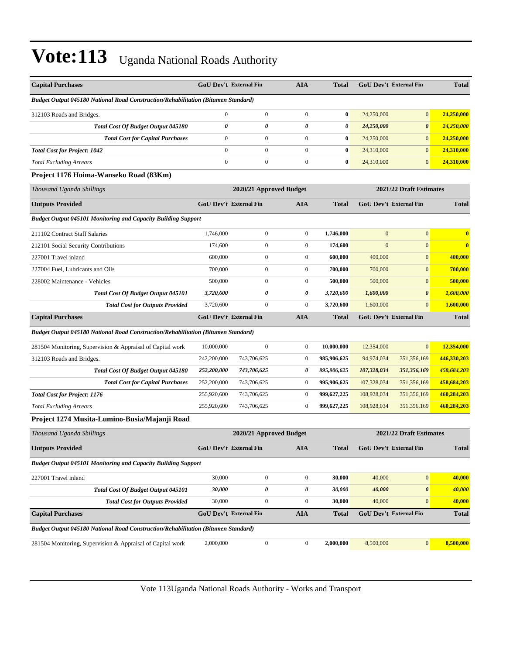| <b>Capital Purchases</b>                                                          | <b>GoU Dev't External Fin</b> |                         | <b>AIA</b>       | <b>Total</b>          |              | <b>GoU Dev't External Fin</b> | <b>Total</b> |
|-----------------------------------------------------------------------------------|-------------------------------|-------------------------|------------------|-----------------------|--------------|-------------------------------|--------------|
| Budget Output 045180 National Road Construction/Rehabilitation (Bitumen Standard) |                               |                         |                  |                       |              |                               |              |
| 312103 Roads and Bridges.                                                         | $\boldsymbol{0}$              | $\mathbf{0}$            | $\boldsymbol{0}$ | $\bf{0}$              | 24,250,000   | $\overline{0}$                | 24,250,000   |
| Total Cost Of Budget Output 045180                                                | $\boldsymbol{\theta}$         | 0                       | 0                | $\boldsymbol{\theta}$ | 24,250,000   | $\boldsymbol{\theta}$         | 24,250,000   |
| <b>Total Cost for Capital Purchases</b>                                           | $\boldsymbol{0}$              | $\mathbf{0}$            | $\boldsymbol{0}$ | $\bf{0}$              | 24,250,000   | $\mathbf{0}$                  | 24,250,000   |
| <b>Total Cost for Project: 1042</b>                                               | $\overline{0}$                | $\overline{0}$          | $\boldsymbol{0}$ | $\bf{0}$              | 24,310,000   | $\overline{0}$                | 24,310,000   |
| <b>Total Excluding Arrears</b>                                                    | $\boldsymbol{0}$              | $\boldsymbol{0}$        | $\boldsymbol{0}$ | $\bf{0}$              | 24,310,000   | $\overline{0}$                | 24,310,000   |
| Project 1176 Hoima-Wanseko Road (83Km)                                            |                               |                         |                  |                       |              |                               |              |
| Thousand Uganda Shillings                                                         |                               | 2020/21 Approved Budget |                  |                       |              | 2021/22 Draft Estimates       |              |
| <b>Outputs Provided</b>                                                           | GoU Dev't External Fin        |                         | <b>AIA</b>       | <b>Total</b>          |              | GoU Dev't External Fin        | <b>Total</b> |
| <b>Budget Output 045101 Monitoring and Capacity Building Support</b>              |                               |                         |                  |                       |              |                               |              |
| 211102 Contract Staff Salaries                                                    | 1,746,000                     | $\boldsymbol{0}$        | $\boldsymbol{0}$ | 1,746,000             | $\mathbf{0}$ | $\overline{0}$                | $\bf{0}$     |
| 212101 Social Security Contributions                                              | 174,600                       | $\overline{0}$          | $\boldsymbol{0}$ | 174,600               | $\mathbf{0}$ | $\overline{0}$                | $\bf{0}$     |
| 227001 Travel inland                                                              | 600,000                       | $\boldsymbol{0}$        | $\boldsymbol{0}$ | 600,000               | 400,000      | $\mathbf{0}$                  | 400,000      |
| 227004 Fuel, Lubricants and Oils                                                  | 700,000                       | $\boldsymbol{0}$        | $\boldsymbol{0}$ | 700,000               | 700,000      | $\mathbf{0}$                  | 700,000      |
| 228002 Maintenance - Vehicles                                                     | 500,000                       | $\mathbf{0}$            | $\boldsymbol{0}$ | 500,000               | 500,000      | $\mathbf{0}$                  | 500,000      |
| Total Cost Of Budget Output 045101                                                | 3,720,600                     | 0                       | 0                | 3,720,600             | 1,600,000    | $\boldsymbol{\theta}$         | 1,600,000    |
| <b>Total Cost for Outputs Provided</b>                                            | 3,720,600                     | $\boldsymbol{0}$        | $\boldsymbol{0}$ | 3,720,600             | 1,600,000    | $\overline{0}$                | 1,600,000    |
| <b>Capital Purchases</b>                                                          | <b>GoU Dev't External Fin</b> |                         | <b>AIA</b>       | <b>Total</b>          |              | <b>GoU Dev't External Fin</b> | <b>Total</b> |
| Budget Output 045180 National Road Construction/Rehabilitation (Bitumen Standard) |                               |                         |                  |                       |              |                               |              |
| 281504 Monitoring, Supervision & Appraisal of Capital work                        | 10,000,000                    | $\mathbf{0}$            | $\boldsymbol{0}$ | 10,000,000            | 12,354,000   | $\overline{0}$                | 12,354,000   |
| 312103 Roads and Bridges.                                                         | 242,200,000                   | 743,706,625             | $\boldsymbol{0}$ | 985,906,625           | 94,974,034   | 351,356,169                   | 446,330,203  |
| Total Cost Of Budget Output 045180                                                | 252,200,000                   | 743,706,625             | 0                | 995,906,625           | 107,328,034  | 351,356,169                   | 458,684,203  |
| <b>Total Cost for Capital Purchases</b>                                           | 252,200,000                   | 743,706,625             | $\bf{0}$         | 995,906,625           | 107,328,034  | 351,356,169                   | 458,684,203  |
| <b>Total Cost for Project: 1176</b>                                               | 255,920,600                   | 743,706,625             | $\boldsymbol{0}$ | 999,627,225           | 108,928,034  | 351,356,169                   | 460,284,203  |
| <b>Total Excluding Arrears</b>                                                    | 255,920,600                   | 743,706,625             | $\boldsymbol{0}$ | 999,627,225           | 108,928,034  | 351,356,169                   | 460,284,203  |
| Project 1274 Musita-Lumino-Busia/Majanji Road                                     |                               |                         |                  |                       |              |                               |              |
| Thousand Uganda Shillings                                                         |                               | 2020/21 Approved Budget |                  |                       |              | 2021/22 Draft Estimates       |              |
| <b>Outputs Provided</b>                                                           | GoU Dev't External Fin        |                         | <b>AIA</b>       | <b>Total</b>          |              | GoU Dev't External Fin        | <b>Total</b> |
| <b>Budget Output 045101 Monitoring and Capacity Building Support</b>              |                               |                         |                  |                       |              |                               |              |
| 227001 Travel inland                                                              | 30,000                        | $\boldsymbol{0}$        | $\boldsymbol{0}$ | 30,000                | 40,000       | $\boldsymbol{0}$              | 40,000       |
| <b>Total Cost Of Budget Output 045101</b>                                         | 30,000                        | 0                       | 0                | 30,000                | 40,000       | 0                             | 40,000       |
| <b>Total Cost for Outputs Provided</b>                                            | 30,000                        | $\boldsymbol{0}$        | $\boldsymbol{0}$ | 30,000                | 40,000       | $\overline{0}$                | 40,000       |
| <b>Capital Purchases</b>                                                          | GoU Dev't External Fin        |                         | <b>AIA</b>       | <b>Total</b>          |              | <b>GoU Dev't External Fin</b> | <b>Total</b> |
| Budget Output 045180 National Road Construction/Rehabilitation (Bitumen Standard) |                               |                         |                  |                       |              |                               |              |
| 281504 Monitoring, Supervision & Appraisal of Capital work                        | 2,000,000                     | $\boldsymbol{0}$        | $\boldsymbol{0}$ | 2,000,000             | 8,500,000    | $\vert 0 \vert$               | 8,500,000    |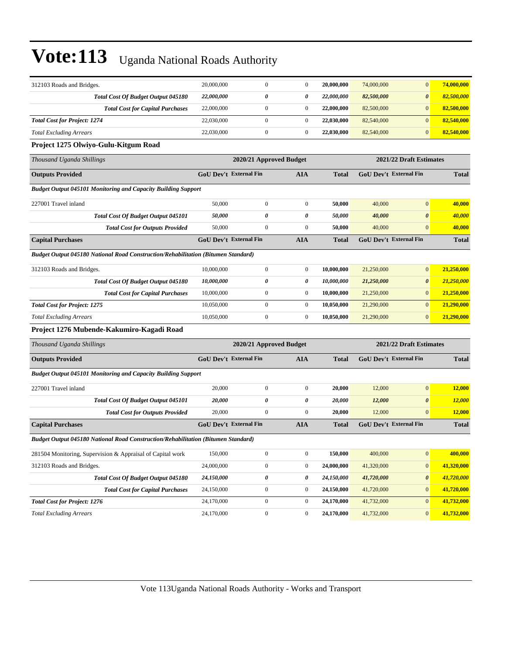| 312103 Roads and Bridges.                                                         | 20,000,000                    | $\mathbf{0}$            | $\mathbf{0}$     | 20,000,000   | 74,000,000              | $\mathbf{0}$                  | 74,000,000    |
|-----------------------------------------------------------------------------------|-------------------------------|-------------------------|------------------|--------------|-------------------------|-------------------------------|---------------|
| <b>Total Cost Of Budget Output 045180</b>                                         | 22,000,000                    | 0                       | 0                | 22,000,000   | 82,500,000              | $\boldsymbol{\theta}$         | 82,500,000    |
| <b>Total Cost for Capital Purchases</b>                                           | 22,000,000                    | $\boldsymbol{0}$        | $\boldsymbol{0}$ | 22,000,000   | 82,500,000              | $\boldsymbol{0}$              | 82,500,000    |
| <b>Total Cost for Project: 1274</b>                                               | 22,030,000                    | $\boldsymbol{0}$        | $\boldsymbol{0}$ | 22,030,000   | 82,540,000              | $\mathbf{0}$                  | 82,540,000    |
| <b>Total Excluding Arrears</b>                                                    | 22,030,000                    | $\boldsymbol{0}$        | $\boldsymbol{0}$ | 22,030,000   | 82,540,000              | $\mathbf{0}$                  | 82,540,000    |
| Project 1275 Olwiyo-Gulu-Kitgum Road                                              |                               |                         |                  |              |                         |                               |               |
| Thousand Uganda Shillings                                                         |                               | 2020/21 Approved Budget |                  |              |                         | 2021/22 Draft Estimates       |               |
| <b>Outputs Provided</b>                                                           | <b>GoU Dev't External Fin</b> |                         | AIA              | Total        |                         | GoU Dev't External Fin        | <b>Total</b>  |
| <b>Budget Output 045101 Monitoring and Capacity Building Support</b>              |                               |                         |                  |              |                         |                               |               |
| 227001 Travel inland                                                              | 50,000                        | $\boldsymbol{0}$        | $\boldsymbol{0}$ | 50,000       | 40,000                  | $\mathbf{0}$                  | 40,000        |
| <b>Total Cost Of Budget Output 045101</b>                                         | 50,000                        | 0                       | 0                | 50,000       | 40,000                  | $\boldsymbol{\theta}$         | 40,000        |
| <b>Total Cost for Outputs Provided</b>                                            | 50,000                        | $\mathbf{0}$            | $\boldsymbol{0}$ | 50,000       | 40,000                  | $\mathbf{0}$                  | 40,000        |
| <b>Capital Purchases</b>                                                          | <b>GoU Dev't External Fin</b> |                         | <b>AIA</b>       | Total        |                         | <b>GoU Dev't External Fin</b> | <b>Total</b>  |
| Budget Output 045180 National Road Construction/Rehabilitation (Bitumen Standard) |                               |                         |                  |              |                         |                               |               |
| 312103 Roads and Bridges.                                                         | 10,000,000                    | $\boldsymbol{0}$        | $\boldsymbol{0}$ | 10,000,000   | 21,250,000              | $\mathbf{0}$                  | 21,250,000    |
| <b>Total Cost Of Budget Output 045180</b>                                         | 10,000,000                    | 0                       | 0                | 10,000,000   | 21,250,000              | $\boldsymbol{\theta}$         | 21,250,000    |
| <b>Total Cost for Capital Purchases</b>                                           | 10,000,000                    | $\boldsymbol{0}$        | $\boldsymbol{0}$ | 10,000,000   | 21,250,000              | $\mathbf{0}$                  | 21,250,000    |
| <b>Total Cost for Project: 1275</b>                                               | 10.050.000                    | $\boldsymbol{0}$        | $\boldsymbol{0}$ | 10,050,000   | 21,290,000              | $\mathbf{0}$                  | 21,290,000    |
| <b>Total Excluding Arrears</b>                                                    | 10,050,000                    | $\boldsymbol{0}$        | $\boldsymbol{0}$ | 10,050,000   | 21,290,000              | $\mathbf{0}$                  | 21,290,000    |
| Project 1276 Mubende-Kakumiro-Kagadi Road                                         |                               |                         |                  |              |                         |                               |               |
| Thousand Uganda Shillings                                                         |                               | 2020/21 Approved Budget |                  |              | 2021/22 Draft Estimates |                               |               |
| <b>Outputs Provided</b>                                                           | GoU Dev't External Fin        |                         | <b>AIA</b>       | <b>Total</b> |                         | <b>GoU Dev't External Fin</b> | <b>Total</b>  |
| <b>Budget Output 045101 Monitoring and Capacity Building Support</b>              |                               |                         |                  |              |                         |                               |               |
| 227001 Travel inland                                                              | 20,000                        | $\boldsymbol{0}$        | $\boldsymbol{0}$ | 20,000       | 12,000                  | $\boldsymbol{0}$              | 12,000        |
| Total Cost Of Budget Output 045101                                                | 20,000                        | 0                       | 0                | 20,000       | 12,000                  | $\boldsymbol{\theta}$         | <b>12,000</b> |
| <b>Total Cost for Outputs Provided</b>                                            | 20,000                        | $\boldsymbol{0}$        | $\mathbf{0}$     | 20,000       | 12,000                  | $\mathbf{0}$                  | 12,000        |
| <b>Capital Purchases</b>                                                          | <b>GoU Dev't External Fin</b> |                         | <b>AIA</b>       | Total        |                         | <b>GoU Dev't External Fin</b> | <b>Total</b>  |
| Budget Output 045180 National Road Construction/Rehabilitation (Bitumen Standard) |                               |                         |                  |              |                         |                               |               |
| 281504 Monitoring, Supervision & Appraisal of Capital work                        | 150,000                       | $\boldsymbol{0}$        | $\boldsymbol{0}$ | 150,000      | 400,000                 | $\boldsymbol{0}$              | 400,000       |
| 312103 Roads and Bridges.                                                         | 24,000,000                    | $\boldsymbol{0}$        | $\boldsymbol{0}$ | 24,000,000   | 41,320,000              | $\boldsymbol{0}$              | 41,320,000    |
| Total Cost Of Budget Output 045180                                                | 24,150,000                    | 0                       | 0                | 24,150,000   | 41,720,000              | $\pmb{\theta}$                | 41,720,000    |
| <b>Total Cost for Capital Purchases</b>                                           | 24,150,000                    | $\boldsymbol{0}$        | $\boldsymbol{0}$ | 24,150,000   | 41,720,000              | $\boldsymbol{0}$              | 41,720,000    |
| <b>Total Cost for Project: 1276</b>                                               | 24,170,000                    | $\boldsymbol{0}$        | $\boldsymbol{0}$ | 24,170,000   | 41,732,000              | $\mathbf{0}$                  | 41,732,000    |
| <b>Total Excluding Arrears</b>                                                    | 24,170,000                    | $\boldsymbol{0}$        | $\boldsymbol{0}$ | 24,170,000   | 41,732,000              | $\boldsymbol{0}$              | 41,732,000    |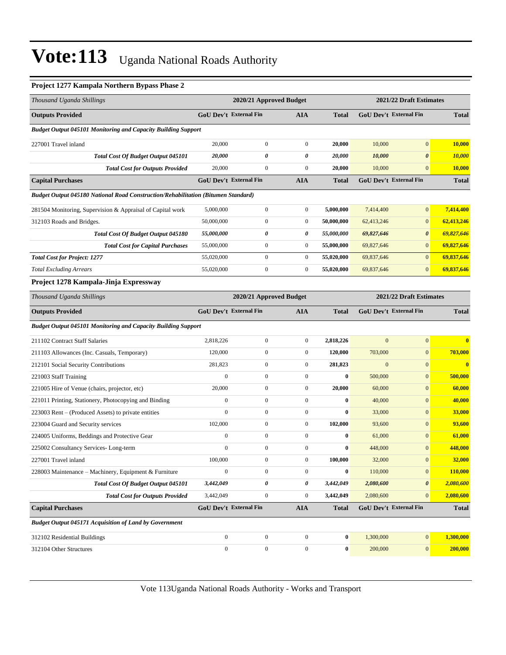#### **Project 1277 Kampala Northern Bypass Phase 2**

| Thousand Uganda Shillings                                                         |                               | 2020/21 Approved Budget |                  |              |                  | 2021/22 Draft Estimates       |              |
|-----------------------------------------------------------------------------------|-------------------------------|-------------------------|------------------|--------------|------------------|-------------------------------|--------------|
| <b>Outputs Provided</b>                                                           | <b>GoU Dev't External Fin</b> |                         | <b>AIA</b>       | <b>Total</b> |                  | <b>GoU Dev't External Fin</b> | <b>Total</b> |
| <b>Budget Output 045101 Monitoring and Capacity Building Support</b>              |                               |                         |                  |              |                  |                               |              |
| 227001 Travel inland                                                              | 20,000                        | $\boldsymbol{0}$        | $\boldsymbol{0}$ | 20,000       | 10,000           | $\overline{0}$                | 10,000       |
| Total Cost Of Budget Output 045101                                                | 20,000                        | 0                       | 0                | 20,000       | 10,000           | 0                             | 10,000       |
| <b>Total Cost for Outputs Provided</b>                                            | 20,000                        | $\boldsymbol{0}$        | $\boldsymbol{0}$ | 20,000       | 10,000           | $\overline{0}$                | 10,000       |
| <b>Capital Purchases</b>                                                          | <b>GoU Dev't External Fin</b> |                         | AIA              | <b>Total</b> |                  | <b>GoU Dev't External Fin</b> | <b>Total</b> |
| Budget Output 045180 National Road Construction/Rehabilitation (Bitumen Standard) |                               |                         |                  |              |                  |                               |              |
| 281504 Monitoring, Supervision & Appraisal of Capital work                        | 5,000,000                     | $\boldsymbol{0}$        | $\boldsymbol{0}$ | 5,000,000    | 7,414,400        | $\mathbf{0}$                  | 7,414,400    |
| 312103 Roads and Bridges.                                                         | 50,000,000                    | $\boldsymbol{0}$        | $\boldsymbol{0}$ | 50,000,000   | 62,413,246       | $\mathbf{0}$                  | 62,413,246   |
| Total Cost Of Budget Output 045180                                                | 55,000,000                    | 0                       | 0                | 55,000,000   | 69,827,646       | 0                             | 69,827,646   |
| <b>Total Cost for Capital Purchases</b>                                           | 55,000,000                    | $\boldsymbol{0}$        | $\boldsymbol{0}$ | 55,000,000   | 69,827,646       | $\overline{0}$                | 69,827,646   |
| <b>Total Cost for Project: 1277</b>                                               | 55,020,000                    | $\boldsymbol{0}$        | $\boldsymbol{0}$ | 55,020,000   | 69,837,646       | $\overline{0}$                | 69,837,646   |
| <b>Total Excluding Arrears</b>                                                    | 55,020,000                    | $\boldsymbol{0}$        | $\boldsymbol{0}$ | 55,020,000   | 69,837,646       | $\mathbf{0}$                  | 69,837,646   |
| Project 1278 Kampala-Jinja Expressway                                             |                               |                         |                  |              |                  |                               |              |
| Thousand Uganda Shillings                                                         | 2020/21 Approved Budget       |                         |                  |              |                  | 2021/22 Draft Estimates       |              |
| <b>Outputs Provided</b>                                                           | <b>GoU Dev't External Fin</b> |                         | AIA              | <b>Total</b> |                  | <b>GoU Dev't External Fin</b> | <b>Total</b> |
| <b>Budget Output 045101 Monitoring and Capacity Building Support</b>              |                               |                         |                  |              |                  |                               |              |
| 211102 Contract Staff Salaries                                                    | 2,818,226                     | $\boldsymbol{0}$        | $\boldsymbol{0}$ | 2,818,226    | $\mathbf{0}$     | $\boldsymbol{0}$              | $\bf{0}$     |
| 211103 Allowances (Inc. Casuals, Temporary)                                       | 120,000                       | $\boldsymbol{0}$        | $\boldsymbol{0}$ | 120,000      | 703,000          | $\mathbf{0}$                  | 703,000      |
| 212101 Social Security Contributions                                              | 281,823                       | $\boldsymbol{0}$        | $\boldsymbol{0}$ | 281,823      | $\boldsymbol{0}$ | $\mathbf{0}$                  | $\mathbf{0}$ |
| 221003 Staff Training                                                             | $\overline{0}$                | $\boldsymbol{0}$        | $\boldsymbol{0}$ | $\bf{0}$     | 500,000          | $\overline{0}$                | 500,000      |
| 221005 Hire of Venue (chairs, projector, etc)                                     | 20,000                        | $\boldsymbol{0}$        | $\boldsymbol{0}$ | 20,000       | 60,000           | $\mathbf{0}$                  | 60,000       |
| 221011 Printing, Stationery, Photocopying and Binding                             | $\boldsymbol{0}$              | $\boldsymbol{0}$        | $\boldsymbol{0}$ | $\bf{0}$     | 40,000           | $\mathbf{0}$                  | 40,000       |
| 223003 Rent – (Produced Assets) to private entities                               | $\mathbf{0}$                  | $\boldsymbol{0}$        | $\boldsymbol{0}$ | $\bf{0}$     | 33,000           | $\mathbf{0}$                  | 33,000       |
| 223004 Guard and Security services                                                | 102,000                       | $\boldsymbol{0}$        | $\boldsymbol{0}$ | 102,000      | 93,600           | $\mathbf{0}$                  | 93,600       |
| 224005 Uniforms, Beddings and Protective Gear                                     | $\boldsymbol{0}$              | $\boldsymbol{0}$        | $\boldsymbol{0}$ | $\bf{0}$     | 61,000           | $\mathbf{0}$                  | 61,000       |
| 225002 Consultancy Services-Long-term                                             | $\boldsymbol{0}$              | $\boldsymbol{0}$        | $\boldsymbol{0}$ | $\bf{0}$     | 448,000          | $\mathbf{0}$                  | 448,000      |
| 227001 Travel inland                                                              | 100,000                       | $\Omega$                | $\Omega$         | 100,000      | 32,000           | $\overline{0}$                | 32,000       |
| 228003 Maintenance - Machinery, Equipment & Furniture                             | $\boldsymbol{0}$              | $\boldsymbol{0}$        | $\boldsymbol{0}$ | $\bf{0}$     | 110,000          | $\mathbf{0}$                  | 110,000      |
| <b>Total Cost Of Budget Output 045101</b>                                         | 3,442,049                     | 0                       | 0                | 3,442,049    | 2,080,600        | 0                             | 2,080,600    |
| <b>Total Cost for Outputs Provided</b>                                            | 3,442,049                     | $\boldsymbol{0}$        | $\boldsymbol{0}$ | 3,442,049    | 2,080,600        | $\mathbf{0}$                  | 2,080,600    |
| <b>Capital Purchases</b>                                                          | GoU Dev't External Fin        |                         | <b>AIA</b>       | <b>Total</b> |                  | <b>GoU Dev't External Fin</b> | <b>Total</b> |
| <b>Budget Output 045171 Acquisition of Land by Government</b>                     |                               |                         |                  |              |                  |                               |              |
| 312102 Residential Buildings                                                      | $\mathbf{0}$                  | $\boldsymbol{0}$        | $\mathbf{0}$     | $\bf{0}$     | 1,300,000        | $\mathbf{0}$                  | 1,300,000    |
| 312104 Other Structures                                                           | $\boldsymbol{0}$              | $\boldsymbol{0}$        | $\boldsymbol{0}$ | $\bf{0}$     | 200,000          | $\mathbf{0}$                  | 200,000      |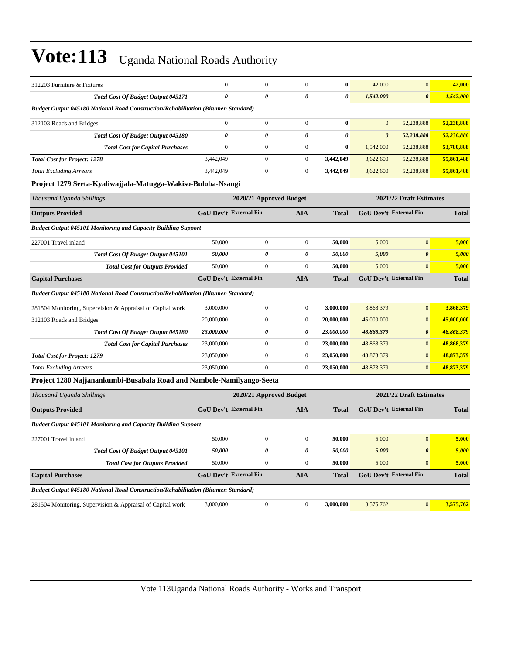| 312203 Furniture & Fixtures                                                              | $\mathbf{0}$                  | $\mathbf{0}$            | $\mathbf{0}$     | $\bf{0}$              | 42,000                  | $\overline{0}$                | 42,000       |
|------------------------------------------------------------------------------------------|-------------------------------|-------------------------|------------------|-----------------------|-------------------------|-------------------------------|--------------|
| <b>Total Cost Of Budget Output 045171</b>                                                | $\boldsymbol{\theta}$         | $\theta$                | 0                | $\boldsymbol{\theta}$ | 1,542,000               | $\boldsymbol{\theta}$         | 1,542,000    |
| Budget Output 045180 National Road Construction/Rehabilitation (Bitumen Standard)        |                               |                         |                  |                       |                         |                               |              |
| 312103 Roads and Bridges.                                                                | $\Omega$                      | $\boldsymbol{0}$        | $\boldsymbol{0}$ | $\mathbf{0}$          | $\Omega$                | 52,238,888                    | 52,238,888   |
| Total Cost Of Budget Output 045180                                                       | $\theta$                      | 0                       | 0                | 0                     | $\boldsymbol{\theta}$   | 52,238,888                    | 52,238,888   |
| <b>Total Cost for Capital Purchases</b>                                                  | $\overline{0}$                | $\overline{0}$          | $\mathbf{0}$     | $\bf{0}$              | 1,542,000               | 52,238,888                    | 53,780,888   |
| <b>Total Cost for Project: 1278</b>                                                      | 3,442,049                     | $\overline{0}$          | $\mathbf{0}$     | 3,442,049             | 3,622,600               | 52,238,888                    | 55,861,488   |
| <b>Total Excluding Arrears</b>                                                           | 3,442,049                     | $\boldsymbol{0}$        | $\boldsymbol{0}$ | 3,442,049             | 3,622,600               | 52,238,888                    | 55,861,488   |
| Project 1279 Seeta-Kyaliwajjala-Matugga-Wakiso-Buloba-Nsangi                             |                               |                         |                  |                       |                         |                               |              |
| Thousand Uganda Shillings                                                                |                               | 2020/21 Approved Budget |                  |                       | 2021/22 Draft Estimates |                               |              |
| <b>Outputs Provided</b>                                                                  | <b>GoU Dev't External Fin</b> |                         | <b>AIA</b>       | <b>Total</b>          |                         | <b>GoU Dev't External Fin</b> | <b>Total</b> |
| <b>Budget Output 045101 Monitoring and Capacity Building Support</b>                     |                               |                         |                  |                       |                         |                               |              |
| 227001 Travel inland                                                                     | 50,000                        | $\overline{0}$          | $\overline{0}$   | 50,000                | 5,000                   | $\overline{0}$                | 5,000        |
| Total Cost Of Budget Output 045101                                                       | 50,000                        | $\theta$                | 0                | 50,000                | 5,000                   | $\boldsymbol{\theta}$         | 5,000        |
| <b>Total Cost for Outputs Provided</b>                                                   | 50,000                        | $\overline{0}$          | $\mathbf{0}$     | 50,000                | 5,000                   | $\overline{0}$                | 5,000        |
| <b>Capital Purchases</b>                                                                 | <b>GoU Dev't External Fin</b> |                         | <b>AIA</b>       | <b>Total</b>          |                         | <b>GoU Dev't External Fin</b> | <b>Total</b> |
| <b>Budget Output 045180 National Road Construction/Rehabilitation (Bitumen Standard)</b> |                               |                         |                  |                       |                         |                               |              |
| 281504 Monitoring, Supervision & Appraisal of Capital work                               | 3,000,000                     | $\boldsymbol{0}$        | $\boldsymbol{0}$ | 3,000,000             | 3,868,379               | $\mathbf{0}$                  | 3,868,379    |
| 312103 Roads and Bridges.                                                                | 20,000,000                    | $\boldsymbol{0}$        | $\boldsymbol{0}$ | 20,000,000            | 45,000,000              | $\mathbf{0}$                  | 45,000,000   |
| Total Cost Of Budget Output 045180                                                       | 23,000,000                    | 0                       | 0                | 23,000,000            | 48,868,379              | $\boldsymbol{\theta}$         | 48,868,379   |
| <b>Total Cost for Capital Purchases</b>                                                  | 23,000,000                    | $\overline{0}$          | $\overline{0}$   | 23,000,000            | 48,868,379              | $\overline{0}$                | 48,868,379   |
| <b>Total Cost for Project: 1279</b>                                                      | 23,050,000                    | $\overline{0}$          | $\overline{0}$   | 23,050,000            | 48,873,379              | $\overline{0}$                | 48,873,379   |
| <b>Total Excluding Arrears</b>                                                           | 23,050,000                    | $\overline{0}$          | $\mathbf{0}$     | 23,050,000            | 48,873,379              | $\overline{0}$                | 48,873,379   |
| Project 1280 Najjanankumbi-Busabala Road and Nambole-Namilyango-Seeta                    |                               |                         |                  |                       |                         |                               |              |
| Thousand Uganda Shillings                                                                |                               | 2020/21 Approved Budget |                  |                       |                         | 2021/22 Draft Estimates       |              |
| <b>Outputs Provided</b>                                                                  | <b>GoU Dev't External Fin</b> |                         | <b>AIA</b>       | <b>Total</b>          |                         | GoU Dev't External Fin        | <b>Total</b> |
| <b>Budget Output 045101 Monitoring and Capacity Building Support</b>                     |                               |                         |                  |                       |                         |                               |              |
| 227001 Travel inland                                                                     | 50,000                        | $\boldsymbol{0}$        | $\boldsymbol{0}$ | 50,000                | 5,000                   | $\overline{0}$                | 5,000        |
| <b>Total Cost Of Budget Output 045101</b>                                                | 50,000                        | 0                       | 0                | 50.000                | 5,000                   | $\boldsymbol{\theta}$         | 5,000        |
| <b>Total Cost for Outputs Provided</b>                                                   | 50,000                        | $\Omega$                | $\theta$         | 50,000                | 5.000                   | $\Omega$                      | 5,000        |

*Budget Output 045180 National Road Construction/Rehabilitation (Bitumen Standard)* 281504 Monitoring, Supervision & Appraisal of Capital work 3,000,000 0 0 0 3,000,000 3,575,762 0 3,575,762

**Capital Purchases GoU Dev't External Fin AIA Total GoU Dev't External Fin Total**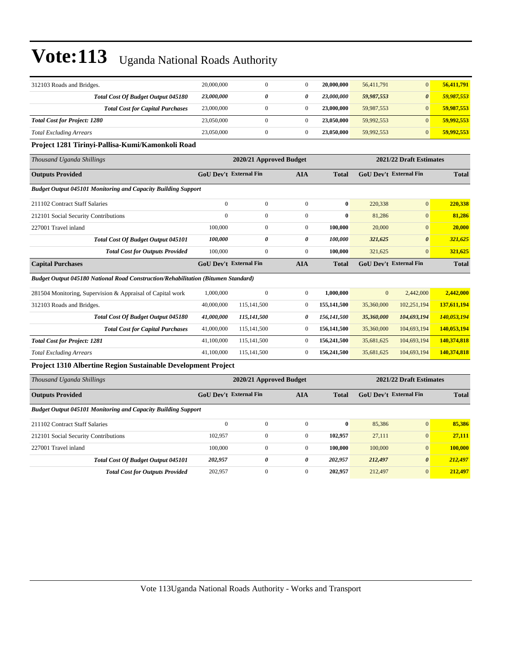| 312103 Roads and Bridges.                                                                | 20,000,000                    | $\mathbf{0}$            | $\boldsymbol{0}$ | 20,000,000   | 56,411,791   | $\mathbf{0}$                  | 56,411,791   |
|------------------------------------------------------------------------------------------|-------------------------------|-------------------------|------------------|--------------|--------------|-------------------------------|--------------|
| Total Cost Of Budget Output 045180                                                       | 23,000,000                    | 0                       | 0                | 23,000,000   | 59,987,553   | $\boldsymbol{\theta}$         | 59,987,553   |
| <b>Total Cost for Capital Purchases</b>                                                  | 23,000,000                    | $\overline{0}$          | $\overline{0}$   | 23,000,000   | 59,987,553   | $\mathbf{0}$                  | 59,987,553   |
| <b>Total Cost for Project: 1280</b>                                                      | 23,050,000                    | $\boldsymbol{0}$        | $\mathbf{0}$     | 23,050,000   | 59,992,553   | $\mathbf{0}$                  | 59,992,553   |
| <b>Total Excluding Arrears</b>                                                           | 23,050,000                    | $\boldsymbol{0}$        | $\overline{0}$   | 23,050,000   | 59,992,553   | $\mathbf{0}$                  | 59,992,553   |
| Project 1281 Tirinyi-Pallisa-Kumi/Kamonkoli Road                                         |                               |                         |                  |              |              |                               |              |
| Thousand Uganda Shillings                                                                |                               | 2020/21 Approved Budget |                  |              |              | 2021/22 Draft Estimates       |              |
| <b>Outputs Provided</b>                                                                  | <b>GoU Dev't External Fin</b> |                         | <b>AIA</b>       | <b>Total</b> |              | <b>GoU Dev't External Fin</b> | <b>Total</b> |
| <b>Budget Output 045101 Monitoring and Capacity Building Support</b>                     |                               |                         |                  |              |              |                               |              |
| 211102 Contract Staff Salaries                                                           | $\mathbf{0}$                  | $\mathbf{0}$            | $\overline{0}$   | $\bf{0}$     | 220,338      | $\mathbf{0}$                  | 220,338      |
| 212101 Social Security Contributions                                                     | $\mathbf{0}$                  | $\overline{0}$          | $\overline{0}$   | $\bf{0}$     | 81,286       | $\mathbf{0}$                  | 81,286       |
| 227001 Travel inland                                                                     | 100,000                       | $\boldsymbol{0}$        | $\boldsymbol{0}$ | 100,000      | 20,000       | $\mathbf{0}$                  | 20,000       |
| Total Cost Of Budget Output 045101                                                       | 100,000                       | 0                       | 0                | 100,000      | 321,625      | $\boldsymbol{\theta}$         | 321,625      |
| <b>Total Cost for Outputs Provided</b>                                                   | 100,000                       | $\overline{0}$          | $\mathbf{0}$     | 100,000      | 321,625      | $\mathbf{0}$                  | 321,625      |
| <b>Capital Purchases</b>                                                                 | <b>GoU Dev't External Fin</b> |                         | <b>AIA</b>       | <b>Total</b> |              | GoU Dev't External Fin        | <b>Total</b> |
| <b>Budget Output 045180 National Road Construction/Rehabilitation (Bitumen Standard)</b> |                               |                         |                  |              |              |                               |              |
| 281504 Monitoring, Supervision & Appraisal of Capital work                               | 1,000,000                     | $\mathbf{0}$            | $\overline{0}$   | 1,000,000    | $\mathbf{0}$ | 2,442,000                     | 2,442,000    |
| 312103 Roads and Bridges.                                                                | 40,000,000                    | 115,141,500             | $\boldsymbol{0}$ | 155,141,500  | 35,360,000   | 102,251,194                   | 137,611,194  |
| Total Cost Of Budget Output 045180                                                       | 41,000,000                    | 115,141,500             | 0                | 156,141,500  | 35,360,000   | 104,693,194                   | 140,053,194  |
| <b>Total Cost for Capital Purchases</b>                                                  | 41,000,000                    | 115,141,500             | $\boldsymbol{0}$ | 156,141,500  | 35,360,000   | 104,693,194                   | 140,053,194  |
| <b>Total Cost for Project: 1281</b>                                                      | 41,100,000                    | 115,141,500             | $\boldsymbol{0}$ | 156,241,500  | 35,681,625   | 104,693,194                   | 140,374,818  |
| <b>Total Excluding Arrears</b>                                                           | 41,100,000                    | 115,141,500             | $\mathbf{0}$     | 156,241,500  | 35,681,625   | 104,693,194                   | 140,374,818  |
| Project 1310 Albertine Region Sustainable Development Project                            |                               |                         |                  |              |              |                               |              |
| Thousand Uganda Shillings                                                                |                               | 2020/21 Approved Budget |                  |              |              | 2021/22 Draft Estimates       |              |
| <b>Outputs Provided</b>                                                                  | <b>GoU Dev't External Fin</b> |                         | <b>AIA</b>       | <b>Total</b> |              | <b>GoU Dev't External Fin</b> | <b>Total</b> |
| <b>Budget Output 045101 Monitoring and Capacity Building Support</b>                     |                               |                         |                  |              |              |                               |              |
| 211102 Contract Staff Salaries                                                           | $\mathbf{0}$                  | $\mathbf{0}$            | $\mathbf{0}$     | $\bf{0}$     | 85,386       | $\mathbf{0}$                  | 85,386       |
| 212101 Social Security Contributions                                                     | 102,957                       | $\overline{0}$          | $\mathbf{0}$     | 102,957      | 27,111       | $\mathbf{0}$                  | 27,111       |
| 227001 Travel inland                                                                     | 100,000                       | $\boldsymbol{0}$        | $\mathbf{0}$     | 100,000      | 100,000      | $\mathbf{0}$                  | 100,000      |
| Total Cost Of Budget Output 045101                                                       | 202,957                       | 0                       | 0                | 202,957      | 212,497      | $\boldsymbol{\theta}$         | 212,497      |

*Total Cost for Outputs Provided* 202,957 0 0 **202,957** 212,497 0 **212,497**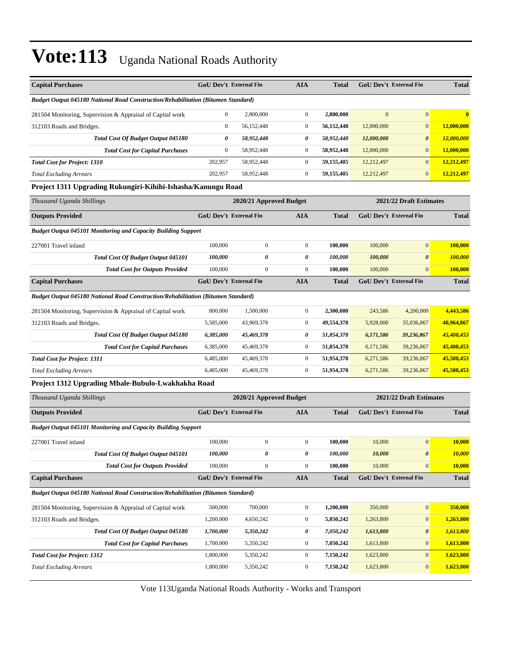| <b>Capital Purchases</b>                                                                 |                  | <b>GoU Dev't External Fin</b>        | <b>AIA</b>       | <b>Total</b> |                | <b>GoU Dev't External Fin</b> | <b>Total</b> |
|------------------------------------------------------------------------------------------|------------------|--------------------------------------|------------------|--------------|----------------|-------------------------------|--------------|
| <b>Budget Output 045180 National Road Construction/Rehabilitation (Bitumen Standard)</b> |                  |                                      |                  |              |                |                               |              |
| 281504 Monitoring, Supervision & Appraisal of Capital work                               | $\boldsymbol{0}$ | 2,800,000                            | $\boldsymbol{0}$ | 2,800,000    | $\overline{0}$ | $\overline{0}$                | $\bf{0}$     |
| 312103 Roads and Bridges.                                                                | $\boldsymbol{0}$ | 56,152,448                           | $\boldsymbol{0}$ | 56,152,448   | 12,000,000     | $\mathbf{0}$                  | 12,000,000   |
| Total Cost Of Budget Output 045180                                                       | 0                | 58,952,448                           | 0                | 58,952,448   | 12,000,000     | $\boldsymbol{\theta}$         | 12,000,000   |
| <b>Total Cost for Capital Purchases</b>                                                  | $\boldsymbol{0}$ | 58,952,448                           | $\boldsymbol{0}$ | 58,952,448   | 12,000,000     | $\overline{0}$                | 12,000,000   |
| <b>Total Cost for Project: 1310</b>                                                      | 202,957          | 58,952,448                           | $\boldsymbol{0}$ | 59,155,405   | 12,212,497     | $\overline{0}$                | 12,212,497   |
| <b>Total Excluding Arrears</b>                                                           | 202,957          | 58,952,448                           | $\boldsymbol{0}$ | 59,155,405   | 12,212,497     | $\overline{0}$                | 12,212,497   |
| Project 1311 Upgrading Rukungiri-Kihihi-Ishasha/Kanungu Road                             |                  |                                      |                  |              |                |                               |              |
| Thousand Uganda Shillings                                                                |                  | 2020/21 Approved Budget              |                  |              |                | 2021/22 Draft Estimates       |              |
| <b>Outputs Provided</b>                                                                  |                  | GoU Dev't External Fin<br><b>AIA</b> |                  | <b>Total</b> |                | <b>GoU Dev't External Fin</b> | <b>Total</b> |
| <b>Budget Output 045101 Monitoring and Capacity Building Support</b>                     |                  |                                      |                  |              |                |                               |              |
| 227001 Travel inland                                                                     | 100,000          | $\boldsymbol{0}$                     | $\boldsymbol{0}$ | 100,000      | 100,000        | $\overline{0}$                | 100,000      |
| Total Cost Of Budget Output 045101                                                       | 100,000          | 0                                    | $\pmb{\theta}$   | 100,000      | 100,000        | $\boldsymbol{\theta}$         | 100,000      |
| <b>Total Cost for Outputs Provided</b>                                                   | 100,000          | $\boldsymbol{0}$                     | $\boldsymbol{0}$ | 100,000      | 100,000        | $\overline{0}$                | 100,000      |
| <b>Capital Purchases</b>                                                                 |                  | GoU Dev't External Fin               | <b>AIA</b>       | <b>Total</b> |                | <b>GoU Dev't External Fin</b> | <b>Total</b> |
| <b>Budget Output 045180 National Road Construction/Rehabilitation (Bitumen Standard)</b> |                  |                                      |                  |              |                |                               |              |
| 281504 Monitoring, Supervision & Appraisal of Capital work                               | 800,000          | 1,500,000                            | $\boldsymbol{0}$ | 2,300,000    | 243,586        | 4,200,000                     | 4,443,586    |
| 312103 Roads and Bridges.                                                                | 5,585,000        | 43,969,378                           | $\boldsymbol{0}$ | 49,554,378   | 5,928,000      | 35,036,867                    | 40,964,867   |
| Total Cost Of Budget Output 045180                                                       | 6,385,000        | 45,469,378                           | 0                | 51,854,378   | 6,171,586      | 39,236,867                    | 45,408,453   |
| <b>Total Cost for Capital Purchases</b>                                                  | 6,385,000        | 45,469,378                           | $\boldsymbol{0}$ | 51,854,378   | 6,171,586      | 39,236,867                    | 45,408,453   |
| <b>Total Cost for Project: 1311</b>                                                      | 6,485,000        | 45,469,378                           | $\boldsymbol{0}$ | 51,954,378   | 6,271,586      | 39,236,867                    | 45,508,453   |
| <b>Total Excluding Arrears</b>                                                           | 6,485,000        | 45,469,378                           | $\boldsymbol{0}$ | 51,954,378   | 6,271,586      | 39,236,867                    | 45,508,453   |
| Project 1312 Upgrading Mbale-Bubulo-Lwakhakha Road                                       |                  |                                      |                  |              |                |                               |              |
| Thousand Uganda Shillings                                                                |                  | 2020/21 Approved Budget              |                  |              |                | 2021/22 Draft Estimates       |              |
| <b>Outputs Provided</b>                                                                  |                  | <b>GoU Dev't External Fin</b>        | <b>AIA</b>       | <b>Total</b> |                | <b>GoU Dev't External Fin</b> | <b>Total</b> |
| <b>Budget Output 045101 Monitoring and Capacity Building Support</b>                     |                  |                                      |                  |              |                |                               |              |
| 227001 Travel inland                                                                     | 100,000          | $\boldsymbol{0}$                     | $\boldsymbol{0}$ | 100,000      | 10,000         | $\overline{0}$                | 10,000       |
| Total Cost Of Budget Output 045101                                                       | 100,000          | 0                                    | $\pmb{\theta}$   | 100,000      | 10,000         | 0                             | 10,000       |
| <b>Total Cost for Outputs Provided</b>                                                   | 100,000          | $\overline{0}$                       | $\boldsymbol{0}$ | 100,000      | 10,000         | $\overline{0}$                | 10,000       |
| <b>Capital Purchases</b>                                                                 |                  | <b>GoU Dev't External Fin</b>        | <b>AIA</b>       | <b>Total</b> |                | GoU Dev't External Fin        | <b>Total</b> |
| Budget Output 045180 National Road Construction/Rehabilitation (Bitumen Standard)        |                  |                                      |                  |              |                |                               |              |
| 281504 Monitoring, Supervision & Appraisal of Capital work                               | 500,000          | 700,000                              | $\boldsymbol{0}$ | 1,200,000    | 350,000        | 0                             | 350,000      |
| 312103 Roads and Bridges.                                                                | 1,200,000        | 4,650,242                            | $\boldsymbol{0}$ | 5,850,242    | 1,263,800      | $\mathbf{0}$                  | 1,263,800    |
| Total Cost Of Budget Output 045180                                                       | 1,700,000        | 5,350,242                            | 0                | 7,050,242    | 1,613,800      | 0                             | 1,613,800    |
| <b>Total Cost for Capital Purchases</b>                                                  | 1,700,000        | 5,350,242                            | $\boldsymbol{0}$ | 7,050,242    | 1,613,800      | $\mathbf{0}$                  | 1,613,800    |
| <b>Total Cost for Project: 1312</b>                                                      | 1,800,000        | 5,350,242                            | 0                | 7,150,242    | 1,623,800      | $\mathbf{0}$                  | 1,623,800    |
| <b>Total Excluding Arrears</b>                                                           | 1,800,000        | 5,350,242                            | $\boldsymbol{0}$ | 7,150,242    | 1,623,800      | $\overline{0}$                | 1,623,800    |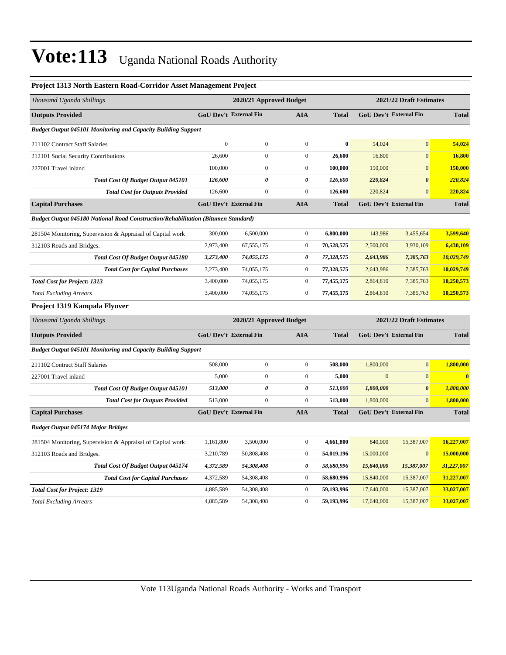| Project 1313 North Eastern Road-Corridor Asset Management Project                 |                |                               |                       |              |              |                         |              |
|-----------------------------------------------------------------------------------|----------------|-------------------------------|-----------------------|--------------|--------------|-------------------------|--------------|
| Thousand Uganda Shillings                                                         |                | 2020/21 Approved Budget       |                       |              |              | 2021/22 Draft Estimates |              |
| <b>Outputs Provided</b>                                                           |                | <b>GoU Dev't External Fin</b> | <b>AIA</b>            | <b>Total</b> |              | GoU Dev't External Fin  | <b>Total</b> |
| <b>Budget Output 045101 Monitoring and Capacity Building Support</b>              |                |                               |                       |              |              |                         |              |
| 211102 Contract Staff Salaries                                                    | $\overline{0}$ | $\boldsymbol{0}$              | $\boldsymbol{0}$      | $\bf{0}$     | 54,024       | $\overline{0}$          | 54,024       |
| 212101 Social Security Contributions                                              | 26,600         | $\mathbf{0}$                  | $\mathbf{0}$          | 26,600       | 16,800       | $\overline{0}$          | 16,800       |
| 227001 Travel inland                                                              | 100,000        | $\boldsymbol{0}$              | $\boldsymbol{0}$      | 100,000      | 150,000      | $\mathbf{0}$            | 150,000      |
| <b>Total Cost Of Budget Output 045101</b>                                         | 126,600        | 0                             | $\pmb{\theta}$        | 126,600      | 220,824      | $\boldsymbol{\theta}$   | 220,824      |
| <b>Total Cost for Outputs Provided</b>                                            | 126,600        | $\overline{0}$                | $\mathbf{0}$          | 126,600      | 220,824      | $\overline{0}$          | 220,824      |
| <b>Capital Purchases</b>                                                          |                | GoU Dev't External Fin        | <b>AIA</b>            | <b>Total</b> |              | GoU Dev't External Fin  | <b>Total</b> |
| Budget Output 045180 National Road Construction/Rehabilitation (Bitumen Standard) |                |                               |                       |              |              |                         |              |
| 281504 Monitoring, Supervision & Appraisal of Capital work                        | 300,000        | 6,500,000                     | $\boldsymbol{0}$      | 6,800,000    | 143,986      | 3,455,654               | 3,599,640    |
| 312103 Roads and Bridges.                                                         | 2,973,400      | 67, 555, 175                  | $\mathbf{0}$          | 70,528,575   | 2,500,000    | 3,930,109               | 6,430,109    |
| Total Cost Of Budget Output 045180                                                | 3,273,400      | 74,055,175                    | 0                     | 77,328,575   | 2,643,986    | 7,385,763               | 10,029,749   |
| <b>Total Cost for Capital Purchases</b>                                           | 3,273,400      | 74,055,175                    | $\boldsymbol{0}$      | 77,328,575   | 2,643,986    | 7,385,763               | 10,029,749   |
| <b>Total Cost for Project: 1313</b>                                               | 3,400,000      | 74,055,175                    | $\boldsymbol{0}$      | 77,455,175   | 2,864,810    | 7,385,763               | 10,250,573   |
| <b>Total Excluding Arrears</b>                                                    | 3,400,000      | 74,055,175                    | $\mathbf{0}$          | 77,455,175   | 2,864,810    | 7,385,763               | 10,250,573   |
| Project 1319 Kampala Flyover                                                      |                |                               |                       |              |              |                         |              |
| Thousand Uganda Shillings                                                         |                | 2020/21 Approved Budget       |                       |              |              | 2021/22 Draft Estimates |              |
| <b>Outputs Provided</b>                                                           |                | GoU Dev't External Fin        | <b>AIA</b>            | <b>Total</b> |              | GoU Dev't External Fin  | <b>Total</b> |
| <b>Budget Output 045101 Monitoring and Capacity Building Support</b>              |                |                               |                       |              |              |                         |              |
| 211102 Contract Staff Salaries                                                    | 508,000        | $\boldsymbol{0}$              | $\boldsymbol{0}$      | 508,000      | 1,800,000    | $\mathbf{0}$            | 1,800,000    |
| 227001 Travel inland                                                              | 5,000          | $\boldsymbol{0}$              | $\boldsymbol{0}$      | 5,000        | $\mathbf{0}$ | $\mathbf{0}$            | $\bf{0}$     |
| Total Cost Of Budget Output 045101                                                | 513,000        | $\pmb{\theta}$                | $\pmb{\theta}$        | 513,000      | 1,800,000    | $\boldsymbol{\theta}$   | 1,800,000    |
| <b>Total Cost for Outputs Provided</b>                                            | 513,000        | $\boldsymbol{0}$              | $\boldsymbol{0}$      | 513,000      | 1,800,000    | $\mathbf{0}$            | 1,800,000    |
| <b>Capital Purchases</b>                                                          |                | GoU Dev't External Fin        | <b>AIA</b>            | <b>Total</b> |              | GoU Dev't External Fin  | <b>Total</b> |
| <b>Budget Output 045174 Major Bridges</b>                                         |                |                               |                       |              |              |                         |              |
| 281504 Monitoring, Supervision & Appraisal of Capital work                        | 1,161,800      | 3,500,000                     | $\boldsymbol{0}$      | 4,661,800    | 840,000      | 15,387,007              | 16,227,007   |
| 312103 Roads and Bridges.                                                         | 3,210,789      | 50,808,408                    | $\mathbf{0}$          | 54,019,196   | 15,000,000   | $\mathbf{0}$            | 15,000,000   |
| Total Cost Of Budget Output 045174                                                | 4,372,589      | 54,308,408                    | $\boldsymbol{\theta}$ | 58,680,996   | 15,840,000   | 15,387,007              | 31,227,007   |
| <b>Total Cost for Capital Purchases</b>                                           | 4,372,589      | 54,308,408                    | $\mathbf{0}$          | 58,680,996   | 15,840,000   | 15,387,007              | 31,227,007   |
| <b>Total Cost for Project: 1319</b>                                               | 4,885,589      | 54,308,408                    | $\mathbf{0}$          | 59,193,996   | 17,640,000   | 15,387,007              | 33,027,007   |
| <b>Total Excluding Arrears</b>                                                    | 4,885,589      | 54,308,408                    | $\boldsymbol{0}$      | 59,193,996   | 17,640,000   | 15,387,007              | 33,027,007   |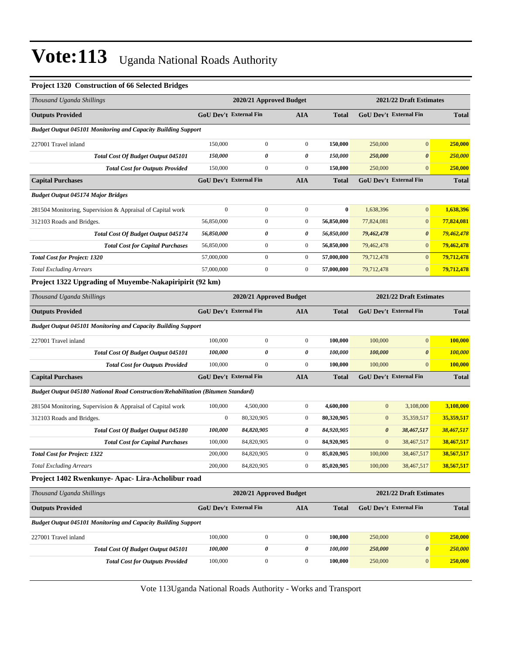#### **Project 1320 Construction of 66 Selected Bridges**

| Thousand Uganda Shillings                                                         |                                                    | 2020/21 Approved Budget |                  |              |                  | 2021/22 Draft Estimates       |                |  |  |
|-----------------------------------------------------------------------------------|----------------------------------------------------|-------------------------|------------------|--------------|------------------|-------------------------------|----------------|--|--|
| <b>Outputs Provided</b>                                                           | GoU Dev't External Fin                             |                         | <b>AIA</b>       | Total        |                  | <b>GoU Dev't External Fin</b> | <b>Total</b>   |  |  |
| <b>Budget Output 045101 Monitoring and Capacity Building Support</b>              |                                                    |                         |                  |              |                  |                               |                |  |  |
| 227001 Travel inland                                                              | 150,000                                            | $\boldsymbol{0}$        | $\boldsymbol{0}$ | 150,000      | 250,000          | $\mathbf{0}$                  | 250,000        |  |  |
| Total Cost Of Budget Output 045101                                                | 150,000                                            | 0                       | 0                | 150,000      | 250,000          | $\boldsymbol{\theta}$         | <b>250,000</b> |  |  |
| <b>Total Cost for Outputs Provided</b>                                            | 150,000                                            | $\boldsymbol{0}$        | $\boldsymbol{0}$ | 150,000      | 250,000          | $\boldsymbol{0}$              | 250,000        |  |  |
| <b>Capital Purchases</b>                                                          | GoU Dev't External Fin                             |                         | <b>AIA</b>       | <b>Total</b> |                  | GoU Dev't External Fin        | <b>Total</b>   |  |  |
| <b>Budget Output 045174 Major Bridges</b>                                         |                                                    |                         |                  |              |                  |                               |                |  |  |
| 281504 Monitoring, Supervision & Appraisal of Capital work                        | $\mathbf{0}$                                       | $\boldsymbol{0}$        | $\boldsymbol{0}$ | $\bf{0}$     | 1,638,396        | $\boldsymbol{0}$              | 1,638,396      |  |  |
| 312103 Roads and Bridges.                                                         | 56,850,000                                         | 0                       | $\boldsymbol{0}$ | 56,850,000   | 77,824,081       | $\mathbf{0}$                  | 77,824,081     |  |  |
| Total Cost Of Budget Output 045174                                                | 56,850,000                                         | 0                       | 0                | 56,850,000   | 79,462,478       | $\boldsymbol{\theta}$         | 79,462,478     |  |  |
| <b>Total Cost for Capital Purchases</b>                                           | 56,850,000                                         | $\boldsymbol{0}$        | $\boldsymbol{0}$ | 56,850,000   | 79,462,478       | $\boldsymbol{0}$              | 79,462,478     |  |  |
| <b>Total Cost for Project: 1320</b>                                               | 57,000,000                                         | $\boldsymbol{0}$        | $\boldsymbol{0}$ | 57,000,000   | 79,712,478       | $\boldsymbol{0}$              | 79,712,478     |  |  |
| <b>Total Excluding Arrears</b>                                                    | 57,000,000                                         | $\boldsymbol{0}$        | $\boldsymbol{0}$ | 57,000,000   | 79,712,478       | $\boldsymbol{0}$              | 79,712,478     |  |  |
| Project 1322 Upgrading of Muyembe-Nakapiripirit (92 km)                           |                                                    |                         |                  |              |                  |                               |                |  |  |
| Thousand Uganda Shillings                                                         | 2020/21 Approved Budget<br>2021/22 Draft Estimates |                         |                  |              |                  |                               |                |  |  |
| <b>Outputs Provided</b>                                                           | <b>GoU Dev't External Fin</b>                      |                         | <b>AIA</b>       | Total        |                  | <b>GoU Dev't External Fin</b> | <b>Total</b>   |  |  |
| <b>Budget Output 045101 Monitoring and Capacity Building Support</b>              |                                                    |                         |                  |              |                  |                               |                |  |  |
| 227001 Travel inland                                                              | 100,000                                            | $\boldsymbol{0}$        | $\boldsymbol{0}$ | 100,000      | 100,000          | $\mathbf{0}$                  | 100,000        |  |  |
| Total Cost Of Budget Output 045101                                                | 100,000                                            | 0                       | 0                | 100,000      | 100,000          | $\pmb{\theta}$                | 100,000        |  |  |
| <b>Total Cost for Outputs Provided</b>                                            | 100,000                                            | $\boldsymbol{0}$        | $\boldsymbol{0}$ | 100,000      | 100,000          | $\mathbf{0}$                  | 100,000        |  |  |
| <b>Capital Purchases</b>                                                          | <b>GoU Dev't External Fin</b>                      |                         | <b>AIA</b>       | <b>Total</b> |                  | <b>GoU Dev't External Fin</b> | <b>Total</b>   |  |  |
| Budget Output 045180 National Road Construction/Rehabilitation (Bitumen Standard) |                                                    |                         |                  |              |                  |                               |                |  |  |
| 281504 Monitoring, Supervision & Appraisal of Capital work                        | 100,000                                            | 4,500,000               | $\boldsymbol{0}$ | 4,600,000    | $\boldsymbol{0}$ | 3,108,000                     | 3,108,000      |  |  |
| 312103 Roads and Bridges.                                                         | $\mathbf{0}$                                       | 80,320,905              | $\boldsymbol{0}$ | 80,320,905   | $\boldsymbol{0}$ | 35,359,517                    | 35,359,517     |  |  |
| <b>Total Cost Of Budget Output 045180</b>                                         | 100,000                                            | 84,820,905              | 0                | 84,920,905   | 0                | 38,467,517                    | 38,467,517     |  |  |
| <b>Total Cost for Capital Purchases</b>                                           | 100,000                                            | 84,820,905              | $\boldsymbol{0}$ | 84,920,905   | $\boldsymbol{0}$ | 38,467,517                    | 38,467,517     |  |  |
| <b>Total Cost for Project: 1322</b>                                               | 200,000                                            | 84,820,905              | $\boldsymbol{0}$ | 85,020,905   | 100,000          | 38,467,517                    | 38,567,517     |  |  |
| <b>Total Excluding Arrears</b>                                                    | 200,000                                            | 84,820,905              | $\boldsymbol{0}$ | 85,020,905   | 100,000          | 38,467,517                    | 38,567,517     |  |  |
| Project 1402 Rwenkunye- Apac- Lira-Acholibur road                                 |                                                    |                         |                  |              |                  |                               |                |  |  |
| Thousand Uganda Shillings                                                         |                                                    | 2020/21 Approved Budget |                  |              |                  | 2021/22 Draft Estimates       |                |  |  |
| <b>Outputs Provided</b>                                                           | GoU Dev't External Fin                             |                         | <b>AIA</b>       | <b>Total</b> |                  | <b>GoU Dev't External Fin</b> | <b>Total</b>   |  |  |
| <b>Budget Output 045101 Monitoring and Capacity Building Support</b>              |                                                    |                         |                  |              |                  |                               |                |  |  |
| 227001 Travel inland                                                              | 100,000                                            | $\boldsymbol{0}$        | $\boldsymbol{0}$ | 100,000      | 250,000          | $\boldsymbol{0}$              | 250,000        |  |  |
| Total Cost Of Budget Output 045101                                                | 100,000                                            | 0                       | 0                | 100,000      | 250,000          | $\pmb{\theta}$                | 250,000        |  |  |
| <b>Total Cost for Outputs Provided</b>                                            | 100,000                                            | $\boldsymbol{0}$        | $\boldsymbol{0}$ | 100,000      | 250,000          | $\boldsymbol{0}$              | 250,000        |  |  |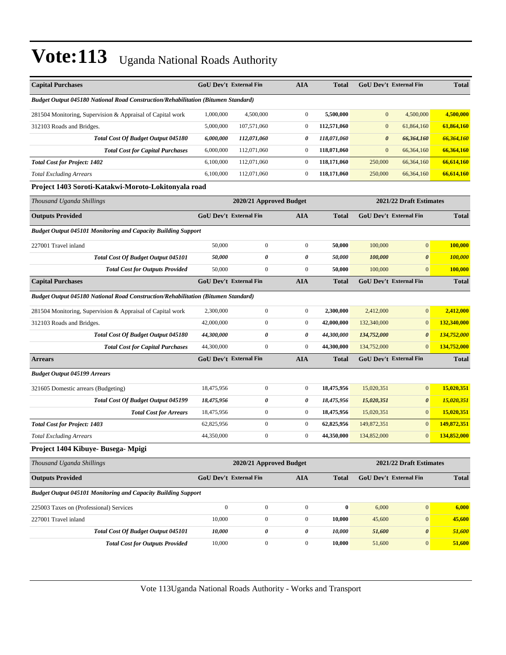| <b>Capital Purchases</b>                                                          | <b>GoU Dev't External Fin</b> |                         | <b>AIA</b>       | <b>Total</b> |                         | <b>GoU Dev't External Fin</b> | <b>Total</b>   |
|-----------------------------------------------------------------------------------|-------------------------------|-------------------------|------------------|--------------|-------------------------|-------------------------------|----------------|
| Budget Output 045180 National Road Construction/Rehabilitation (Bitumen Standard) |                               |                         |                  |              |                         |                               |                |
| 281504 Monitoring, Supervision & Appraisal of Capital work                        | 1,000,000                     | 4,500,000               | $\boldsymbol{0}$ | 5,500,000    | $\mathbf{0}$            | 4,500,000                     | 4,500,000      |
| 312103 Roads and Bridges.                                                         | 5,000,000                     | 107,571,060             | $\boldsymbol{0}$ | 112,571,060  | $\bf{0}$                | 61,864,160                    | 61,864,160     |
| Total Cost Of Budget Output 045180                                                | 6,000,000                     | 112,071,060             | 0                | 118,071,060  | $\boldsymbol{\theta}$   | 66,364,160                    | 66,364,160     |
| <b>Total Cost for Capital Purchases</b>                                           | 6,000,000                     | 112,071,060             | $\boldsymbol{0}$ | 118,071,060  | $\mathbf{0}$            | 66,364,160                    | 66,364,160     |
| <b>Total Cost for Project: 1402</b>                                               | 6,100,000                     | 112,071,060             | $\boldsymbol{0}$ | 118,171,060  | 250,000                 | 66,364,160                    | 66,614,160     |
| <b>Total Excluding Arrears</b>                                                    | 6,100,000                     | 112,071,060             | $\boldsymbol{0}$ | 118,171,060  | 250,000                 | 66,364,160                    | 66,614,160     |
| Project 1403 Soroti-Katakwi-Moroto-Lokitonyala road                               |                               |                         |                  |              |                         |                               |                |
| Thousand Uganda Shillings                                                         | 2020/21 Approved Budget       |                         |                  |              | 2021/22 Draft Estimates |                               |                |
| <b>Outputs Provided</b>                                                           | GoU Dev't External Fin        |                         | <b>AIA</b>       | <b>Total</b> |                         | <b>GoU Dev't External Fin</b> | <b>Total</b>   |
| <b>Budget Output 045101 Monitoring and Capacity Building Support</b>              |                               |                         |                  |              |                         |                               |                |
| 227001 Travel inland                                                              | 50,000                        | $\boldsymbol{0}$        | $\boldsymbol{0}$ | 50,000       | 100,000                 | $\boldsymbol{0}$              | 100,000        |
| Total Cost Of Budget Output 045101                                                | 50,000                        | 0                       | 0                | 50,000       | 100,000                 | $\boldsymbol{\theta}$         | 100,000        |
| <b>Total Cost for Outputs Provided</b>                                            | 50,000                        | $\boldsymbol{0}$        | $\boldsymbol{0}$ | 50,000       | 100,000                 | $\mathbf{0}$                  | <b>100,000</b> |
| <b>Capital Purchases</b>                                                          | GoU Dev't External Fin        |                         | <b>AIA</b>       | <b>Total</b> |                         | GoU Dev't External Fin        | <b>Total</b>   |
| Budget Output 045180 National Road Construction/Rehabilitation (Bitumen Standard) |                               |                         |                  |              |                         |                               |                |
| 281504 Monitoring, Supervision & Appraisal of Capital work                        | 2,300,000                     | $\boldsymbol{0}$        | $\boldsymbol{0}$ | 2,300,000    | 2,412,000               | $\mathbf{0}$                  | 2,412,000      |
| 312103 Roads and Bridges.                                                         | 42,000,000                    | $\boldsymbol{0}$        | $\boldsymbol{0}$ | 42,000,000   | 132,340,000             | $\mathbf{0}$                  | 132,340,000    |
| Total Cost Of Budget Output 045180                                                | 44,300,000                    | 0                       | 0                | 44,300,000   | 134,752,000             | $\boldsymbol{\theta}$         | 134,752,000    |
| <b>Total Cost for Capital Purchases</b>                                           | 44,300,000                    | $\boldsymbol{0}$        | $\boldsymbol{0}$ | 44,300,000   | 134,752,000             | $\mathbf{0}$                  | 134,752,000    |
| <b>Arrears</b>                                                                    | <b>GoU Dev't External Fin</b> |                         | <b>AIA</b>       | <b>Total</b> |                         | <b>GoU Dev't External Fin</b> | <b>Total</b>   |
| <b>Budget Output 045199 Arrears</b>                                               |                               |                         |                  |              |                         |                               |                |
| 321605 Domestic arrears (Budgeting)                                               | 18,475,956                    | $\boldsymbol{0}$        | $\boldsymbol{0}$ | 18,475,956   | 15,020,351              | $\mathbf{0}$                  | 15,020,351     |
| Total Cost Of Budget Output 045199                                                | 18,475,956                    | 0                       | 0                | 18,475,956   | 15,020,351              | $\boldsymbol{\theta}$         | 15,020,351     |
| <b>Total Cost for Arrears</b>                                                     | 18,475,956                    | $\boldsymbol{0}$        | $\boldsymbol{0}$ | 18,475,956   | 15,020,351              | $\mathbf{0}$                  | 15,020,351     |
| <b>Total Cost for Project: 1403</b>                                               | 62,825,956                    | $\boldsymbol{0}$        | $\boldsymbol{0}$ | 62,825,956   | 149,872,351             | $\mathbf{0}$                  | 149,872,351    |
| <b>Total Excluding Arrears</b>                                                    | 44,350,000                    | $\boldsymbol{0}$        | $\boldsymbol{0}$ | 44,350,000   | 134,852,000             | $\boldsymbol{0}$              | 134,852,000    |
| Project 1404 Kibuye- Busega- Mpigi                                                |                               |                         |                  |              |                         |                               |                |
| Thousand Uganda Shillings                                                         |                               | 2020/21 Approved Budget |                  |              |                         | 2021/22 Draft Estimates       |                |
| <b>Outputs Provided</b>                                                           | <b>GoU Dev't External Fin</b> |                         | <b>AIA</b>       | <b>Total</b> |                         | GoU Dev't External Fin        | <b>Total</b>   |
| <b>Budget Output 045101 Monitoring and Capacity Building Support</b>              |                               |                         |                  |              |                         |                               |                |
| 225003 Taxes on (Professional) Services                                           | $\mathbf{0}$                  | $\boldsymbol{0}$        | $\mathbf{0}$     | $\bf{0}$     | 6,000                   | $\mathbf{0}$                  | 6,000          |
| 227001 Travel inland                                                              | 10,000                        | $\boldsymbol{0}$        | $\boldsymbol{0}$ | 10,000       | 45,600                  | $\mathbf{0}$                  | 45,600         |
| Total Cost Of Budget Output 045101                                                | 10,000                        | 0                       | 0                | 10,000       | 51,600                  | 0                             | 51,600         |
| <b>Total Cost for Outputs Provided</b>                                            | 10,000                        | $\boldsymbol{0}$        | $\boldsymbol{0}$ | 10,000       | 51,600                  | $\mathbf{0}$                  | 51,600         |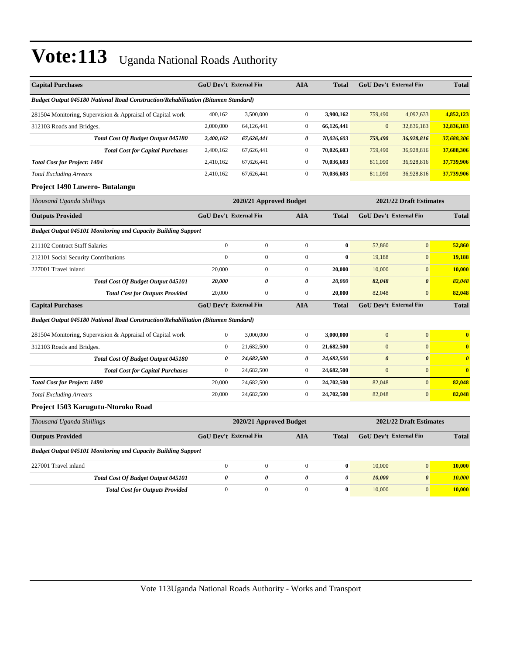| <b>Capital Purchases</b>                                                          | GoU Dev't External Fin        |                         | <b>AIA</b>       | <b>Total</b>          | GoU Dev't External Fin        |                         | <b>Total</b>          |  |
|-----------------------------------------------------------------------------------|-------------------------------|-------------------------|------------------|-----------------------|-------------------------------|-------------------------|-----------------------|--|
| Budget Output 045180 National Road Construction/Rehabilitation (Bitumen Standard) |                               |                         |                  |                       |                               |                         |                       |  |
| 281504 Monitoring, Supervision & Appraisal of Capital work                        | 400,162                       | 3,500,000               | $\boldsymbol{0}$ | 3,900,162             | 759,490                       | 4,092,633               | 4,852,123             |  |
| 312103 Roads and Bridges.                                                         | 2,000,000                     | 64,126,441              | $\overline{0}$   | 66,126,441            | $\mathbf{0}$                  | 32,836,183              | 32,836,183            |  |
| Total Cost Of Budget Output 045180                                                | 2,400,162                     | 67,626,441              | 0                | 70,026,603            | 759,490                       | 36,928,816              | 37,688,306            |  |
| <b>Total Cost for Capital Purchases</b>                                           | 2,400,162                     | 67,626,441              | $\boldsymbol{0}$ | 70,026,603            | 759,490                       | 36,928,816              | 37,688,306            |  |
| <b>Total Cost for Project: 1404</b>                                               | 2,410,162                     | 67,626,441              | $\boldsymbol{0}$ | 70,036,603            | 811,090                       | 36,928,816              | 37,739,906            |  |
| <b>Total Excluding Arrears</b>                                                    | 2,410,162                     | 67,626,441              | $\overline{0}$   | 70,036,603            | 811,090                       | 36,928,816              | 37,739,906            |  |
| Project 1490 Luwero- Butalangu                                                    |                               |                         |                  |                       |                               |                         |                       |  |
| Thousand Uganda Shillings                                                         |                               | 2020/21 Approved Budget |                  |                       |                               | 2021/22 Draft Estimates |                       |  |
| <b>Outputs Provided</b>                                                           | <b>GoU Dev't External Fin</b> |                         | <b>AIA</b>       | <b>Total</b>          | <b>GoU Dev't External Fin</b> |                         | <b>Total</b>          |  |
| <b>Budget Output 045101 Monitoring and Capacity Building Support</b>              |                               |                         |                  |                       |                               |                         |                       |  |
| 211102 Contract Staff Salaries                                                    | $\boldsymbol{0}$              | $\boldsymbol{0}$        | $\overline{0}$   | $\bf{0}$              | 52,860                        | $\overline{0}$          | 52,860                |  |
| 212101 Social Security Contributions                                              | $\boldsymbol{0}$              | $\overline{0}$          | $\boldsymbol{0}$ | $\bf{0}$              | 19,188                        | $\mathbf{0}$            | 19,188                |  |
| 227001 Travel inland                                                              | 20,000                        | $\boldsymbol{0}$        | $\boldsymbol{0}$ | 20,000                | 10,000                        | $\mathbf{0}$            | 10,000                |  |
| <b>Total Cost Of Budget Output 045101</b>                                         | 20,000                        | $\boldsymbol{\theta}$   | 0                | 20,000                | 82,048                        | $\pmb{\theta}$          | 82,048                |  |
| <b>Total Cost for Outputs Provided</b>                                            | 20,000                        | $\boldsymbol{0}$        | $\boldsymbol{0}$ | 20,000                | 82,048                        | $\mathbf{0}$            | 82,048                |  |
| <b>Capital Purchases</b>                                                          | GoU Dev't External Fin        |                         | <b>AIA</b>       | <b>Total</b>          | GoU Dev't External Fin        |                         | <b>Total</b>          |  |
| Budget Output 045180 National Road Construction/Rehabilitation (Bitumen Standard) |                               |                         |                  |                       |                               |                         |                       |  |
| 281504 Monitoring, Supervision & Appraisal of Capital work                        | $\mathbf{0}$                  | 3,000,000               | $\boldsymbol{0}$ | 3,000,000             | $\mathbf{0}$                  | $\mathbf{0}$            | $\bf{0}$              |  |
| 312103 Roads and Bridges.                                                         | $\boldsymbol{0}$              | 21,682,500              | $\boldsymbol{0}$ | 21,682,500            | $\mathbf{0}$                  | $\mathbf{0}$            | $\bf{0}$              |  |
| Total Cost Of Budget Output 045180                                                | 0                             | 24,682,500              | 0                | 24,682,500            | $\boldsymbol{\theta}$         | $\boldsymbol{\theta}$   | $\boldsymbol{\theta}$ |  |
| <b>Total Cost for Capital Purchases</b>                                           | $\overline{0}$                | 24,682,500              | $\boldsymbol{0}$ | 24,682,500            | $\mathbf{0}$                  | $\mathbf{0}$            | $\bf{0}$              |  |
| <b>Total Cost for Project: 1490</b>                                               | 20,000                        | 24,682,500              | $\overline{0}$   | 24,702,500            | 82,048                        | $\mathbf{0}$            | 82,048                |  |
| <b>Total Excluding Arrears</b>                                                    | 20,000                        | 24,682,500              | $\overline{0}$   | 24,702,500            | 82,048                        | $\mathbf{0}$            | 82,048                |  |
| Project 1503 Karugutu-Ntoroko Road                                                |                               |                         |                  |                       |                               |                         |                       |  |
| Thousand Uganda Shillings                                                         |                               | 2020/21 Approved Budget |                  |                       |                               | 2021/22 Draft Estimates |                       |  |
| <b>Outputs Provided</b>                                                           | <b>GoU Dev't External Fin</b> |                         | <b>AIA</b>       | <b>Total</b>          | GoU Dev't External Fin        |                         | <b>Total</b>          |  |
| <b>Budget Output 045101 Monitoring and Capacity Building Support</b>              |                               |                         |                  |                       |                               |                         |                       |  |
| 227001 Travel inland                                                              | $\boldsymbol{0}$              | $\boldsymbol{0}$        | $\overline{0}$   | $\bf{0}$              | 10,000                        | $\mathbf{0}$            | 10,000                |  |
| <b>Total Cost Of Budget Output 045101</b>                                         | $\theta$                      | 0                       | 0                | $\boldsymbol{\theta}$ | 10,000                        | $\boldsymbol{\theta}$   | <u>10,000</u>         |  |
| <b>Total Cost for Outputs Provided</b>                                            | $\boldsymbol{0}$              | $\boldsymbol{0}$        | $\boldsymbol{0}$ | $\bf{0}$              | 10,000                        | $\mathbf{0}$            | 10,000                |  |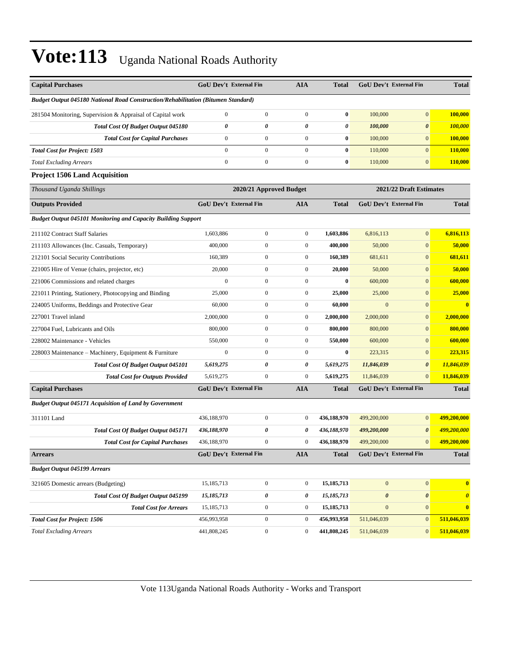| <b>Capital Purchases</b>                                                          |                         | <b>GoU Dev't External Fin</b> | <b>AIA</b>       | <b>Total</b>            |                       | <b>GoU Dev't External Fin</b> | <b>Total</b>            |
|-----------------------------------------------------------------------------------|-------------------------|-------------------------------|------------------|-------------------------|-----------------------|-------------------------------|-------------------------|
| Budget Output 045180 National Road Construction/Rehabilitation (Bitumen Standard) |                         |                               |                  |                         |                       |                               |                         |
| 281504 Monitoring, Supervision & Appraisal of Capital work                        | $\mathbf{0}$            | $\boldsymbol{0}$              | $\boldsymbol{0}$ | $\bf{0}$                | 100,000               | $\mathbf{0}$                  | 100,000                 |
| <b>Total Cost Of Budget Output 045180</b>                                         | 0                       | 0                             | 0                | 0                       | 100,000               | $\boldsymbol{\theta}$         | 100,000                 |
| <b>Total Cost for Capital Purchases</b>                                           | $\mathbf{0}$            | $\boldsymbol{0}$              | $\boldsymbol{0}$ | $\bf{0}$                | 100,000               | $\mathbf{0}$                  | 100,000                 |
| <b>Total Cost for Project: 1503</b>                                               | $\overline{0}$          | $\boldsymbol{0}$              | $\boldsymbol{0}$ | $\bf{0}$                | 110,000               | $\mathbf{0}$                  | 110,000                 |
| <b>Total Excluding Arrears</b>                                                    | $\boldsymbol{0}$        | $\boldsymbol{0}$              | $\boldsymbol{0}$ | $\bf{0}$                | 110,000               | $\mathbf{0}$                  | 110,000                 |
| <b>Project 1506 Land Acquisition</b>                                              |                         |                               |                  |                         |                       |                               |                         |
| Thousand Uganda Shillings                                                         | 2020/21 Approved Budget |                               |                  | 2021/22 Draft Estimates |                       |                               |                         |
| <b>Outputs Provided</b>                                                           |                         | <b>GoU Dev't External Fin</b> | <b>AIA</b>       | <b>Total</b>            |                       | GoU Dev't External Fin        | <b>Total</b>            |
| <b>Budget Output 045101 Monitoring and Capacity Building Support</b>              |                         |                               |                  |                         |                       |                               |                         |
| 211102 Contract Staff Salaries                                                    | 1,603,886               | $\boldsymbol{0}$              | $\boldsymbol{0}$ | 1,603,886               | 6,816,113             | $\mathbf{0}$                  | 6,816,113               |
| 211103 Allowances (Inc. Casuals, Temporary)                                       | 400,000                 | $\boldsymbol{0}$              | $\boldsymbol{0}$ | 400,000                 | 50,000                | $\boldsymbol{0}$              | 50,000                  |
| 212101 Social Security Contributions                                              | 160,389                 | $\boldsymbol{0}$              | $\boldsymbol{0}$ | 160,389                 | 681,611               | $\mathbf{0}$                  | 681,611                 |
| 221005 Hire of Venue (chairs, projector, etc)                                     | 20,000                  | $\boldsymbol{0}$              | $\boldsymbol{0}$ | 20,000                  | 50,000                | $\mathbf{0}$                  | 50,000                  |
| 221006 Commissions and related charges                                            | $\mathbf{0}$            | $\boldsymbol{0}$              | $\boldsymbol{0}$ | $\bf{0}$                | 600,000               | $\mathbf{0}$                  | 600,000                 |
| 221011 Printing, Stationery, Photocopying and Binding                             | 25,000                  | $\boldsymbol{0}$              | $\boldsymbol{0}$ | 25,000                  | 25,000                | $\mathbf{0}$                  | 25,000                  |
| 224005 Uniforms, Beddings and Protective Gear                                     | 60,000                  | $\boldsymbol{0}$              | $\boldsymbol{0}$ | 60,000                  | $\mathbf{0}$          | $\boldsymbol{0}$              | $\overline{\mathbf{0}}$ |
| 227001 Travel inland                                                              | 2,000,000               | $\boldsymbol{0}$              | $\boldsymbol{0}$ | 2,000,000               | 2,000,000             | $\mathbf{0}$                  | 2,000,000               |
| 227004 Fuel, Lubricants and Oils                                                  | 800,000                 | $\boldsymbol{0}$              | $\boldsymbol{0}$ | 800,000                 | 800,000               | $\mathbf{0}$                  | 800,000                 |
| 228002 Maintenance - Vehicles                                                     | 550,000                 | $\boldsymbol{0}$              | $\boldsymbol{0}$ | 550,000                 | 600,000               | $\mathbf{0}$                  | 600,000                 |
| 228003 Maintenance - Machinery, Equipment & Furniture                             | $\mathbf{0}$            | $\boldsymbol{0}$              | $\boldsymbol{0}$ | $\bf{0}$                | 223,315               | $\mathbf{0}$                  | 223,315                 |
| <b>Total Cost Of Budget Output 045101</b>                                         | 5,619,275               | 0                             | 0                | 5,619,275               | 11,846,039            | $\boldsymbol{\theta}$         | 11,846,039              |
| <b>Total Cost for Outputs Provided</b>                                            | 5,619,275               | $\boldsymbol{0}$              | $\boldsymbol{0}$ | 5,619,275               | 11,846,039            | $\mathbf{0}$                  | 11,846,039              |
| <b>Capital Purchases</b>                                                          |                         | <b>GoU Dev't External Fin</b> | <b>AIA</b>       | <b>Total</b>            |                       | <b>GoU Dev't External Fin</b> | <b>Total</b>            |
| <b>Budget Output 045171 Acquisition of Land by Government</b>                     |                         |                               |                  |                         |                       |                               |                         |
| 311101 Land                                                                       | 436,188,970             | $\boldsymbol{0}$              | $\mathbf{0}$     | 436,188,970             | 499,200,000           | $\mathbf{0}$                  | 499,200,000             |
| Total Cost Of Budget Output 045171                                                | 436,188,970             | 0                             | 0                | 436,188,970             | 499,200,000           | $\boldsymbol{\theta}$         | 499,200,000             |
| <b>Total Cost for Capital Purchases</b>                                           | 436,188,970             | $\mathbf{0}$                  | $\mathbf{0}$     | 436,188,970             | 499,200,000           | $\mathbf{0}$                  | 499,200,000             |
| <b>Arrears</b>                                                                    |                         | GoU Dev't External Fin        | <b>AIA</b>       | <b>Total</b>            |                       | GoU Dev't External Fin        | <b>Total</b>            |
| <b>Budget Output 045199 Arrears</b>                                               |                         |                               |                  |                         |                       |                               |                         |
| 321605 Domestic arrears (Budgeting)                                               | 15,185,713              | $\boldsymbol{0}$              | $\boldsymbol{0}$ | 15,185,713              | $\boldsymbol{0}$      | $\mathbf{0}$                  | $\overline{\mathbf{0}}$ |
| <b>Total Cost Of Budget Output 045199</b>                                         | 15,185,713              | 0                             | 0                | 15,185,713              | $\boldsymbol{\theta}$ | $\pmb{\theta}$                | $\boldsymbol{\theta}$   |
| <b>Total Cost for Arrears</b>                                                     | 15,185,713              | $\boldsymbol{0}$              | $\boldsymbol{0}$ | 15,185,713              | $\mathbf{0}$          | $\overline{0}$                | $\bf{0}$                |
| <b>Total Cost for Project: 1506</b>                                               | 456,993,958             | $\boldsymbol{0}$              | $\mathbf{0}$     | 456,993,958             | 511,046,039           | $\mathbf{0}$                  | 511,046,039             |
| <b>Total Excluding Arrears</b>                                                    | 441,808,245             | $\boldsymbol{0}$              | $\mathbf{0}$     | 441,808,245             | 511,046,039           | $\mathbf{0}$                  | 511,046,039             |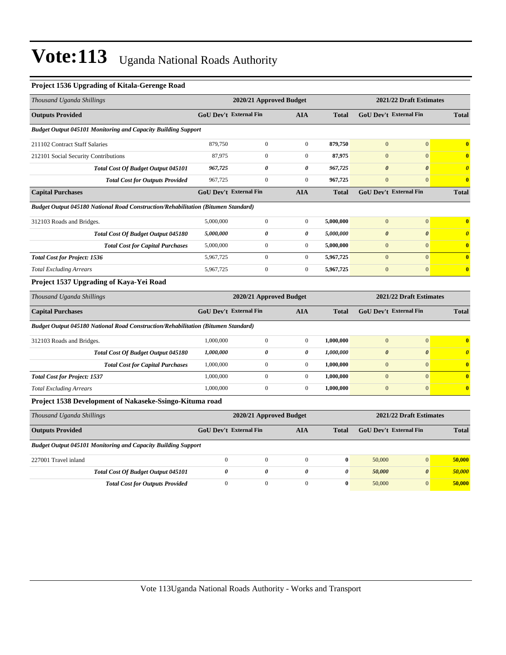#### **Project 1536 Upgrading of Kitala-Gerenge Road**

| Thousand Uganda Shillings                                                         | 2020/21 Approved Budget                            |                         |                       |                       | 2021/22 Draft Estimates       |                         |                         |
|-----------------------------------------------------------------------------------|----------------------------------------------------|-------------------------|-----------------------|-----------------------|-------------------------------|-------------------------|-------------------------|
| <b>Outputs Provided</b>                                                           | <b>GoU Dev't External Fin</b>                      |                         | <b>AIA</b>            | <b>Total</b>          | <b>GoU Dev't External Fin</b> |                         | <b>Total</b>            |
| <b>Budget Output 045101 Monitoring and Capacity Building Support</b>              |                                                    |                         |                       |                       |                               |                         |                         |
| 211102 Contract Staff Salaries                                                    | 879,750                                            | $\mathbf{0}$            | $\mathbf{0}$          | 879,750               | $\mathbf{0}$                  | $\mathbf{0}$            | $\bf{0}$                |
| 212101 Social Security Contributions                                              | 87,975                                             | $\overline{0}$          | $\overline{0}$        | 87,975                | $\mathbf{0}$                  | $\mathbf{0}$            | $\bf{0}$                |
| <b>Total Cost Of Budget Output 045101</b>                                         | 967,725                                            | 0                       | $\boldsymbol{\theta}$ | 967,725               | $\boldsymbol{\theta}$         | $\boldsymbol{\theta}$   | $\boldsymbol{\theta}$   |
| <b>Total Cost for Outputs Provided</b>                                            | 967,725                                            | $\overline{0}$          | $\mathbf{0}$          | 967,725               | $\mathbf{0}$                  | $\mathbf{0}$            | $\overline{\mathbf{0}}$ |
| <b>Capital Purchases</b>                                                          | <b>GoU Dev't External Fin</b>                      |                         | <b>AIA</b>            | <b>Total</b>          | <b>GoU Dev't External Fin</b> |                         | <b>Total</b>            |
| Budget Output 045180 National Road Construction/Rehabilitation (Bitumen Standard) |                                                    |                         |                       |                       |                               |                         |                         |
| 312103 Roads and Bridges.                                                         | 5,000,000                                          | $\boldsymbol{0}$        | $\overline{0}$        | 5,000,000             | $\mathbf{0}$                  | $\mathbf{0}$            | $\bf{0}$                |
| Total Cost Of Budget Output 045180                                                | 5,000,000                                          | 0                       | 0                     | 5,000,000             | $\boldsymbol{\theta}$         | $\boldsymbol{\theta}$   | $\boldsymbol{\theta}$   |
| <b>Total Cost for Capital Purchases</b>                                           | 5,000,000                                          | $\boldsymbol{0}$        | $\mathbf{0}$          | 5,000,000             | $\mathbf{0}$                  | $\mathbf{0}$            | $\bf{0}$                |
| <b>Total Cost for Project: 1536</b>                                               | 5,967,725                                          | $\mathbf{0}$            | $\boldsymbol{0}$      | 5,967,725             | $\mathbf{0}$                  | $\mathbf{0}$            | $\overline{\mathbf{0}}$ |
| <b>Total Excluding Arrears</b>                                                    | 5,967,725                                          | $\boldsymbol{0}$        | $\overline{0}$        | 5,967,725             | $\mathbf{0}$                  | $\mathbf{0}$            | $\bf{0}$                |
| Project 1537 Upgrading of Kaya-Yei Road                                           |                                                    |                         |                       |                       |                               |                         |                         |
| Thousand Uganda Shillings                                                         | 2021/22 Draft Estimates<br>2020/21 Approved Budget |                         |                       |                       |                               |                         |                         |
| <b>Capital Purchases</b>                                                          | <b>GoU Dev't External Fin</b>                      |                         | <b>AIA</b>            | <b>Total</b>          | GoU Dev't External Fin        |                         | <b>Total</b>            |
| Budget Output 045180 National Road Construction/Rehabilitation (Bitumen Standard) |                                                    |                         |                       |                       |                               |                         |                         |
| 312103 Roads and Bridges.                                                         | 1,000,000                                          | $\mathbf{0}$            | $\mathbf{0}$          | 1,000,000             | $\mathbf{0}$                  | $\mathbf{0}$            | $\bf{0}$                |
| Total Cost Of Budget Output 045180                                                | 1,000,000                                          | 0                       | 0                     | 1,000,000             | $\boldsymbol{\theta}$         | $\boldsymbol{\theta}$   | $\boldsymbol{\theta}$   |
| <b>Total Cost for Capital Purchases</b>                                           | 1,000,000                                          | $\overline{0}$          | $\overline{0}$        | 1,000,000             | $\mathbf{0}$                  | $\mathbf{0}$            | $\bf{0}$                |
| <b>Total Cost for Project: 1537</b>                                               | 1,000,000                                          | $\mathbf{0}$            | $\overline{0}$        | 1,000,000             | $\mathbf{0}$                  | $\mathbf{0}$            | $\bf{0}$                |
| <b>Total Excluding Arrears</b>                                                    | 1,000,000                                          | $\overline{0}$          | $\boldsymbol{0}$      | 1,000,000             | $\mathbf{0}$                  | $\mathbf{0}$            | $\boldsymbol{0}$        |
| Project 1538 Development of Nakaseke-Ssingo-Kituma road                           |                                                    |                         |                       |                       |                               |                         |                         |
| Thousand Uganda Shillings                                                         |                                                    | 2020/21 Approved Budget |                       |                       |                               | 2021/22 Draft Estimates |                         |
| <b>Outputs Provided</b>                                                           | <b>GoU Dev't External Fin</b>                      |                         | <b>AIA</b>            | <b>Total</b>          | <b>GoU Dev't External Fin</b> |                         | <b>Total</b>            |
| <b>Budget Output 045101 Monitoring and Capacity Building Support</b>              |                                                    |                         |                       |                       |                               |                         |                         |
| 227001 Travel inland                                                              | $\boldsymbol{0}$                                   | $\boldsymbol{0}$        | $\boldsymbol{0}$      | $\bf{0}$              | 50,000                        | $\boldsymbol{0}$        | 50,000                  |
| <b>Total Cost Of Budget Output 045101</b>                                         | 0                                                  | 0                       | 0                     | $\boldsymbol{\theta}$ | 50,000                        | $\boldsymbol{\theta}$   | 50,000                  |

*Total Cost for Outputs Provided* 0 0 0 0 0 50,000 0 50,000 0 50,000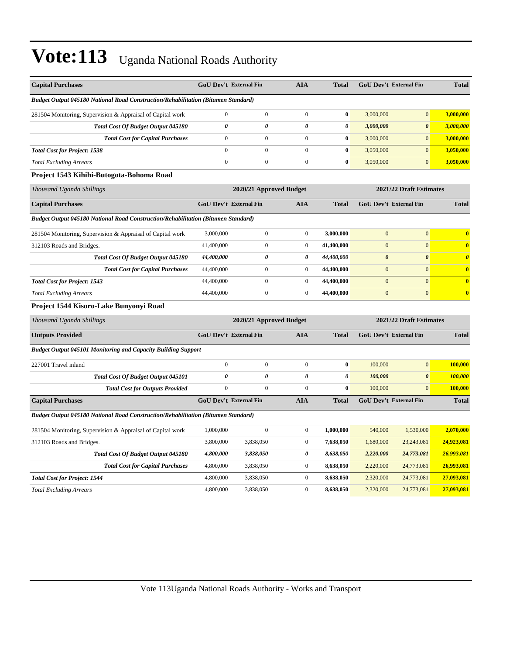| <b>Capital Purchases</b>                                                          | <b>GoU Dev't External Fin</b> |                         | <b>AIA</b>            | <b>Total</b>          |                       | GoU Dev't External Fin  | <b>Total</b>                     |
|-----------------------------------------------------------------------------------|-------------------------------|-------------------------|-----------------------|-----------------------|-----------------------|-------------------------|----------------------------------|
| Budget Output 045180 National Road Construction/Rehabilitation (Bitumen Standard) |                               |                         |                       |                       |                       |                         |                                  |
| 281504 Monitoring, Supervision & Appraisal of Capital work                        | $\boldsymbol{0}$              | $\boldsymbol{0}$        | $\boldsymbol{0}$      | $\bf{0}$              | 3,000,000             | $\overline{0}$          | 3,000,000                        |
| <b>Total Cost Of Budget Output 045180</b>                                         | 0                             | 0                       | 0                     | $\boldsymbol{\theta}$ | 3,000,000             | $\boldsymbol{\theta}$   | 3,000,000                        |
| <b>Total Cost for Capital Purchases</b>                                           | $\boldsymbol{0}$              | $\boldsymbol{0}$        | $\boldsymbol{0}$      | $\bf{0}$              | 3,000,000             | $\overline{0}$          | 3,000,000                        |
| <b>Total Cost for Project: 1538</b>                                               | $\overline{0}$                | $\mathbf{0}$            | $\mathbf{0}$          | $\bf{0}$              | 3,050,000             | $\vert 0 \vert$         | 3,050,000                        |
| <b>Total Excluding Arrears</b>                                                    | $\boldsymbol{0}$              | $\boldsymbol{0}$        | $\boldsymbol{0}$      | $\bf{0}$              | 3,050,000             | $\overline{0}$          | 3,050,000                        |
| Project 1543 Kihihi-Butogota-Bohoma Road                                          |                               |                         |                       |                       |                       |                         |                                  |
| Thousand Uganda Shillings                                                         |                               | 2020/21 Approved Budget |                       |                       |                       | 2021/22 Draft Estimates |                                  |
| <b>Capital Purchases</b>                                                          | GoU Dev't External Fin        |                         | <b>AIA</b>            | <b>Total</b>          |                       | GoU Dev't External Fin  | <b>Total</b>                     |
| Budget Output 045180 National Road Construction/Rehabilitation (Bitumen Standard) |                               |                         |                       |                       |                       |                         |                                  |
| 281504 Monitoring, Supervision & Appraisal of Capital work                        | 3,000,000                     | $\boldsymbol{0}$        | $\boldsymbol{0}$      | 3,000,000             | $\mathbf{0}$          | $\boldsymbol{0}$        | $\bf{0}$                         |
| 312103 Roads and Bridges.                                                         | 41,400,000                    | $\boldsymbol{0}$        | $\boldsymbol{0}$      | 41,400,000            | $\mathbf{0}$          | $\overline{0}$          | $\bf{0}$                         |
| Total Cost Of Budget Output 045180                                                | 44,400,000                    | $\boldsymbol{\theta}$   | $\boldsymbol{\theta}$ | 44,400,000            | $\boldsymbol{\theta}$ | $\boldsymbol{\theta}$   | $\overline{\boldsymbol{\theta}}$ |
| <b>Total Cost for Capital Purchases</b>                                           | 44,400,000                    | $\boldsymbol{0}$        | $\boldsymbol{0}$      | 44,400,000            | $\mathbf{0}$          | $\overline{0}$          | $\bf{0}$                         |
| <b>Total Cost for Project: 1543</b>                                               | 44,400,000                    | $\mathbf{0}$            | $\boldsymbol{0}$      | 44,400,000            | $\overline{0}$        | $\overline{0}$          | $\bf{0}$                         |
| <b>Total Excluding Arrears</b>                                                    | 44,400,000                    | $\boldsymbol{0}$        | $\boldsymbol{0}$      | 44,400,000            | $\mathbf{0}$          | $\overline{0}$          | $\bf{0}$                         |
| Project 1544 Kisoro-Lake Bunyonyi Road                                            |                               |                         |                       |                       |                       |                         |                                  |
| Thousand Uganda Shillings                                                         |                               | 2020/21 Approved Budget |                       |                       |                       | 2021/22 Draft Estimates |                                  |
| <b>Outputs Provided</b>                                                           | GoU Dev't External Fin        |                         | <b>AIA</b>            | <b>Total</b>          |                       | GoU Dev't External Fin  | <b>Total</b>                     |
| <b>Budget Output 045101 Monitoring and Capacity Building Support</b>              |                               |                         |                       |                       |                       |                         |                                  |
| 227001 Travel inland                                                              | $\boldsymbol{0}$              | $\boldsymbol{0}$        | $\boldsymbol{0}$      | $\bf{0}$              | 100,000               | $\overline{0}$          | 100,000                          |
| Total Cost Of Budget Output 045101                                                | $\boldsymbol{\theta}$         | $\boldsymbol{\theta}$   | $\boldsymbol{\theta}$ | $\theta$              | 100,000               | $\boldsymbol{\theta}$   | 100,000                          |
| <b>Total Cost for Outputs Provided</b>                                            | $\boldsymbol{0}$              | $\boldsymbol{0}$        | $\boldsymbol{0}$      | $\mathbf{0}$          | 100,000               | $\overline{0}$          | 100,000                          |
| <b>Capital Purchases</b>                                                          | <b>GoU Dev't External Fin</b> |                         | <b>AIA</b>            | <b>Total</b>          |                       | GoU Dev't External Fin  | <b>Total</b>                     |
| Budget Output 045180 National Road Construction/Rehabilitation (Bitumen Standard) |                               |                         |                       |                       |                       |                         |                                  |
| 281504 Monitoring, Supervision & Appraisal of Capital work                        | 1,000,000                     | $\overline{0}$          | $\boldsymbol{0}$      | 1,000,000             | 540,000               | 1,530,000               | 2,070,000                        |
| 312103 Roads and Bridges.                                                         | 3,800,000                     | 3,838,050               | $\boldsymbol{0}$      | 7,638,050             | 1,680,000             | 23,243,081              | 24,923,081                       |
| Total Cost Of Budget Output 045180                                                | 4,800,000                     | 3,838,050               | 0                     | 8,638,050             | 2,220,000             | 24,773,081              | 26,993,081                       |
| <b>Total Cost for Capital Purchases</b>                                           | 4,800,000                     | 3,838,050               | $\boldsymbol{0}$      | 8,638,050             | 2,220,000             | 24,773,081              | 26,993,081                       |
| <b>Total Cost for Project: 1544</b>                                               | 4,800,000                     | 3,838,050               | $\boldsymbol{0}$      | 8,638,050             | 2,320,000             | 24,773,081              | 27,093,081                       |
| <b>Total Excluding Arrears</b>                                                    | 4,800,000                     | 3,838,050               | $\boldsymbol{0}$      | 8,638,050             | 2,320,000             | 24,773,081              | 27,093,081                       |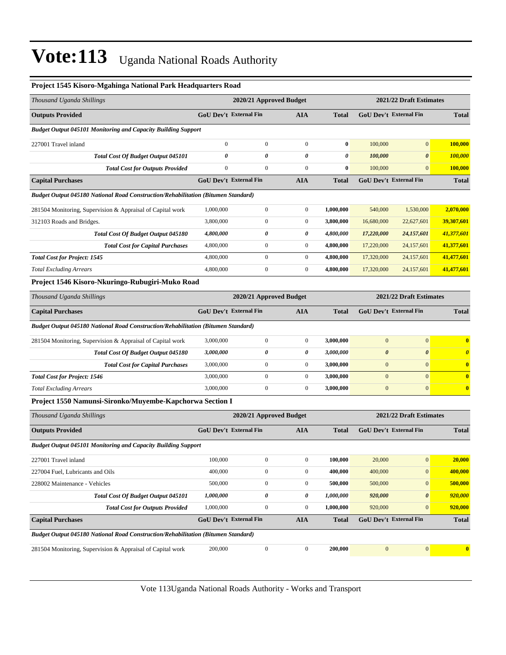#### **Project 1545 Kisoro-Mgahinga National Park Headquarters Road**

| Thousand Uganda Shillings                                                                |                               | 2020/21 Approved Budget |                |              |                               | 2021/22 Draft Estimates |              |  |  |
|------------------------------------------------------------------------------------------|-------------------------------|-------------------------|----------------|--------------|-------------------------------|-------------------------|--------------|--|--|
| <b>Outputs Provided</b>                                                                  | <b>GoU Dev't External Fin</b> |                         | <b>AIA</b>     | <b>Total</b> | <b>GoU Dev't External Fin</b> |                         | <b>Total</b> |  |  |
| <b>Budget Output 045101 Monitoring and Capacity Building Support</b>                     |                               |                         |                |              |                               |                         |              |  |  |
| 227001 Travel inland                                                                     | $\Omega$                      | $\overline{0}$          | $\mathbf{0}$   | $\bf{0}$     | 100,000                       | $\overline{0}$          | 100,000      |  |  |
| <b>Total Cost Of Budget Output 045101</b>                                                | 0                             | 0                       | $\theta$       | 0            | 100,000                       | $\boldsymbol{\theta}$   | 100,000      |  |  |
| <b>Total Cost for Outputs Provided</b>                                                   | $\mathbf{0}$                  | $\overline{0}$          | $\Omega$       | $\bf{0}$     | 100,000                       | $\Omega$                | 100,000      |  |  |
| <b>Capital Purchases</b>                                                                 | <b>GoU Dev't External Fin</b> |                         | <b>AIA</b>     | <b>Total</b> | GoU Dev't External Fin        |                         | <b>Total</b> |  |  |
| Budget Output 045180 National Road Construction/Rehabilitation (Bitumen Standard)        |                               |                         |                |              |                               |                         |              |  |  |
| 281504 Monitoring, Supervision & Appraisal of Capital work                               | 1,000,000                     | $\overline{0}$          | $\overline{0}$ | 1,000,000    | 540,000                       | 1,530,000               | 2,070,000    |  |  |
| 312103 Roads and Bridges.                                                                | 3,800,000                     | $\mathbf{0}$            | $\overline{0}$ | 3,800,000    | 16,680,000                    | 22,627,601              | 39,307,601   |  |  |
| Total Cost Of Budget Output 045180                                                       | 4,800,000                     | 0                       | 0              | 4,800,000    | 17,220,000                    | 24,157,601              | 41,377,601   |  |  |
| <b>Total Cost for Capital Purchases</b>                                                  | 4,800,000                     | $\overline{0}$          | $\mathbf{0}$   | 4,800,000    | 17,220,000                    | 24,157,601              | 41,377,601   |  |  |
| <b>Total Cost for Project: 1545</b>                                                      | 4,800,000                     | $\Omega$                | $\Omega$       | 4,800,000    | 17,320,000                    | 24,157,601              | 41,477,601   |  |  |
| <b>Total Excluding Arrears</b>                                                           | 4,800,000                     | $\mathbf{0}$            | $\mathbf{0}$   | 4,800,000    | 17,320,000                    | 24,157,601              | 41,477,601   |  |  |
| Project 1546 Kisoro-Nkuringo-Rubugiri-Muko Road                                          |                               |                         |                |              |                               |                         |              |  |  |
| Thousand Uganda Shillings                                                                |                               | 2020/21 Approved Budget |                |              |                               | 2021/22 Draft Estimates |              |  |  |
| <b>Capital Purchases</b>                                                                 | <b>GoU Dev't External Fin</b> |                         | <b>AIA</b>     | <b>Total</b> | <b>GoU Dev't External Fin</b> |                         | <b>Total</b> |  |  |
| <b>Budget Output 045180 National Road Construction/Rehabilitation (Bitumen Standard)</b> |                               |                         |                |              |                               |                         |              |  |  |
| 281504 Monitoring, Supervision & Appraisal of Capital work                               | 3,000,000                     | $\mathbf{0}$            | $\overline{0}$ | 3.000.000    | $\mathbf{0}$                  | $\mathbf{0}$            | $\bf{0}$     |  |  |

| Total Cost Of Budget Output 045180      | 3,000,000 |  | <i><b>3.000.000</b></i> | 0 |              |
|-----------------------------------------|-----------|--|-------------------------|---|--------------|
| <b>Total Cost for Capital Purchases</b> | 3,000,000 |  | 3.000.000               | 0 | $\mathbf{0}$ |
| <b>Total Cost for Project: 1546</b>     | 3,000,000 |  | 3.000.000               | 0 |              |
| <b>Total Excluding Arrears</b>          | 3,000,000 |  | 3.000.000               | 0 | $\mathbf{0}$ |
|                                         |           |  |                         |   |              |

#### **Project 1550 Namunsi-Sironko/Muyembe-Kapchorwa Section I**

| Thousand Uganda Shillings                                                         |                               | 2020/21 Approved Budget | 2021/22 Draft Estimates |              |                               |                       |                         |
|-----------------------------------------------------------------------------------|-------------------------------|-------------------------|-------------------------|--------------|-------------------------------|-----------------------|-------------------------|
| <b>Outputs Provided</b>                                                           | <b>GoU Dev't External Fin</b> |                         | <b>AIA</b>              | <b>Total</b> | <b>GoU</b> Dev't External Fin |                       | <b>Total</b>            |
| <b>Budget Output 045101 Monitoring and Capacity Building Support</b>              |                               |                         |                         |              |                               |                       |                         |
| 227001 Travel inland                                                              | 100,000                       | $\mathbf{0}$            | $\mathbf{0}$            | 100,000      | 20,000                        | $\overline{0}$        | 20,000                  |
| 227004 Fuel, Lubricants and Oils                                                  | 400,000                       | $\mathbf{0}$            | $\mathbf{0}$            | 400,000      | 400,000                       | $\overline{0}$        | 400,000                 |
| 228002 Maintenance - Vehicles                                                     | 500,000                       | $\mathbf{0}$            | $\mathbf{0}$            | 500,000      | 500,000                       | $\overline{0}$        | 500,000                 |
| <b>Total Cost Of Budget Output 045101</b>                                         | 1,000,000                     | 0                       | 0                       | 1,000,000    | 920,000                       | $\boldsymbol{\theta}$ | 920,000                 |
| <b>Total Cost for Outputs Provided</b>                                            | 1,000,000                     | $\mathbf{0}$            | $\mathbf{0}$            | 1,000,000    | 920,000                       | $\overline{0}$        | 920,000                 |
| <b>Capital Purchases</b>                                                          | <b>GoU Dev't External Fin</b> |                         | <b>AIA</b>              | <b>Total</b> | <b>GoU Dev't External Fin</b> |                       | <b>Total</b>            |
| Budget Output 045180 National Road Construction/Rehabilitation (Bitumen Standard) |                               |                         |                         |              |                               |                       |                         |
| 281504 Monitoring, Supervision & Appraisal of Capital work                        | 200,000                       | $\mathbf{0}$            | $\mathbf{0}$            | 200,000      | $\mathbf{0}$                  | $\mathbf{0}$          | $\overline{\mathbf{0}}$ |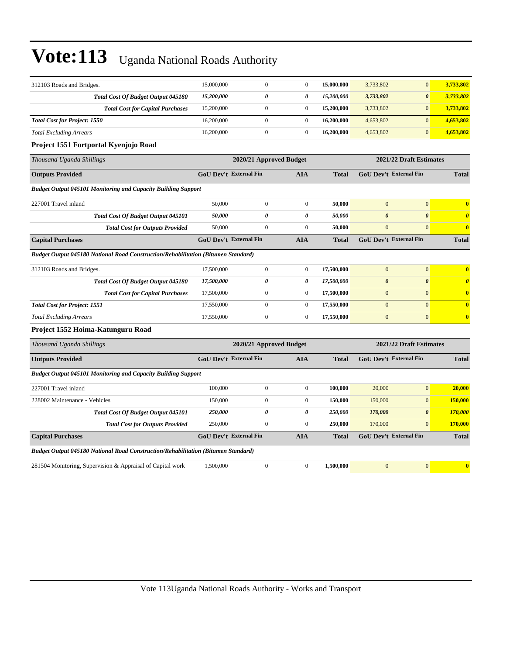| 312103 Roads and Bridges.                                                         | 15,000,000 | $\overline{0}$                | $\mathbf{0}$          | 15,000,000   | 3,733,802                     | $\mathbf{0}$            | 3,733,802             |  |
|-----------------------------------------------------------------------------------|------------|-------------------------------|-----------------------|--------------|-------------------------------|-------------------------|-----------------------|--|
| Total Cost Of Budget Output 045180                                                | 15,200,000 | 0                             | 0                     | 15,200,000   | 3,733,802                     | $\boldsymbol{\theta}$   | 3,733,802             |  |
| <b>Total Cost for Capital Purchases</b>                                           | 15,200,000 | $\boldsymbol{0}$              | $\mathbf{0}$          | 15,200,000   | 3,733,802                     | $\mathbf{0}$            | 3,733,802             |  |
| <b>Total Cost for Project: 1550</b>                                               | 16,200,000 | $\boldsymbol{0}$              | $\mathbf{0}$          | 16,200,000   | 4,653,802                     | $\mathbf{0}$            | 4,653,802             |  |
| <b>Total Excluding Arrears</b>                                                    | 16,200,000 | $\boldsymbol{0}$              | $\mathbf{0}$          | 16,200,000   | 4,653,802                     | $\boldsymbol{0}$        | 4,653,802             |  |
| Project 1551 Fortportal Kyenjojo Road                                             |            |                               |                       |              |                               |                         |                       |  |
| Thousand Uganda Shillings                                                         |            | 2020/21 Approved Budget       |                       |              |                               | 2021/22 Draft Estimates |                       |  |
| <b>Outputs Provided</b>                                                           |            | GoU Dev't External Fin        | <b>AIA</b>            | <b>Total</b> | GoU Dev't External Fin        |                         | <b>Total</b>          |  |
| <b>Budget Output 045101 Monitoring and Capacity Building Support</b>              |            |                               |                       |              |                               |                         |                       |  |
| 227001 Travel inland                                                              | 50,000     | $\boldsymbol{0}$              | $\theta$              | 50,000       | $\overline{0}$                | $\mathbf{0}$            | $\bf{0}$              |  |
| <b>Total Cost Of Budget Output 045101</b>                                         | 50,000     | $\theta$                      | $\boldsymbol{\theta}$ | 50,000       | $\boldsymbol{\theta}$         | $\boldsymbol{\theta}$   | $\boldsymbol{\theta}$ |  |
| <b>Total Cost for Outputs Provided</b>                                            | 50,000     | $\mathbf{0}$                  | $\theta$              | 50,000       | $\mathbf{0}$                  | $\mathbf{0}$            | $\bf{0}$              |  |
| <b>Capital Purchases</b>                                                          |            | GoU Dev't External Fin        | <b>AIA</b>            | <b>Total</b> | <b>GoU Dev't External Fin</b> |                         | <b>Total</b>          |  |
| Budget Output 045180 National Road Construction/Rehabilitation (Bitumen Standard) |            |                               |                       |              |                               |                         |                       |  |
| 312103 Roads and Bridges.                                                         | 17,500,000 | $\mathbf{0}$                  | $\mathbf{0}$          | 17,500,000   | $\mathbf{0}$                  | $\boldsymbol{0}$        | $\bf{0}$              |  |
| Total Cost Of Budget Output 045180                                                | 17,500,000 | $\theta$                      | $\boldsymbol{\theta}$ | 17,500,000   | $\boldsymbol{\theta}$         | $\boldsymbol{\theta}$   | $\boldsymbol{\theta}$ |  |
| <b>Total Cost for Capital Purchases</b>                                           | 17,500,000 | $\overline{0}$                | $\mathbf{0}$          | 17,500,000   | $\mathbf{0}$                  | $\mathbf{0}$            | $\bf{0}$              |  |
| <b>Total Cost for Project: 1551</b>                                               | 17,550,000 | $\boldsymbol{0}$              | $\mathbf{0}$          | 17,550,000   | $\mathbf{0}$                  | $\boldsymbol{0}$        | $\bf{0}$              |  |
| <b>Total Excluding Arrears</b>                                                    | 17,550,000 | $\mathbf{0}$                  | $\mathbf{0}$          | 17,550,000   | $\mathbf{0}$                  | $\mathbf{0}$            | $\bf{0}$              |  |
| Project 1552 Hoima-Katunguru Road                                                 |            |                               |                       |              |                               |                         |                       |  |
| Thousand Uganda Shillings                                                         |            | 2020/21 Approved Budget       |                       |              |                               | 2021/22 Draft Estimates |                       |  |
| <b>Outputs Provided</b>                                                           |            | GoU Dev't External Fin        | <b>AIA</b>            | <b>Total</b> | GoU Dev't External Fin        |                         | <b>Total</b>          |  |
| <b>Budget Output 045101 Monitoring and Capacity Building Support</b>              |            |                               |                       |              |                               |                         |                       |  |
| 227001 Travel inland                                                              | 100,000    | $\boldsymbol{0}$              | $\mathbf{0}$          | 100,000      | 20,000                        | $\mathbf{0}$            | 20,000                |  |
| 228002 Maintenance - Vehicles                                                     | 150,000    | $\mathbf{0}$                  | $\mathbf{0}$          | 150,000      | 150,000                       | $\mathbf{0}$            | 150,000               |  |
| Total Cost Of Budget Output 045101                                                | 250,000    | $\theta$                      | $\boldsymbol{\theta}$ | 250,000      | 170,000                       | $\boldsymbol{\theta}$   | 170,000               |  |
| <b>Total Cost for Outputs Provided</b>                                            | 250,000    | $\mathbf{0}$                  | $\mathbf{0}$          | 250,000      | 170,000                       | $\mathbf{0}$            | 170,000               |  |
| <b>Capital Purchases</b>                                                          |            | <b>GoU Dev't External Fin</b> | <b>AIA</b>            | <b>Total</b> | <b>GoU Dev't External Fin</b> |                         | <b>Total</b>          |  |
| Budget Output 045180 National Road Construction/Rehabilitation (Bitumen Standard) |            |                               |                       |              |                               |                         |                       |  |
| 281504 Monitoring, Supervision & Appraisal of Capital work                        | 1,500,000  | $\mathbf{0}$                  | $\overline{0}$        | 1,500,000    | $\overline{0}$                | $\mathbf{0}$            | $\bf{0}$              |  |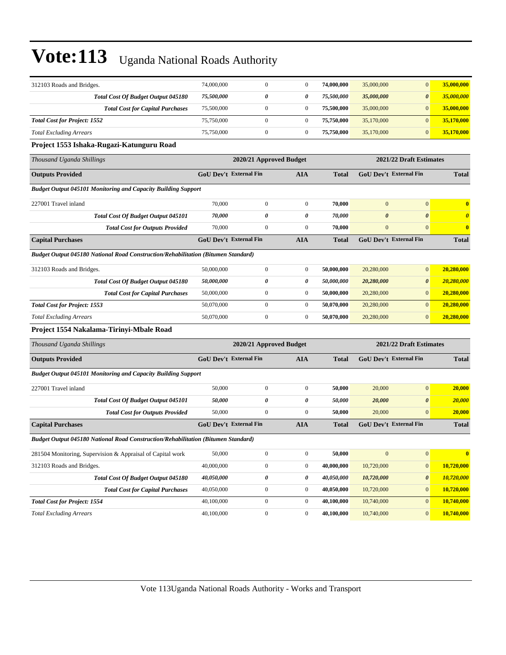| 312103 Roads and Bridges.                                                         | 74,000,000 | $\mathbf{0}$                  | $\overline{0}$   | 74,000,000   | 35,000,000            | $\mathbf{0}$                  | 35,000,000            |
|-----------------------------------------------------------------------------------|------------|-------------------------------|------------------|--------------|-----------------------|-------------------------------|-----------------------|
| <b>Total Cost Of Budget Output 045180</b>                                         | 75,500,000 | 0                             | 0                | 75,500,000   | 35,000,000            | $\boldsymbol{\theta}$         | 35,000,000            |
| <b>Total Cost for Capital Purchases</b>                                           | 75,500,000 | $\boldsymbol{0}$              | $\boldsymbol{0}$ | 75,500,000   | 35,000,000            | $\boldsymbol{0}$              | 35,000,000            |
| <b>Total Cost for Project: 1552</b>                                               | 75,750,000 | $\boldsymbol{0}$              | $\boldsymbol{0}$ | 75,750,000   | 35,170,000            | $\mathbf{0}$                  | 35,170,000            |
| <b>Total Excluding Arrears</b>                                                    | 75,750,000 | $\boldsymbol{0}$              | $\mathbf{0}$     | 75,750,000   | 35,170,000            | $\mathbf{0}$                  | 35,170,000            |
| Project 1553 Ishaka-Rugazi-Katunguru Road                                         |            |                               |                  |              |                       |                               |                       |
| Thousand Uganda Shillings                                                         |            | 2020/21 Approved Budget       |                  |              |                       | 2021/22 Draft Estimates       |                       |
| <b>Outputs Provided</b>                                                           |            | <b>GoU Dev't External Fin</b> | <b>AIA</b>       | <b>Total</b> |                       | GoU Dev't External Fin        | <b>Total</b>          |
| <b>Budget Output 045101 Monitoring and Capacity Building Support</b>              |            |                               |                  |              |                       |                               |                       |
| 227001 Travel inland                                                              | 70,000     | $\boldsymbol{0}$              | $\mathbf{0}$     | 70,000       | $\overline{0}$        | $\mathbf{0}$                  | $\bf{0}$              |
| <b>Total Cost Of Budget Output 045101</b>                                         | 70,000     | 0                             | 0                | 70,000       | $\boldsymbol{\theta}$ | $\boldsymbol{\theta}$         | $\boldsymbol{\theta}$ |
| <b>Total Cost for Outputs Provided</b>                                            | 70,000     | $\boldsymbol{0}$              | $\boldsymbol{0}$ | 70,000       | $\boldsymbol{0}$      | $\mathbf{0}$                  | $\bf{0}$              |
| <b>Capital Purchases</b>                                                          |            | <b>GoU Dev't External Fin</b> | <b>AIA</b>       | <b>Total</b> |                       | <b>GoU Dev't External Fin</b> | <b>Total</b>          |
| Budget Output 045180 National Road Construction/Rehabilitation (Bitumen Standard) |            |                               |                  |              |                       |                               |                       |
| 312103 Roads and Bridges.                                                         | 50,000,000 | $\boldsymbol{0}$              | $\boldsymbol{0}$ | 50,000,000   | 20,280,000            | $\mathbf{0}$                  | 20,280,000            |
| <b>Total Cost Of Budget Output 045180</b>                                         | 50,000,000 | 0                             | 0                | 50,000,000   | 20,280,000            | $\boldsymbol{\theta}$         | 20,280,000            |
| <b>Total Cost for Capital Purchases</b>                                           | 50,000,000 | $\boldsymbol{0}$              | $\overline{0}$   | 50,000,000   | 20,280,000            | $\mathbf{0}$                  | 20,280,000            |
| <b>Total Cost for Project: 1553</b>                                               | 50,070,000 | $\boldsymbol{0}$              | $\boldsymbol{0}$ | 50,070,000   | 20,280,000            | $\mathbf{0}$                  | 20,280,000            |
| <b>Total Excluding Arrears</b>                                                    | 50,070,000 | $\boldsymbol{0}$              | $\boldsymbol{0}$ | 50,070,000   | 20,280,000            | $\mathbf{0}$                  | 20,280,000            |
| Project 1554 Nakalama-Tirinyi-Mbale Road                                          |            |                               |                  |              |                       |                               |                       |
| Thousand Uganda Shillings                                                         |            | 2020/21 Approved Budget       |                  |              |                       | 2021/22 Draft Estimates       |                       |
| <b>Outputs Provided</b>                                                           |            | <b>GoU Dev't External Fin</b> | <b>AIA</b>       | <b>Total</b> |                       | GoU Dev't External Fin        | <b>Total</b>          |
| <b>Budget Output 045101 Monitoring and Capacity Building Support</b>              |            |                               |                  |              |                       |                               |                       |
| 227001 Travel inland                                                              | 50,000     | $\boldsymbol{0}$              | $\boldsymbol{0}$ | 50,000       | 20,000                | $\mathbf{0}$                  | 20,000                |
| <b>Total Cost Of Budget Output 045101</b>                                         | 50,000     | 0                             | 0                | 50,000       | 20,000                | $\boldsymbol{\theta}$         | <b>20,000</b>         |
| <b>Total Cost for Outputs Provided</b>                                            | 50,000     | $\boldsymbol{0}$              | $\mathbf{0}$     | 50,000       | 20,000                | $\mathbf{0}$                  | 20,000                |
| <b>Capital Purchases</b>                                                          |            | GoU Dev't External Fin        | <b>AIA</b>       | <b>Total</b> |                       | <b>GoU Dev't External Fin</b> | <b>Total</b>          |
| Budget Output 045180 National Road Construction/Rehabilitation (Bitumen Standard) |            |                               |                  |              |                       |                               |                       |
| 281504 Monitoring, Supervision & Appraisal of Capital work                        | 50,000     | $\boldsymbol{0}$              | $\boldsymbol{0}$ | 50,000       | $\boldsymbol{0}$      | $\bf{0}$                      | $\bf{0}$              |
| 312103 Roads and Bridges.                                                         | 40,000,000 | $\boldsymbol{0}$              | $\boldsymbol{0}$ | 40,000,000   | 10,720,000            | $\boldsymbol{0}$              | 10,720,000            |
| <b>Total Cost Of Budget Output 045180</b>                                         | 40,050,000 | 0                             | 0                | 40,050,000   | 10,720,000            | $\pmb{\theta}$                | 10,720,000            |
| <b>Total Cost for Capital Purchases</b>                                           | 40,050,000 | $\boldsymbol{0}$              | $\boldsymbol{0}$ | 40,050,000   | 10,720,000            | $\boldsymbol{0}$              | 10,720,000            |
| <b>Total Cost for Project: 1554</b>                                               | 40,100,000 | $\boldsymbol{0}$              | $\boldsymbol{0}$ | 40,100,000   | 10,740,000            | $\boldsymbol{0}$              | 10,740,000            |
| <b>Total Excluding Arrears</b>                                                    | 40,100,000 | $\boldsymbol{0}$              | $\boldsymbol{0}$ | 40,100,000   | 10,740,000            | $\boldsymbol{0}$              | 10,740,000            |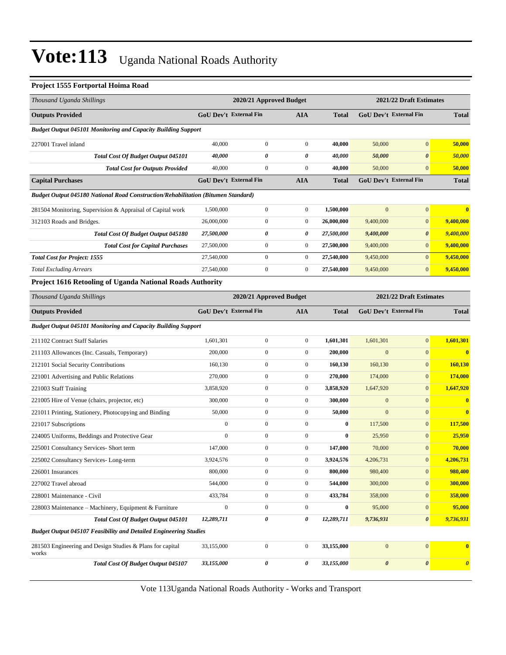#### **Project 1555 Fortportal Hoima Road**

| Thousand Uganda Shillings                                                         |                               | 2020/21 Approved Budget |                  |              |                       | 2021/22 Draft Estimates       |                       |
|-----------------------------------------------------------------------------------|-------------------------------|-------------------------|------------------|--------------|-----------------------|-------------------------------|-----------------------|
| <b>Outputs Provided</b>                                                           | <b>GoU Dev't External Fin</b> |                         | AIA              | <b>Total</b> |                       | GoU Dev't External Fin        | <b>Total</b>          |
| <b>Budget Output 045101 Monitoring and Capacity Building Support</b>              |                               |                         |                  |              |                       |                               |                       |
| 227001 Travel inland                                                              | 40,000                        | $\boldsymbol{0}$        | $\boldsymbol{0}$ | 40,000       | 50,000                | $\overline{0}$                | 50,000                |
| Total Cost Of Budget Output 045101                                                | 40,000                        | 0                       | 0                | 40,000       | 50,000                | $\boldsymbol{\theta}$         | 50,000                |
| <b>Total Cost for Outputs Provided</b>                                            | 40,000                        | $\boldsymbol{0}$        | $\boldsymbol{0}$ | 40,000       | 50,000                | $\mathbf{0}$                  | 50,000                |
| <b>Capital Purchases</b>                                                          | <b>GoU Dev't External Fin</b> |                         | AIA              | <b>Total</b> |                       | <b>GoU Dev't External Fin</b> | <b>Total</b>          |
| Budget Output 045180 National Road Construction/Rehabilitation (Bitumen Standard) |                               |                         |                  |              |                       |                               |                       |
| 281504 Monitoring, Supervision & Appraisal of Capital work                        | 1,500,000                     | $\boldsymbol{0}$        | $\boldsymbol{0}$ | 1,500,000    | $\mathbf{0}$          | $\boldsymbol{0}$              | $\bf{0}$              |
| 312103 Roads and Bridges.                                                         | 26,000,000                    | $\boldsymbol{0}$        | $\boldsymbol{0}$ | 26,000,000   | 9,400,000             | $\mathbf{0}$                  | 9,400,000             |
| Total Cost Of Budget Output 045180                                                | 27,500,000                    | 0                       | 0                | 27,500,000   | 9,400,000             | $\boldsymbol{\theta}$         | 9,400,000             |
| <b>Total Cost for Capital Purchases</b>                                           | 27,500,000                    | $\boldsymbol{0}$        | $\boldsymbol{0}$ | 27,500,000   | 9,400,000             | $\mathbf{0}$                  | 9,400,000             |
| <b>Total Cost for Project: 1555</b>                                               | 27,540,000                    | $\boldsymbol{0}$        | $\boldsymbol{0}$ | 27,540,000   | 9,450,000             | $\overline{0}$                | 9,450,000             |
| <b>Total Excluding Arrears</b>                                                    | 27,540,000                    | $\boldsymbol{0}$        | $\boldsymbol{0}$ | 27,540,000   | 9,450,000             | $\overline{0}$                | 9,450,000             |
| Project 1616 Retooling of Uganda National Roads Authority                         |                               |                         |                  |              |                       |                               |                       |
| Thousand Uganda Shillings                                                         |                               | 2020/21 Approved Budget |                  |              |                       | 2021/22 Draft Estimates       |                       |
| <b>Outputs Provided</b>                                                           | <b>GoU Dev't External Fin</b> |                         | AIA              | <b>Total</b> |                       | <b>GoU Dev't External Fin</b> | <b>Total</b>          |
| <b>Budget Output 045101 Monitoring and Capacity Building Support</b>              |                               |                         |                  |              |                       |                               |                       |
| 211102 Contract Staff Salaries                                                    | 1,601,301                     | $\boldsymbol{0}$        | $\boldsymbol{0}$ | 1,601,301    | 1,601,301             | $\boldsymbol{0}$              | 1,601,301             |
| 211103 Allowances (Inc. Casuals, Temporary)                                       | 200,000                       | $\boldsymbol{0}$        | $\boldsymbol{0}$ | 200,000      | $\mathbf{0}$          | $\overline{0}$                | $\bf{0}$              |
| 212101 Social Security Contributions                                              | 160,130                       | $\boldsymbol{0}$        | $\boldsymbol{0}$ | 160,130      | 160,130               | $\mathbf{0}$                  | 160,130               |
| 221001 Advertising and Public Relations                                           | 270,000                       | $\boldsymbol{0}$        | $\boldsymbol{0}$ | 270,000      | 174,000               | $\boldsymbol{0}$              | <b>174,000</b>        |
| 221003 Staff Training                                                             | 3,858,920                     | $\boldsymbol{0}$        | $\boldsymbol{0}$ | 3,858,920    | 1,647,920             | $\overline{0}$                | 1,647,920             |
| 221005 Hire of Venue (chairs, projector, etc)                                     | 300,000                       | $\boldsymbol{0}$        | $\boldsymbol{0}$ | 300,000      | $\mathbf{0}$          | $\overline{0}$                | $\bf{0}$              |
| 221011 Printing, Stationery, Photocopying and Binding                             | 50,000                        | $\boldsymbol{0}$        | $\boldsymbol{0}$ | 50,000       | $\mathbf{0}$          | $\overline{0}$                | $\bf{0}$              |
| 221017 Subscriptions                                                              | $\boldsymbol{0}$              | $\boldsymbol{0}$        | $\boldsymbol{0}$ | $\bf{0}$     | 117,500               | $\mathbf{0}$                  | 117,500               |
| 224005 Uniforms, Beddings and Protective Gear                                     | $\boldsymbol{0}$              | $\boldsymbol{0}$        | $\boldsymbol{0}$ | $\bf{0}$     | 25,950                | $\mathbf{0}$                  | 25,950                |
| 225001 Consultancy Services- Short term                                           | 147,000                       | $\boldsymbol{0}$        | $\boldsymbol{0}$ | 147,000      | 70,000                | $\mathbf{0}$                  | 70,000                |
| 225002 Consultancy Services-Long-term                                             | 3,924,576                     | $\boldsymbol{0}$        | $\boldsymbol{0}$ | 3,924,576    | 4,206,731             | $\boldsymbol{0}$              | 4,206,731             |
| 226001 Insurances                                                                 | 800,000                       | $\boldsymbol{0}$        | $\boldsymbol{0}$ | 800,000      | 980,400               | $\boldsymbol{0}$              | 980,400               |
| 227002 Travel abroad                                                              | 544,000                       | $\boldsymbol{0}$        | $\boldsymbol{0}$ | 544,000      | 300,000               | $\boldsymbol{0}$              | 300,000               |
| 228001 Maintenance - Civil                                                        | 433,784                       | $\boldsymbol{0}$        | $\boldsymbol{0}$ | 433,784      | 358,000               | $\boldsymbol{0}$              | 358,000               |
| 228003 Maintenance – Machinery, Equipment & Furniture                             | $\boldsymbol{0}$              | $\boldsymbol{0}$        | $\boldsymbol{0}$ | $\bf{0}$     | 95,000                | $\boldsymbol{0}$              | 95,000                |
| <b>Total Cost Of Budget Output 045101</b>                                         | 12,289,711                    | 0                       | 0                | 12,289,711   | 9,736,931             | $\boldsymbol{\theta}$         | 9,736,931             |
| <b>Budget Output 045107 Feasibility and Detailed Engineering Studies</b>          |                               |                         |                  |              |                       |                               |                       |
| 281503 Engineering and Design Studies & Plans for capital<br>works                | 33,155,000                    | $\boldsymbol{0}$        | $\boldsymbol{0}$ | 33,155,000   | $\boldsymbol{0}$      | $\boldsymbol{0}$              | $\bf{0}$              |
| Total Cost Of Budget Output 045107                                                | 33,155,000                    | 0                       | 0                | 33,155,000   | $\boldsymbol{\theta}$ | $\boldsymbol{\theta}$         | $\boldsymbol{\theta}$ |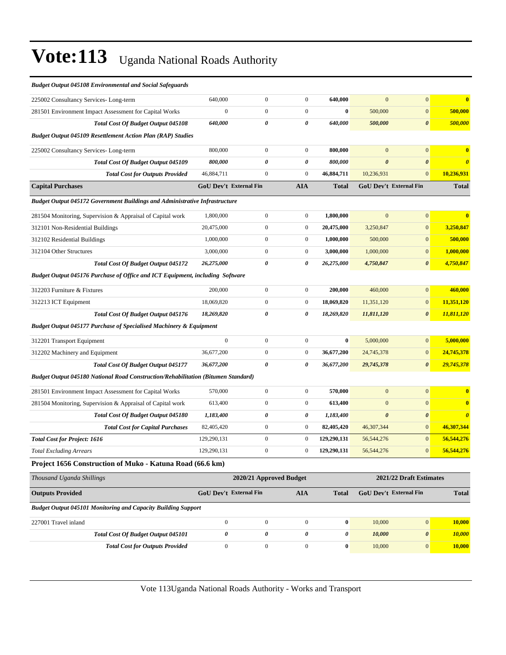| <b>Budget Output 045108 Environmental and Social Safeguards</b>                          |                               |                         |                  |              |                       |                               |              |
|------------------------------------------------------------------------------------------|-------------------------------|-------------------------|------------------|--------------|-----------------------|-------------------------------|--------------|
| 225002 Consultancy Services-Long-term                                                    | 640,000                       | $\boldsymbol{0}$        | $\boldsymbol{0}$ | 640,000      | $\mathbf{0}$          | $\mathbf{0}$                  | $\bf{0}$     |
| 281501 Environment Impact Assessment for Capital Works                                   | $\boldsymbol{0}$              | $\boldsymbol{0}$        | $\boldsymbol{0}$ | $\bf{0}$     | 500,000               | $\mathbf{0}$                  | 500,000      |
| <b>Total Cost Of Budget Output 045108</b>                                                | 640,000                       | $\theta$                | 0                | 640,000      | 500,000               | $\boldsymbol{\theta}$         | 500,000      |
| <b>Budget Output 045109 Resettlement Action Plan (RAP) Studies</b>                       |                               |                         |                  |              |                       |                               |              |
| 225002 Consultancy Services-Long-term                                                    | 800,000                       | $\boldsymbol{0}$        | $\boldsymbol{0}$ | 800,000      | $\mathbf{0}$          | $\mathbf{0}$                  | $\bf{0}$     |
| Total Cost Of Budget Output 045109                                                       | 800,000                       | 0                       | 0                | 800,000      | $\boldsymbol{\theta}$ | $\boldsymbol{\theta}$         |              |
| <b>Total Cost for Outputs Provided</b>                                                   | 46,884,711                    | $\boldsymbol{0}$        | $\boldsymbol{0}$ | 46,884,711   | 10,236,931            | $\mathbf{0}$                  | 10,236,931   |
| <b>Capital Purchases</b>                                                                 | <b>GoU Dev't External Fin</b> |                         | <b>AIA</b>       | <b>Total</b> |                       | <b>GoU Dev't External Fin</b> | <b>Total</b> |
| Budget Output 045172 Government Buildings and Administrative Infrastructure              |                               |                         |                  |              |                       |                               |              |
| 281504 Monitoring, Supervision & Appraisal of Capital work                               | 1,800,000                     | $\boldsymbol{0}$        | $\boldsymbol{0}$ | 1,800,000    | $\mathbf{0}$          | $\mathbf{0}$                  | $\bf{0}$     |
| 312101 Non-Residential Buildings                                                         | 20,475,000                    | $\boldsymbol{0}$        | $\boldsymbol{0}$ | 20,475,000   | 3,250,847             | $\boldsymbol{0}$              | 3,250,847    |
| 312102 Residential Buildings                                                             | 1,000,000                     | $\boldsymbol{0}$        | $\boldsymbol{0}$ | 1,000,000    | 500,000               | $\mathbf{0}$                  | 500,000      |
| 312104 Other Structures                                                                  | 3,000,000                     | $\boldsymbol{0}$        | $\boldsymbol{0}$ | 3,000,000    | 1,000,000             | $\boldsymbol{0}$              | 1,000,000    |
| <b>Total Cost Of Budget Output 045172</b>                                                | 26,275,000                    | 0                       | 0                | 26,275,000   | 4,750,847             | $\boldsymbol{\theta}$         | 4,750,847    |
| Budget Output 045176 Purchase of Office and ICT Equipment, including Software            |                               |                         |                  |              |                       |                               |              |
| 312203 Furniture & Fixtures                                                              | 200,000                       | $\boldsymbol{0}$        | $\boldsymbol{0}$ | 200,000      | 460,000               | $\mathbf{0}$                  | 460,000      |
| 312213 ICT Equipment                                                                     | 18.069.820                    | $\boldsymbol{0}$        | $\boldsymbol{0}$ | 18,069,820   | 11,351,120            | $\boldsymbol{0}$              | 11,351,120   |
| Total Cost Of Budget Output 045176                                                       | 18,269,820                    | 0                       | 0                | 18,269,820   | 11,811,120            | $\boldsymbol{\theta}$         | 11,811,120   |
| <b>Budget Output 045177 Purchase of Specialised Machinery &amp; Equipment</b>            |                               |                         |                  |              |                       |                               |              |
| 312201 Transport Equipment                                                               | $\boldsymbol{0}$              | $\boldsymbol{0}$        | $\boldsymbol{0}$ | $\bf{0}$     | 5,000,000             | $\mathbf{0}$                  | 5,000,000    |
| 312202 Machinery and Equipment                                                           | 36,677,200                    | $\boldsymbol{0}$        | $\boldsymbol{0}$ | 36,677,200   | 24,745,378            | $\mathbf{0}$                  | 24,745,378   |
| <b>Total Cost Of Budget Output 045177</b>                                                | 36,677,200                    | 0                       | 0                | 36,677,200   | 29,745,378            | $\boldsymbol{\theta}$         | 29,745,378   |
| <b>Budget Output 045180 National Road Construction/Rehabilitation (Bitumen Standard)</b> |                               |                         |                  |              |                       |                               |              |
| 281501 Environment Impact Assessment for Capital Works                                   | 570,000                       | $\boldsymbol{0}$        | $\boldsymbol{0}$ | 570,000      | $\mathbf{0}$          | $\mathbf{0}$                  | $\bf{0}$     |
| 281504 Monitoring, Supervision & Appraisal of Capital work                               | 613,400                       | $\boldsymbol{0}$        | $\boldsymbol{0}$ | 613,400      | $\mathbf{0}$          | $\mathbf{0}$                  | $\bf{0}$     |
| Total Cost Of Budget Output 045180                                                       | 1,183,400                     | 0                       | 0                | 1,183,400    | $\boldsymbol{\theta}$ | $\boldsymbol{\theta}$         |              |
| <b>Total Cost for Capital Purchases</b>                                                  | 82,405,420                    | $\boldsymbol{0}$        | $\boldsymbol{0}$ | 82,405,420   | 46,307,344            | $\mathbf{0}$                  | 46,307,344   |
| <b>Total Cost for Project: 1616</b>                                                      | 129,290,131                   | $\boldsymbol{0}$        | $\boldsymbol{0}$ | 129,290,131  | 56,544,276            | $\mathbf{0}$                  | 56,544,276   |
| <b>Total Excluding Arrears</b>                                                           | 129,290,131                   | $\boldsymbol{0}$        | $\overline{0}$   | 129,290,131  | 56, 544, 276          | $\mathbf{0}$                  | 56,544,276   |
| Project 1656 Construction of Muko - Katuna Road (66.6 km)                                |                               |                         |                  |              |                       |                               |              |
| Thousand Uganda Shillings                                                                |                               | 2020/21 Approved Budget |                  |              |                       | 2021/22 Draft Estimates       |              |
| <b>Outputs Provided</b>                                                                  | <b>GoU Dev't External Fin</b> |                         | <b>AIA</b>       | <b>Total</b> |                       | GoU Dev't External Fin        | <b>Total</b> |
| <b>Budget Output 045101 Monitoring and Capacity Building Support</b>                     |                               |                         |                  |              |                       |                               |              |
| 227001 Travel inland                                                                     | $\boldsymbol{0}$              | $\boldsymbol{0}$        | $\mathbf{0}$     | $\bf{0}$     | 10,000                | $\mathbf{0}$                  | 10,000       |
| Total Cost Of Budget Output 045101                                                       | $\pmb{\theta}$                | $\pmb{\theta}$          | 0                | 0            | 10,000                | $\boldsymbol{\theta}$         | 10,000       |
| <b>Total Cost for Outputs Provided</b>                                                   | $\boldsymbol{0}$              | $\boldsymbol{0}$        | $\boldsymbol{0}$ | $\bf{0}$     | 10,000                | $\mathbf{0}$                  | 10,000       |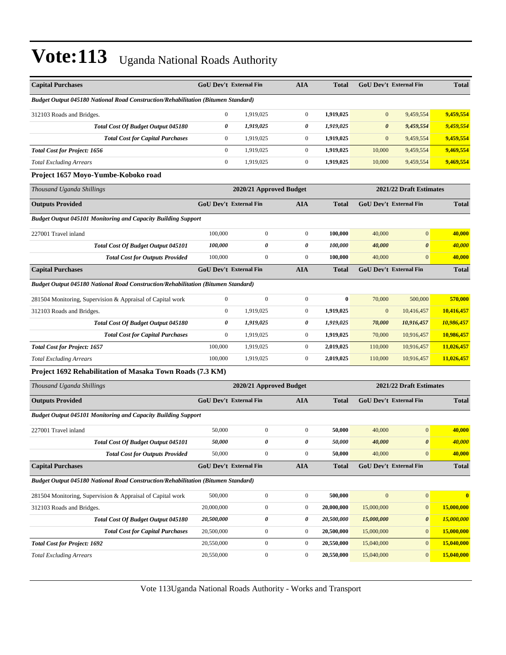| <b>Capital Purchases</b>                                                                 | <b>GoU Dev't External Fin</b> |                         | <b>AIA</b>       | <b>Total</b> |                       | <b>GoU Dev't External Fin</b> | <b>Total</b> |
|------------------------------------------------------------------------------------------|-------------------------------|-------------------------|------------------|--------------|-----------------------|-------------------------------|--------------|
| Budget Output 045180 National Road Construction/Rehabilitation (Bitumen Standard)        |                               |                         |                  |              |                       |                               |              |
| 312103 Roads and Bridges.                                                                | $\mathbf{0}$                  | 1,919,025               | $\boldsymbol{0}$ | 1,919,025    | $\mathbf{0}$          | 9,459,554                     | 9,459,554    |
| Total Cost Of Budget Output 045180                                                       | 0                             | 1,919,025               | 0                | 1,919,025    | $\boldsymbol{\theta}$ | 9,459,554                     | 9,459,554    |
| <b>Total Cost for Capital Purchases</b>                                                  | $\boldsymbol{0}$              | 1,919,025               | $\boldsymbol{0}$ | 1,919,025    | $\mathbf{0}$          | 9,459,554                     | 9,459,554    |
| <b>Total Cost for Project: 1656</b>                                                      | $\mathbf{0}$                  | 1,919,025               | $\boldsymbol{0}$ | 1,919,025    | 10,000                | 9,459,554                     | 9,469,554    |
| <b>Total Excluding Arrears</b>                                                           | $\mathbf{0}$                  | 1,919,025               | $\boldsymbol{0}$ | 1,919,025    | 10,000                | 9,459,554                     | 9,469,554    |
| Project 1657 Moyo-Yumbe-Koboko road                                                      |                               |                         |                  |              |                       |                               |              |
| Thousand Uganda Shillings                                                                |                               | 2020/21 Approved Budget |                  |              |                       | 2021/22 Draft Estimates       |              |
| <b>Outputs Provided</b>                                                                  | GoU Dev't External Fin        |                         | <b>AIA</b>       | <b>Total</b> |                       | GoU Dev't External Fin        | <b>Total</b> |
| <b>Budget Output 045101 Monitoring and Capacity Building Support</b>                     |                               |                         |                  |              |                       |                               |              |
| 227001 Travel inland                                                                     | 100,000                       | $\boldsymbol{0}$        | $\boldsymbol{0}$ | 100,000      | 40,000                | $\overline{0}$                | 40,000       |
| Total Cost Of Budget Output 045101                                                       | 100,000                       | 0                       | 0                | 100,000      | 40,000                | 0                             | 40,000       |
| <b>Total Cost for Outputs Provided</b>                                                   | 100,000                       | $\boldsymbol{0}$        | $\boldsymbol{0}$ | 100,000      | 40,000                | $\overline{0}$                | 40,000       |
| <b>Capital Purchases</b>                                                                 | <b>GoU Dev't External Fin</b> |                         | AIA              | <b>Total</b> |                       | <b>GoU Dev't External Fin</b> | <b>Total</b> |
| Budget Output 045180 National Road Construction/Rehabilitation (Bitumen Standard)        |                               |                         |                  |              |                       |                               |              |
| 281504 Monitoring, Supervision & Appraisal of Capital work                               | $\overline{0}$                | $\overline{0}$          | $\boldsymbol{0}$ | $\bf{0}$     | 70,000                | 500,000                       | 570,000      |
| 312103 Roads and Bridges.                                                                | $\mathbf{0}$                  | 1,919,025               | $\boldsymbol{0}$ | 1,919,025    | $\mathbf{0}$          | 10,416,457                    | 10,416,457   |
| Total Cost Of Budget Output 045180                                                       | $\boldsymbol{\theta}$         | 1,919,025               | 0                | 1,919,025    | 70,000                | 10,916,457                    | 10,986,457   |
| <b>Total Cost for Capital Purchases</b>                                                  | $\boldsymbol{0}$              | 1,919,025               | $\boldsymbol{0}$ | 1,919,025    | 70,000                | 10,916,457                    | 10,986,457   |
| <b>Total Cost for Project: 1657</b>                                                      | 100,000                       | 1,919,025               | $\boldsymbol{0}$ | 2,019,025    | 110,000               | 10,916,457                    | 11,026,457   |
| <b>Total Excluding Arrears</b>                                                           | 100,000                       | 1,919,025               | $\boldsymbol{0}$ | 2,019,025    | 110,000               | 10,916,457                    | 11,026,457   |
| Project 1692 Rehabilitation of Masaka Town Roads (7.3 KM)                                |                               |                         |                  |              |                       |                               |              |
| Thousand Uganda Shillings                                                                |                               | 2020/21 Approved Budget |                  |              |                       | 2021/22 Draft Estimates       |              |
| <b>Outputs Provided</b>                                                                  | <b>GoU Dev't External Fin</b> |                         | AIA              | <b>Total</b> |                       | GoU Dev't External Fin        | <b>Total</b> |
| <b>Budget Output 045101 Monitoring and Capacity Building Support</b>                     |                               |                         |                  |              |                       |                               |              |
| 227001 Travel inland                                                                     | 50,000                        | $\boldsymbol{0}$        | $\boldsymbol{0}$ | 50,000       | 40,000                | $\overline{0}$                | 40,000       |
| <b>Total Cost Of Budget Output 045101</b>                                                | 50,000                        | 0                       | 0                | 50,000       | 40,000                | $\boldsymbol{\theta}$         | 40,000       |
| <b>Total Cost for Outputs Provided</b>                                                   | 50,000                        | $\boldsymbol{0}$        | $\boldsymbol{0}$ | 50,000       | 40,000                | $\mathbf{0}$                  | 40,000       |
| <b>Capital Purchases</b>                                                                 | GoU Dev't External Fin        |                         | <b>AIA</b>       | <b>Total</b> |                       | GoU Dev't External Fin        | <b>Total</b> |
| <b>Budget Output 045180 National Road Construction/Rehabilitation (Bitumen Standard)</b> |                               |                         |                  |              |                       |                               |              |
| 281504 Monitoring, Supervision & Appraisal of Capital work                               | 500,000                       | $\boldsymbol{0}$        | $\boldsymbol{0}$ | 500,000      | $\mathbf{0}$          | $\boldsymbol{0}$              | $\bf{0}$     |
| 312103 Roads and Bridges.                                                                | 20,000,000                    | $\boldsymbol{0}$        | $\boldsymbol{0}$ | 20,000,000   | 15,000,000            | $\mathbf{0}$                  | 15,000,000   |
| Total Cost Of Budget Output 045180                                                       | 20,500,000                    | 0                       | 0                | 20,500,000   | 15,000,000            | 0                             | 15,000,000   |
| <b>Total Cost for Capital Purchases</b>                                                  | 20,500,000                    | $\boldsymbol{0}$        | $\boldsymbol{0}$ | 20,500,000   | 15,000,000            | $\boldsymbol{0}$              | 15,000,000   |
| <b>Total Cost for Project: 1692</b>                                                      | 20,550,000                    | $\boldsymbol{0}$        | $\boldsymbol{0}$ | 20,550,000   | 15,040,000            | $\overline{0}$                | 15,040,000   |
| <b>Total Excluding Arrears</b>                                                           | 20,550,000                    | $\boldsymbol{0}$        | $\boldsymbol{0}$ | 20,550,000   | 15,040,000            | $\overline{0}$                | 15,040,000   |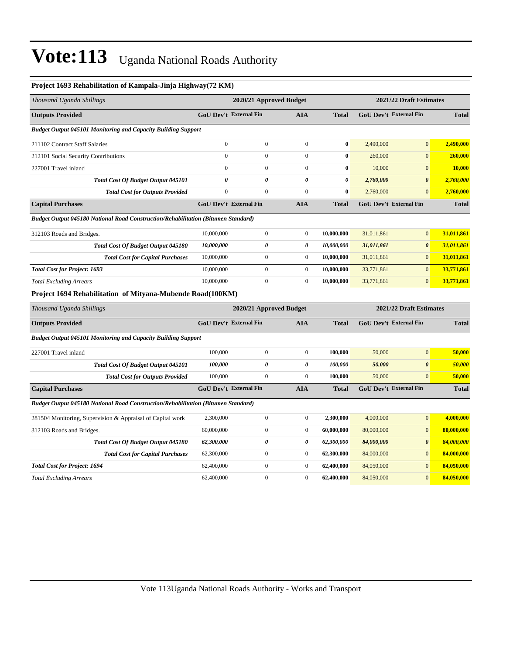| Project 1693 Rehabilitation of Kampala-Jinja Highway(72 KM)                              |                               |                         |                       |                       |                         |                               |              |
|------------------------------------------------------------------------------------------|-------------------------------|-------------------------|-----------------------|-----------------------|-------------------------|-------------------------------|--------------|
| Thousand Uganda Shillings                                                                |                               | 2020/21 Approved Budget |                       |                       | 2021/22 Draft Estimates |                               |              |
| <b>Outputs Provided</b>                                                                  | GoU Dev't External Fin        |                         | <b>AIA</b>            | <b>Total</b>          |                         | <b>GoU Dev't External Fin</b> | <b>Total</b> |
| <b>Budget Output 045101 Monitoring and Capacity Building Support</b>                     |                               |                         |                       |                       |                         |                               |              |
| 211102 Contract Staff Salaries                                                           | $\mathbf{0}$                  | $\overline{0}$          | $\mathbf{0}$          | $\mathbf{0}$          | 2,490,000               | $\overline{0}$                | 2,490,000    |
| 212101 Social Security Contributions                                                     | $\mathbf{0}$                  | $\mathbf{0}$            | $\mathbf{0}$          | $\bf{0}$              | 260,000                 | $\mathbf{0}$                  | 260,000      |
| 227001 Travel inland                                                                     | $\boldsymbol{0}$              | $\boldsymbol{0}$        | $\boldsymbol{0}$      | $\bf{0}$              | 10,000                  | $\mathbf{0}$                  | 10,000       |
| Total Cost Of Budget Output 045101                                                       | $\theta$                      | $\pmb{\theta}$          | $\boldsymbol{\theta}$ | $\boldsymbol{\theta}$ | 2,760,000               | $\boldsymbol{\theta}$         | 2,760,000    |
| <b>Total Cost for Outputs Provided</b>                                                   | $\boldsymbol{0}$              | $\boldsymbol{0}$        | $\boldsymbol{0}$      | $\bf{0}$              | 2,760,000               | $\mathbf{0}$                  | 2,760,000    |
| <b>Capital Purchases</b>                                                                 | GoU Dev't External Fin        |                         | <b>AIA</b>            | <b>Total</b>          |                         | GoU Dev't External Fin        | <b>Total</b> |
| <b>Budget Output 045180 National Road Construction/Rehabilitation (Bitumen Standard)</b> |                               |                         |                       |                       |                         |                               |              |
| 312103 Roads and Bridges.                                                                | 10,000,000                    | $\boldsymbol{0}$        | $\boldsymbol{0}$      | 10,000,000            | 31,011,861              | $\mathbf{0}$                  | 31,011,861   |
| Total Cost Of Budget Output 045180                                                       | 10,000,000                    | 0                       | 0                     | 10,000,000            | 31,011,861              | $\boldsymbol{\theta}$         | 31,011,861   |
| <b>Total Cost for Capital Purchases</b>                                                  | 10,000,000                    | $\boldsymbol{0}$        | $\boldsymbol{0}$      | 10,000,000            | 31,011,861              | $\mathbf{0}$                  | 31,011,861   |
| <b>Total Cost for Project: 1693</b>                                                      | 10,000,000                    | $\boldsymbol{0}$        | $\boldsymbol{0}$      | 10,000,000            | 33,771,861              | $\mathbf{0}$                  | 33,771,861   |
| <b>Total Excluding Arrears</b>                                                           | 10,000,000                    | $\boldsymbol{0}$        | $\boldsymbol{0}$      | 10,000,000            | 33,771,861              | $\mathbf{0}$                  | 33,771,861   |
| Project 1694 Rehabilitation of Mityana-Mubende Road(100KM)                               |                               |                         |                       |                       |                         |                               |              |
| Thousand Uganda Shillings                                                                |                               | 2020/21 Approved Budget |                       |                       |                         | 2021/22 Draft Estimates       |              |
| <b>Outputs Provided</b>                                                                  | <b>GoU Dev't External Fin</b> |                         | <b>AIA</b>            | <b>Total</b>          |                         | <b>GoU Dev't External Fin</b> | <b>Total</b> |
| <b>Budget Output 045101 Monitoring and Capacity Building Support</b>                     |                               |                         |                       |                       |                         |                               |              |
| 227001 Travel inland                                                                     | 100,000                       | $\boldsymbol{0}$        | $\boldsymbol{0}$      | 100,000               | 50,000                  | $\overline{0}$                | 50,000       |
| Total Cost Of Budget Output 045101                                                       | 100,000                       | $\pmb{\theta}$          | $\boldsymbol{\theta}$ | 100,000               | 50,000                  | $\boldsymbol{\theta}$         | 50,000       |
| <b>Total Cost for Outputs Provided</b>                                                   | 100,000                       | $\mathbf{0}$            | $\boldsymbol{0}$      | 100,000               | 50,000                  | $\Omega$                      | 50,000       |
| <b>Capital Purchases</b>                                                                 | <b>GoU Dev't External Fin</b> |                         | <b>AIA</b>            | <b>Total</b>          |                         | GoU Dev't External Fin        | <b>Total</b> |
| <b>Budget Output 045180 National Road Construction/Rehabilitation (Bitumen Standard)</b> |                               |                         |                       |                       |                         |                               |              |
| 281504 Monitoring, Supervision & Appraisal of Capital work                               | 2,300,000                     | $\boldsymbol{0}$        | $\boldsymbol{0}$      | 2,300,000             | 4,000,000               | $\mathbf{0}$                  | 4,000,000    |
| 312103 Roads and Bridges.                                                                | 60,000,000                    | $\mathbf{0}$            | $\mathbf{0}$          | 60,000,000            | 80,000,000              | $\mathbf{0}$                  | 80,000,000   |
| Total Cost Of Budget Output 045180                                                       | 62,300,000                    | $\pmb{\theta}$          | 0                     | 62,300,000            | 84,000,000              | $\boldsymbol{\theta}$         | 84,000,000   |
| <b>Total Cost for Capital Purchases</b>                                                  | 62,300,000                    | $\boldsymbol{0}$        | $\boldsymbol{0}$      | 62,300,000            | 84,000,000              | $\mathbf{0}$                  | 84,000,000   |
| <b>Total Cost for Project: 1694</b>                                                      | 62,400,000                    | $\boldsymbol{0}$        | $\boldsymbol{0}$      | 62,400,000            | 84,050,000              | $\mathbf{0}$                  | 84,050,000   |
| <b>Total Excluding Arrears</b>                                                           | 62,400,000                    | $\boldsymbol{0}$        | $\boldsymbol{0}$      | 62,400,000            | 84,050,000              | $\mathbf{0}$                  | 84,050,000   |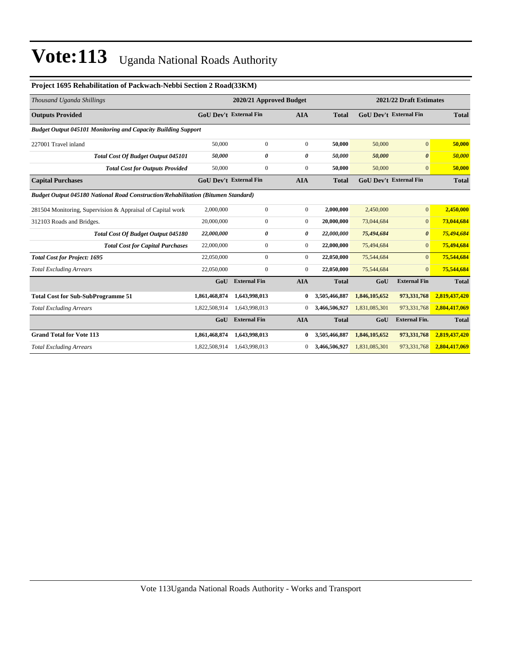| Thousand Uganda Shillings                                                                | 2021/22 Draft Estimates<br>2020/21 Approved Budget |                               |                  |               |               |                               |               |
|------------------------------------------------------------------------------------------|----------------------------------------------------|-------------------------------|------------------|---------------|---------------|-------------------------------|---------------|
| <b>Outputs Provided</b>                                                                  |                                                    | <b>GoU Dev't External Fin</b> | <b>AIA</b>       | <b>Total</b>  |               | <b>GoU Dev't External Fin</b> | <b>Total</b>  |
| <b>Budget Output 045101 Monitoring and Capacity Building Support</b>                     |                                                    |                               |                  |               |               |                               |               |
| 227001 Travel inland                                                                     | 50,000                                             | $\boldsymbol{0}$              | $\mathbf{0}$     | 50,000        | 50,000        | $\mathbf{0}$                  | 50,000        |
| Total Cost Of Budget Output 045101                                                       | 50.000                                             | 0                             | 0                | 50.000        | 50,000        | $\boldsymbol{\theta}$         | 50,000        |
| <b>Total Cost for Outputs Provided</b>                                                   | 50,000                                             | $\boldsymbol{0}$              | $\mathbf{0}$     | 50,000        | 50,000        | $\mathbf{0}$                  | 50,000        |
| <b>Capital Purchases</b>                                                                 | <b>GoU Dev't External Fin</b>                      |                               | <b>AIA</b>       | <b>Total</b>  |               | <b>GoU Dev't External Fin</b> | <b>Total</b>  |
| <b>Budget Output 045180 National Road Construction/Rehabilitation (Bitumen Standard)</b> |                                                    |                               |                  |               |               |                               |               |
| 281504 Monitoring, Supervision & Appraisal of Capital work                               | 2,000,000                                          | $\boldsymbol{0}$              | $\mathbf{0}$     | 2,000,000     | 2,450,000     | $\overline{0}$                | 2,450,000     |
| 312103 Roads and Bridges.                                                                | 20,000,000                                         | $\mathbf{0}$                  | $\mathbf{0}$     | 20,000,000    | 73,044,684    | $\mathbf{0}$                  | 73,044,684    |
| Total Cost Of Budget Output 045180                                                       | 22,000,000                                         | 0                             | 0                | 22,000,000    | 75,494,684    | $\boldsymbol{\theta}$         | 75,494,684    |
| <b>Total Cost for Capital Purchases</b>                                                  | 22,000,000                                         | $\mathbf{0}$                  | $\boldsymbol{0}$ | 22,000,000    | 75,494,684    | $\mathbf{0}$                  | 75,494,684    |
| <b>Total Cost for Project: 1695</b>                                                      | 22,050,000                                         | $\mathbf{0}$                  | $\mathbf{0}$     | 22,050,000    | 75,544,684    | $\overline{0}$                | 75,544,684    |
| <b>Total Excluding Arrears</b>                                                           | 22,050,000                                         | $\mathbf{0}$                  | $\mathbf{0}$     | 22,050,000    | 75,544,684    | $\Omega$                      | 75,544,684    |
|                                                                                          | GoU                                                | <b>External Fin</b>           | <b>AIA</b>       | <b>Total</b>  | GoU           | <b>External Fin</b>           | <b>Total</b>  |
| <b>Total Cost for Sub-SubProgramme 51</b>                                                | 1,861,468,874                                      | 1,643,998,013                 | $\bf{0}$         | 3,505,466,887 | 1,846,105,652 | 973,331,768                   | 2,819,437,420 |
| <b>Total Excluding Arrears</b>                                                           | 1,822,508,914                                      | 1,643,998,013                 | $\overline{0}$   | 3,466,506,927 | 1,831,085,301 | 973,331,768                   | 2,804,417,069 |
|                                                                                          | GoU                                                | <b>External Fin</b>           | <b>AIA</b>       | <b>Total</b>  | GoU           | <b>External Fin.</b>          | <b>Total</b>  |
| <b>Grand Total for Vote 113</b>                                                          | 1,861,468,874                                      | 1,643,998,013                 | $\bf{0}$         | 3,505,466,887 | 1,846,105,652 | 973,331,768                   | 2,819,437,420 |
| <b>Total Excluding Arrears</b>                                                           | 1,822,508,914                                      | 1,643,998,013                 | $\overline{0}$   | 3,466,506,927 | 1,831,085,301 | 973,331,768                   | 2,804,417,069 |

#### **Project 1695 Rehabilitation of Packwach-Nebbi Section 2 Road(33KM)**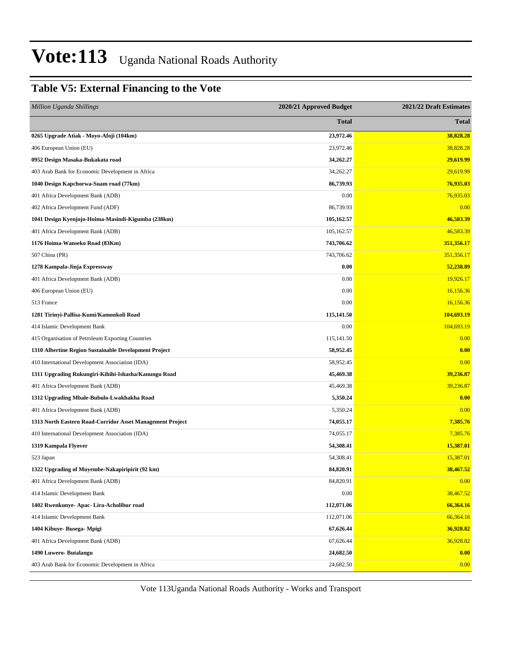### **Table V5: External Financing to the Vote**

| <b>Million Uganda Shillings</b>                           | 2020/21 Approved Budget | 2021/22 Draft Estimates |
|-----------------------------------------------------------|-------------------------|-------------------------|
|                                                           | <b>Total</b>            | <b>Total</b>            |
| 0265 Upgrade Atiak - Moyo-Afoji (104km)                   | 23,972.46               | 38,828.28               |
| 406 European Union (EU)                                   | 23,972.46               | 38,828.28               |
| 0952 Design Masaka-Bukakata road                          | 34,262.27               | 29,619.99               |
| 403 Arab Bank for Economic Development in Africa          | 34,262.27               | 29,619.99               |
| 1040 Design Kapchorwa-Suam road (77km)                    | 86,739.93               | 76,935.03               |
| 401 Africa Development Bank (ADB)                         | 0.00                    | 76,935.03               |
| 402 Africa Development Fund (ADF)                         | 86,739.93               | 0.00                    |
| 1041 Design Kyenjojo-Hoima-Masindi-Kigumba (238km)        | 105,162.57              | 46,583.39               |
| 401 Africa Development Bank (ADB)                         | 105,162.57              | 46,583.39               |
| 1176 Hoima-Wanseko Road (83Km)                            | 743,706.62              | 351,356.17              |
| 507 China (PR)                                            | 743,706.62              | 351,356.17              |
| 1278 Kampala-Jinja Expressway                             | 0.00                    | 52,238.89               |
| 401 Africa Development Bank (ADB)                         | 0.00                    | 19,926.17               |
| 406 European Union (EU)                                   | 0.00                    | 16,156.36               |
| 513 France                                                | 0.00                    | 16,156.36               |
| 1281 Tirinyi-Pallisa-Kumi/Kamonkoli Road                  | 115,141.50              | 104,693.19              |
| 414 Islamic Development Bank                              | 0.00                    | 104,693.19              |
| 415 Organisation of Petroleum Exporting Countries         | 115,141.50              | 0.00                    |
| 1310 Albertine Region Sustainable Development Project     | 58,952.45               | 0.00                    |
| 410 International Development Association (IDA)           | 58,952.45               | 0.00                    |
| 1311 Upgrading Rukungiri-Kihihi-Ishasha/Kanungu Road      | 45,469.38               | 39,236.87               |
| 401 Africa Development Bank (ADB)                         | 45,469.38               | 39,236.87               |
| 1312 Upgrading Mbale-Bubulo-Lwakhakha Road                | 5,350.24                | 0.00                    |
| 401 Africa Development Bank (ADB)                         | 5,350.24                | 0.00                    |
| 1313 North Eastern Road-Corridor Asset Management Project | 74,055.17               | 7,385.76                |
| 410 International Development Association (IDA)           | 74,055.17               | 7,385.76                |
| 1319 Kampala Flyover                                      | 54,308.41               | 15,387.01               |
| 523 Japan                                                 | 54,308.41               | 15,387.01               |
| 1322 Upgrading of Muyembe-Nakapiripirit (92 km)           | 84,820.91               | 38,467.52               |
| 401 Africa Development Bank (ADB)                         | 84,820.91               | 0.00                    |
| 414 Islamic Development Bank                              | 0.00                    | 38,467.52               |
| 1402 Rwenkunye- Apac- Lira-Acholibur road                 | 112,071.06              | 66,364.16               |
| 414 Islamic Development Bank                              | 112,071.06              | 66,364.16               |
| 1404 Kibuye- Busega- Mpigi                                | 67,626.44               | 36,928.82               |
| 401 Africa Development Bank (ADB)                         | 67,626.44               | 36,928.82               |
| 1490 Luwero- Butalangu                                    | 24,682.50               | 0.00                    |
| 403 Arab Bank for Economic Development in Africa          | 24,682.50               | 0.00                    |